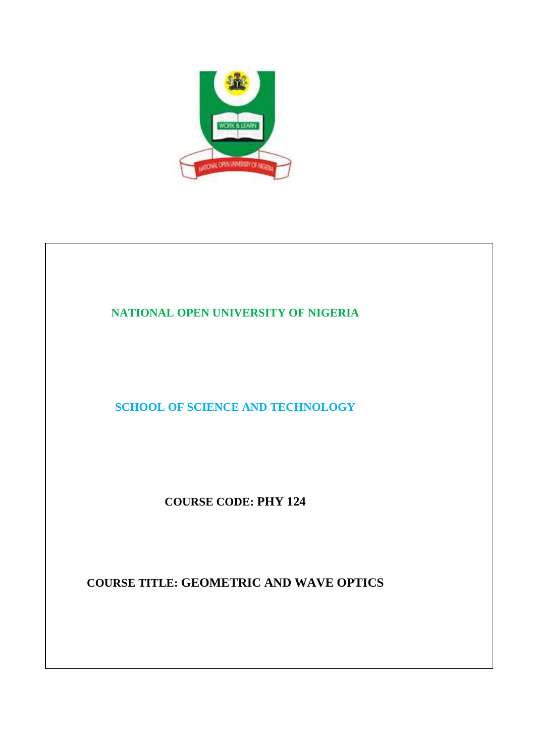



**SCHOOL OF SCIENCE AND TECHNOLOGY** 

**COURSE CODE: PHY 124** 

**COURSE TITLE: GEOMETRIC AND WAVE OPTICS**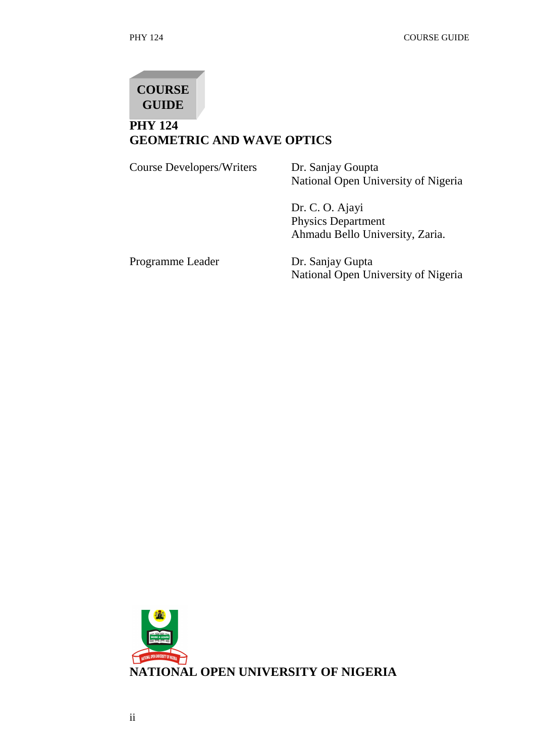

# **PHY 124 GEOMETRIC AND WAVE OPTICS**

Course Developers/Writers Dr. Sanjay Goupta

National Open University of Nigeria

 Dr. C. O. Ajayi Physics Department Ahmadu Bello University, Zaria.

Programme Leader Dr. Sanjay Gupta

National Open University of Nigeria

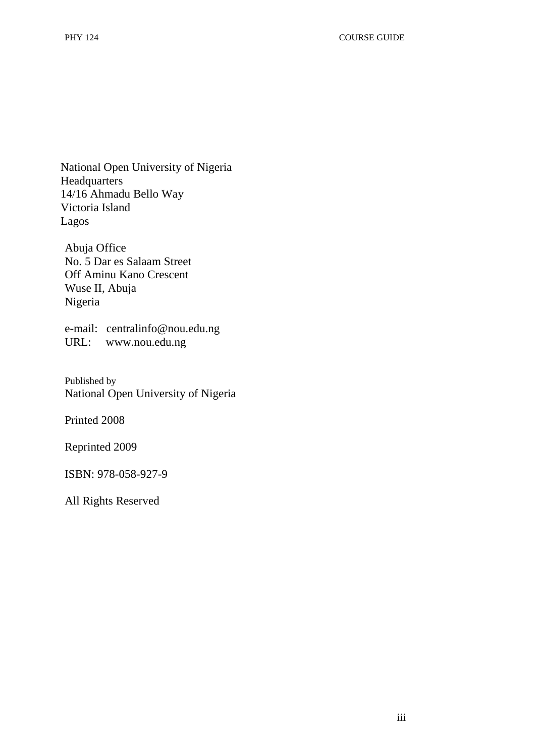National Open University of Nigeria **Headquarters** 14/16 Ahmadu Bello Way Victoria Island Lagos

Abuja Office No. 5 Dar es Salaam Street Off Aminu Kano Crescent Wuse II, Abuja Nigeria

e-mail: centralinfo@nou.edu.ng URL: www.nou.edu.ng

Published by National Open University of Nigeria

Printed 2008

Reprinted 2009

ISBN: 978-058-927-9

All Rights Reserved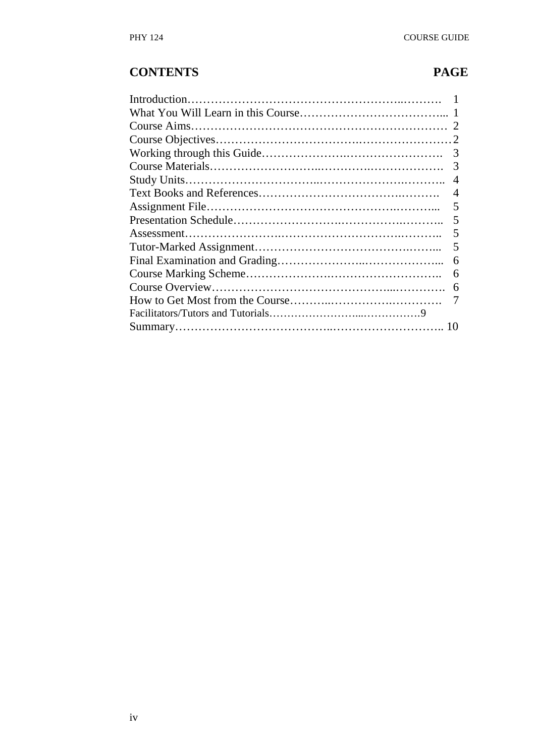# **CONTENTS PAGE**

| 3              |
|----------------|
| 3              |
| $\overline{4}$ |
| 4              |
| 5              |
| 5              |
| 5              |
| 5              |
| 6              |
| 6              |
| 6              |
|                |
|                |
|                |
|                |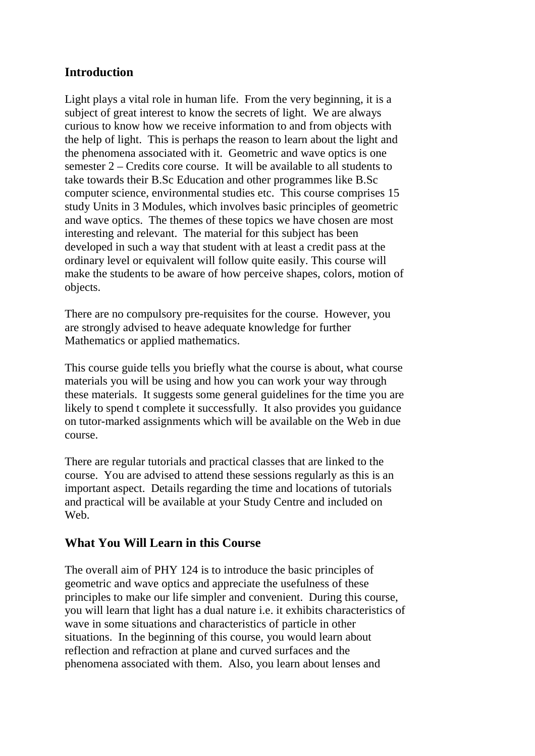# **Introduction**

Light plays a vital role in human life. From the very beginning, it is a subject of great interest to know the secrets of light. We are always curious to know how we receive information to and from objects with the help of light. This is perhaps the reason to learn about the light and the phenomena associated with it. Geometric and wave optics is one semester 2 – Credits core course. It will be available to all students to take towards their B.Sc Education and other programmes like B.Sc computer science, environmental studies etc. This course comprises 15 study Units in 3 Modules, which involves basic principles of geometric and wave optics. The themes of these topics we have chosen are most interesting and relevant. The material for this subject has been developed in such a way that student with at least a credit pass at the ordinary level or equivalent will follow quite easily. This course will make the students to be aware of how perceive shapes, colors, motion of objects.

There are no compulsory pre-requisites for the course. However, you are strongly advised to heave adequate knowledge for further Mathematics or applied mathematics.

This course guide tells you briefly what the course is about, what course materials you will be using and how you can work your way through these materials. It suggests some general guidelines for the time you are likely to spend t complete it successfully. It also provides you guidance on tutor-marked assignments which will be available on the Web in due course.

There are regular tutorials and practical classes that are linked to the course. You are advised to attend these sessions regularly as this is an important aspect. Details regarding the time and locations of tutorials and practical will be available at your Study Centre and included on Web.

# **What You Will Learn in this Course**

The overall aim of PHY 124 is to introduce the basic principles of geometric and wave optics and appreciate the usefulness of these principles to make our life simpler and convenient. During this course, you will learn that light has a dual nature i.e. it exhibits characteristics of wave in some situations and characteristics of particle in other situations. In the beginning of this course, you would learn about reflection and refraction at plane and curved surfaces and the phenomena associated with them. Also, you learn about lenses and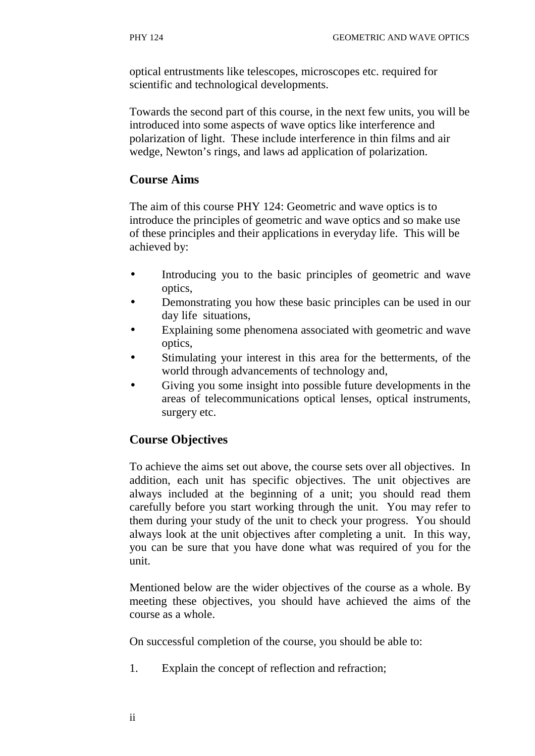optical entrustments like telescopes, microscopes etc. required for scientific and technological developments.

Towards the second part of this course, in the next few units, you will be introduced into some aspects of wave optics like interference and polarization of light. These include interference in thin films and air wedge, Newton's rings, and laws ad application of polarization.

## **Course Aims**

The aim of this course PHY 124: Geometric and wave optics is to introduce the principles of geometric and wave optics and so make use of these principles and their applications in everyday life. This will be achieved by:

- Introducing you to the basic principles of geometric and wave optics,
- Demonstrating you how these basic principles can be used in our day life situations,
- Explaining some phenomena associated with geometric and wave optics,
- Stimulating your interest in this area for the betterments, of the world through advancements of technology and,
- Giving you some insight into possible future developments in the areas of telecommunications optical lenses, optical instruments, surgery etc.

# **Course Objectives**

To achieve the aims set out above, the course sets over all objectives. In addition, each unit has specific objectives. The unit objectives are always included at the beginning of a unit; you should read them carefully before you start working through the unit. You may refer to them during your study of the unit to check your progress. You should always look at the unit objectives after completing a unit. In this way, you can be sure that you have done what was required of you for the unit.

Mentioned below are the wider objectives of the course as a whole. By meeting these objectives, you should have achieved the aims of the course as a whole.

On successful completion of the course, you should be able to:

1. Explain the concept of reflection and refraction;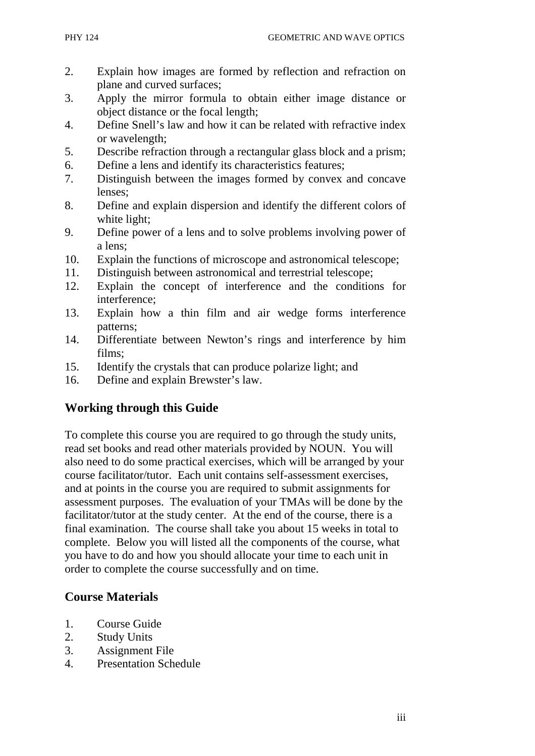- 2. Explain how images are formed by reflection and refraction on plane and curved surfaces;
- 3. Apply the mirror formula to obtain either image distance or object distance or the focal length;
- 4. Define Snell's law and how it can be related with refractive index or wavelength;
- 5. Describe refraction through a rectangular glass block and a prism;
- 6. Define a lens and identify its characteristics features;
- 7. Distinguish between the images formed by convex and concave lenses;
- 8. Define and explain dispersion and identify the different colors of white light;
- 9. Define power of a lens and to solve problems involving power of a lens;
- 10. Explain the functions of microscope and astronomical telescope;
- 11. Distinguish between astronomical and terrestrial telescope;
- 12. Explain the concept of interference and the conditions for interference;
- 13. Explain how a thin film and air wedge forms interference patterns;
- 14. Differentiate between Newton's rings and interference by him films;
- 15. Identify the crystals that can produce polarize light; and
- 16. Define and explain Brewster's law.

# **Working through this Guide**

To complete this course you are required to go through the study units, read set books and read other materials provided by NOUN. You will also need to do some practical exercises, which will be arranged by your course facilitator/tutor. Each unit contains self-assessment exercises, and at points in the course you are required to submit assignments for assessment purposes. The evaluation of your TMAs will be done by the facilitator/tutor at the study center. At the end of the course, there is a final examination. The course shall take you about 15 weeks in total to complete. Below you will listed all the components of the course, what you have to do and how you should allocate your time to each unit in order to complete the course successfully and on time.

# **Course Materials**

- 1. Course Guide
- 2. Study Units
- 3. Assignment File
- 4. Presentation Schedule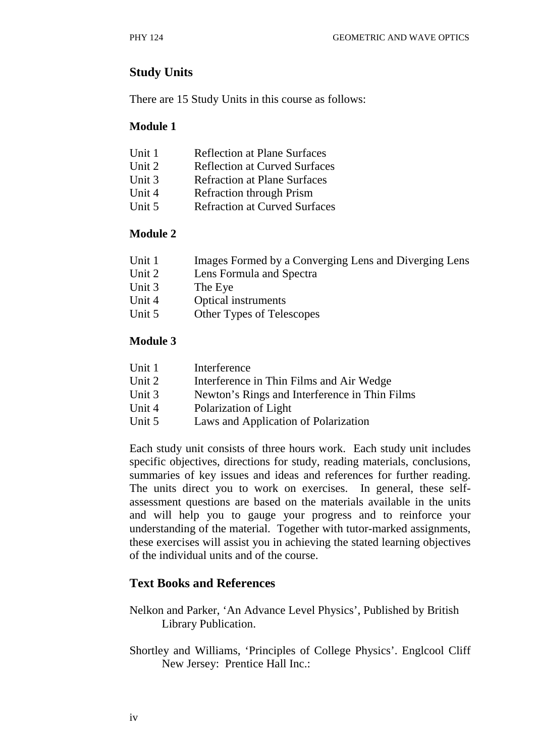## **Study Units**

There are 15 Study Units in this course as follows:

#### **Module 1**

| Unit 1 | <b>Reflection at Plane Surfaces</b>  |
|--------|--------------------------------------|
| Unit 2 | <b>Reflection at Curved Surfaces</b> |
| Unit 3 | <b>Refraction at Plane Surfaces</b>  |
|        |                                      |

- Unit 4 Refraction through Prism
- Unit 5 Refraction at Curved Surfaces

#### **Module 2**

- Unit 1 Images Formed by a Converging Lens and Diverging Lens
- Unit 2 Lens Formula and Spectra
- Unit 3 The Eve
- Unit 4 Optical instruments
- Unit 5 Other Types of Telescopes

#### **Module 3**

| Unit 1 | Interference                                  |
|--------|-----------------------------------------------|
| Unit 2 | Interference in Thin Films and Air Wedge      |
| Unit 3 | Newton's Rings and Interference in Thin Films |
| Unit 4 | Polarization of Light                         |
| Unit 5 | Laws and Application of Polarization          |

Each study unit consists of three hours work. Each study unit includes specific objectives, directions for study, reading materials, conclusions, summaries of key issues and ideas and references for further reading. The units direct you to work on exercises. In general, these selfassessment questions are based on the materials available in the units and will help you to gauge your progress and to reinforce your understanding of the material. Together with tutor-marked assignments, these exercises will assist you in achieving the stated learning objectives of the individual units and of the course.

## **Text Books and References**

Nelkon and Parker, 'An Advance Level Physics', Published by British Library Publication.

Shortley and Williams, 'Principles of College Physics'. Englcool Cliff New Jersey: Prentice Hall Inc.: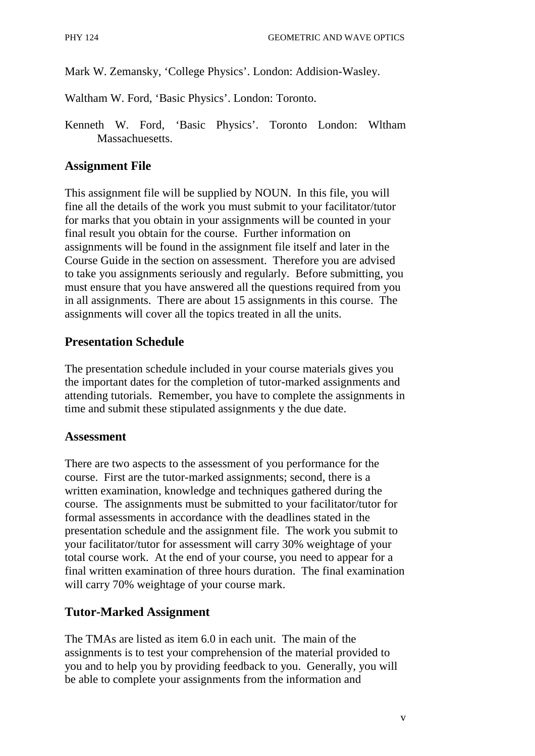Mark W. Zemansky, 'College Physics'. London: Addision-Wasley.

Waltham W. Ford, 'Basic Physics'. London: Toronto.

Kenneth W. Ford, 'Basic Physics'. Toronto London: Wltham Massachuesetts.

## **Assignment File**

This assignment file will be supplied by NOUN. In this file, you will fine all the details of the work you must submit to your facilitator/tutor for marks that you obtain in your assignments will be counted in your final result you obtain for the course. Further information on assignments will be found in the assignment file itself and later in the Course Guide in the section on assessment. Therefore you are advised to take you assignments seriously and regularly. Before submitting, you must ensure that you have answered all the questions required from you in all assignments. There are about 15 assignments in this course. The assignments will cover all the topics treated in all the units.

## **Presentation Schedule**

The presentation schedule included in your course materials gives you the important dates for the completion of tutor-marked assignments and attending tutorials. Remember, you have to complete the assignments in time and submit these stipulated assignments y the due date.

## **Assessment**

There are two aspects to the assessment of you performance for the course. First are the tutor-marked assignments; second, there is a written examination, knowledge and techniques gathered during the course. The assignments must be submitted to your facilitator/tutor for formal assessments in accordance with the deadlines stated in the presentation schedule and the assignment file. The work you submit to your facilitator/tutor for assessment will carry 30% weightage of your total course work. At the end of your course, you need to appear for a final written examination of three hours duration. The final examination will carry 70% weightage of your course mark.

# **Tutor-Marked Assignment**

The TMAs are listed as item 6.0 in each unit. The main of the assignments is to test your comprehension of the material provided to you and to help you by providing feedback to you. Generally, you will be able to complete your assignments from the information and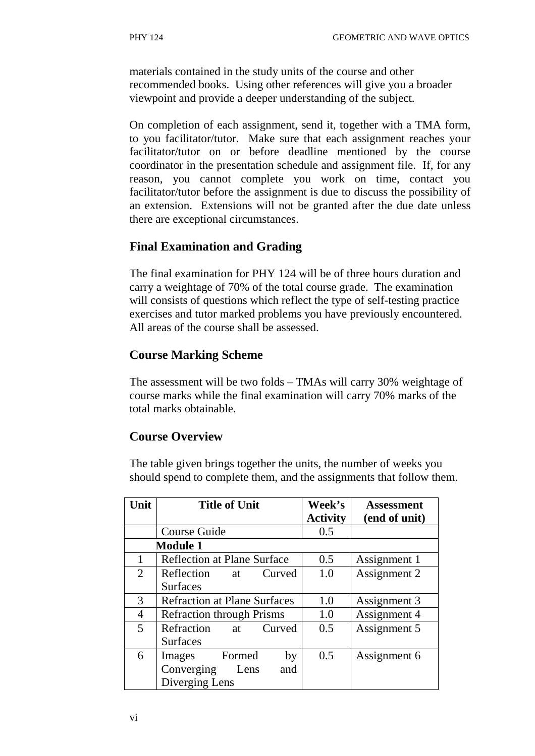materials contained in the study units of the course and other recommended books. Using other references will give you a broader viewpoint and provide a deeper understanding of the subject.

On completion of each assignment, send it, together with a TMA form, to you facilitator/tutor. Make sure that each assignment reaches your facilitator/tutor on or before deadline mentioned by the course coordinator in the presentation schedule and assignment file. If, for any reason, you cannot complete you work on time, contact you facilitator/tutor before the assignment is due to discuss the possibility of an extension. Extensions will not be granted after the due date unless there are exceptional circumstances.

# **Final Examination and Grading**

The final examination for PHY 124 will be of three hours duration and carry a weightage of 70% of the total course grade. The examination will consists of questions which reflect the type of self-testing practice exercises and tutor marked problems you have previously encountered. All areas of the course shall be assessed.

# **Course Marking Scheme**

The assessment will be two folds – TMAs will carry 30% weightage of course marks while the final examination will carry 70% marks of the total marks obtainable.

# **Course Overview**

The table given brings together the units, the number of weeks you should spend to complete them, and the assignments that follow them.

| Unit            | <b>Title of Unit</b>                | Week's          | <b>Assessment</b> |
|-----------------|-------------------------------------|-----------------|-------------------|
|                 |                                     | <b>Activity</b> | (end of unit)     |
|                 | Course Guide                        | 0.5             |                   |
| <b>Module 1</b> |                                     |                 |                   |
| 1               | <b>Reflection at Plane Surface</b>  | 0.5             | Assignment 1      |
| 2               | Reflection at<br>Curved             | 1.0             | Assignment 2      |
|                 | <b>Surfaces</b>                     |                 |                   |
| 3               | <b>Refraction at Plane Surfaces</b> | 1.0             | Assignment 3      |
| 4               | <b>Refraction through Prisms</b>    | 1.0             | Assignment 4      |
| 5               | Refraction<br>Curved<br>at          | 0.5             | Assignment 5      |
|                 | <b>Surfaces</b>                     |                 |                   |
| 6               | Formed<br>by<br>Images              | 0.5             | Assignment 6      |
|                 | Converging<br>Lens<br>and           |                 |                   |
|                 | Diverging Lens                      |                 |                   |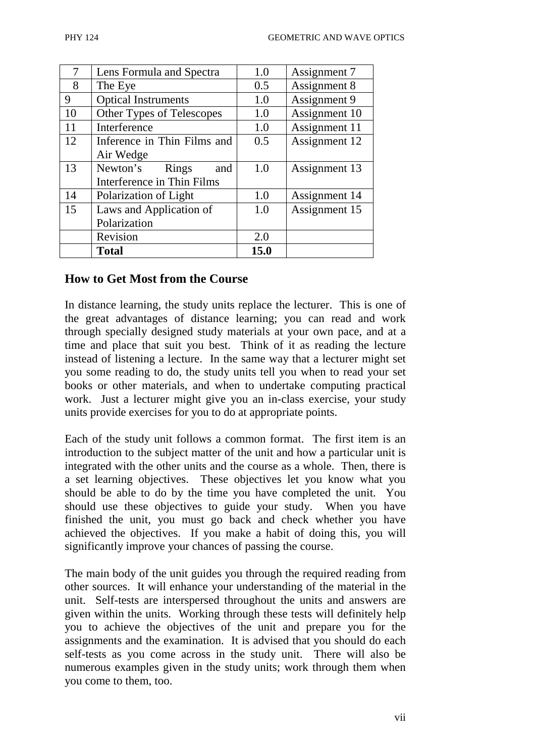| 7  | Lens Formula and Spectra    | 1.0  | Assignment 7  |
|----|-----------------------------|------|---------------|
| 8  | The Eye                     | 0.5  | Assignment 8  |
| 9  | <b>Optical Instruments</b>  | 1.0  | Assignment 9  |
| 10 | Other Types of Telescopes   | 1.0  | Assignment 10 |
| 11 | Interference                | 1.0  | Assignment 11 |
| 12 | Inference in Thin Films and | 0.5  | Assignment 12 |
|    | Air Wedge                   |      |               |
| 13 | Newton's<br>Rings<br>and    | 1.0  | Assignment 13 |
|    | Interference in Thin Films  |      |               |
| 14 | Polarization of Light       | 1.0  | Assignment 14 |
| 15 | Laws and Application of     | 1.0  | Assignment 15 |
|    | Polarization                |      |               |
|    | Revision                    | 2.0  |               |
|    | <b>Total</b>                | 15.0 |               |

#### **How to Get Most from the Course**

In distance learning, the study units replace the lecturer. This is one of the great advantages of distance learning; you can read and work through specially designed study materials at your own pace, and at a time and place that suit you best. Think of it as reading the lecture instead of listening a lecture. In the same way that a lecturer might set you some reading to do, the study units tell you when to read your set books or other materials, and when to undertake computing practical work. Just a lecturer might give you an in-class exercise, your study units provide exercises for you to do at appropriate points.

Each of the study unit follows a common format. The first item is an introduction to the subject matter of the unit and how a particular unit is integrated with the other units and the course as a whole. Then, there is a set learning objectives. These objectives let you know what you should be able to do by the time you have completed the unit. You should use these objectives to guide your study. When you have finished the unit, you must go back and check whether you have achieved the objectives. If you make a habit of doing this, you will significantly improve your chances of passing the course.

The main body of the unit guides you through the required reading from other sources. It will enhance your understanding of the material in the unit. Self-tests are interspersed throughout the units and answers are given within the units. Working through these tests will definitely help you to achieve the objectives of the unit and prepare you for the assignments and the examination. It is advised that you should do each self-tests as you come across in the study unit. There will also be numerous examples given in the study units; work through them when you come to them, too.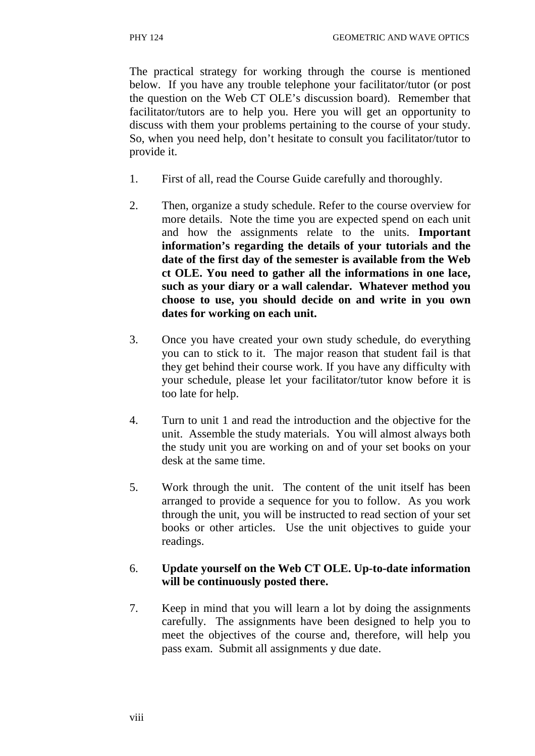The practical strategy for working through the course is mentioned below. If you have any trouble telephone your facilitator/tutor (or post the question on the Web CT OLE's discussion board). Remember that facilitator/tutors are to help you. Here you will get an opportunity to discuss with them your problems pertaining to the course of your study. So, when you need help, don't hesitate to consult you facilitator/tutor to provide it.

- 1. First of all, read the Course Guide carefully and thoroughly.
- 2. Then, organize a study schedule. Refer to the course overview for more details. Note the time you are expected spend on each unit and how the assignments relate to the units. **Important information's regarding the details of your tutorials and the date of the first day of the semester is available from the Web ct OLE. You need to gather all the informations in one lace, such as your diary or a wall calendar. Whatever method you choose to use, you should decide on and write in you own dates for working on each unit.**
- 3. Once you have created your own study schedule, do everything you can to stick to it. The major reason that student fail is that they get behind their course work. If you have any difficulty with your schedule, please let your facilitator/tutor know before it is too late for help.
- 4. Turn to unit 1 and read the introduction and the objective for the unit. Assemble the study materials. You will almost always both the study unit you are working on and of your set books on your desk at the same time.
- 5. Work through the unit. The content of the unit itself has been arranged to provide a sequence for you to follow. As you work through the unit, you will be instructed to read section of your set books or other articles. Use the unit objectives to guide your readings.

# 6. **Update yourself on the Web CT OLE. Up-to-date information will be continuously posted there.**

7. Keep in mind that you will learn a lot by doing the assignments carefully. The assignments have been designed to help you to meet the objectives of the course and, therefore, will help you pass exam. Submit all assignments y due date.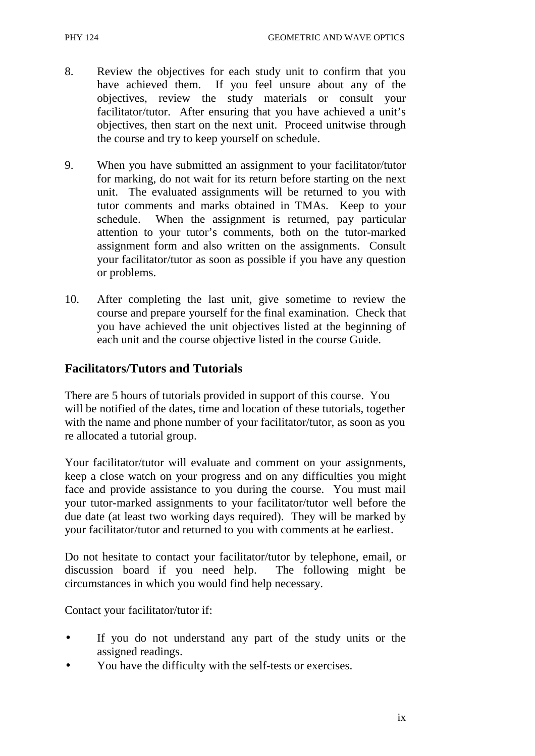- 8. Review the objectives for each study unit to confirm that you have achieved them. If you feel unsure about any of the objectives, review the study materials or consult your facilitator/tutor. After ensuring that you have achieved a unit's objectives, then start on the next unit. Proceed unitwise through the course and try to keep yourself on schedule.
- 9. When you have submitted an assignment to your facilitator/tutor for marking, do not wait for its return before starting on the next unit. The evaluated assignments will be returned to you with tutor comments and marks obtained in TMAs. Keep to your schedule. When the assignment is returned, pay particular attention to your tutor's comments, both on the tutor-marked assignment form and also written on the assignments. Consult your facilitator/tutor as soon as possible if you have any question or problems.
- 10. After completing the last unit, give sometime to review the course and prepare yourself for the final examination. Check that you have achieved the unit objectives listed at the beginning of each unit and the course objective listed in the course Guide.

## **Facilitators/Tutors and Tutorials**

There are 5 hours of tutorials provided in support of this course. You will be notified of the dates, time and location of these tutorials, together with the name and phone number of your facilitator/tutor, as soon as you re allocated a tutorial group.

Your facilitator/tutor will evaluate and comment on your assignments, keep a close watch on your progress and on any difficulties you might face and provide assistance to you during the course. You must mail your tutor-marked assignments to your facilitator/tutor well before the due date (at least two working days required). They will be marked by your facilitator/tutor and returned to you with comments at he earliest.

Do not hesitate to contact your facilitator/tutor by telephone, email, or discussion board if you need help. The following might be circumstances in which you would find help necessary.

Contact your facilitator/tutor if:

- If you do not understand any part of the study units or the assigned readings.
- You have the difficulty with the self-tests or exercises.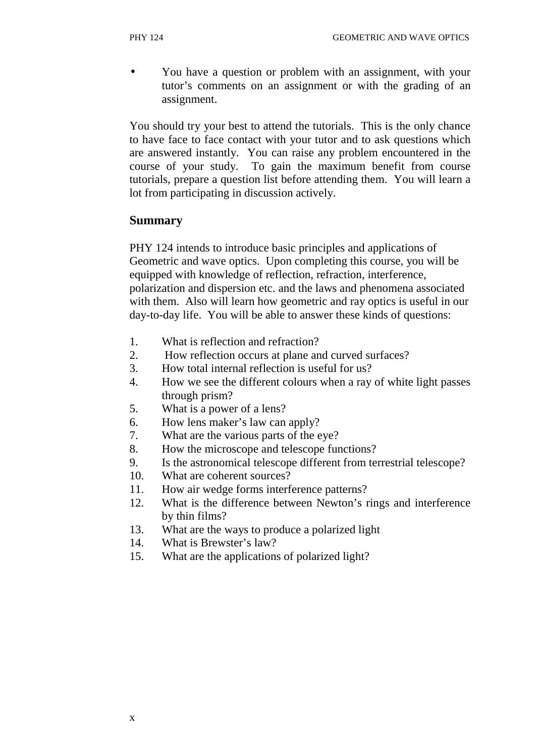• You have a question or problem with an assignment, with your tutor's comments on an assignment or with the grading of an assignment.

You should try your best to attend the tutorials. This is the only chance to have face to face contact with your tutor and to ask questions which are answered instantly. You can raise any problem encountered in the course of your study. To gain the maximum benefit from course tutorials, prepare a question list before attending them. You will learn a lot from participating in discussion actively.

# **Summary**

PHY 124 intends to introduce basic principles and applications of Geometric and wave optics. Upon completing this course, you will be equipped with knowledge of reflection, refraction, interference, polarization and dispersion etc. and the laws and phenomena associated with them. Also will learn how geometric and ray optics is useful in our day-to-day life. You will be able to answer these kinds of questions:

- 1. What is reflection and refraction?
- 2. How reflection occurs at plane and curved surfaces?
- 3. How total internal reflection is useful for us?
- 4. How we see the different colours when a ray of white light passes through prism?
- 5. What is a power of a lens?
- 6. How lens maker's law can apply?
- 7. What are the various parts of the eye?
- 8. How the microscope and telescope functions?
- 9. Is the astronomical telescope different from terrestrial telescope?
- 10. What are coherent sources?
- 11. How air wedge forms interference patterns?
- 12. What is the difference between Newton's rings and interference by thin films?
- 13. What are the ways to produce a polarized light
- 14. What is Brewster's law?
- 15. What are the applications of polarized light?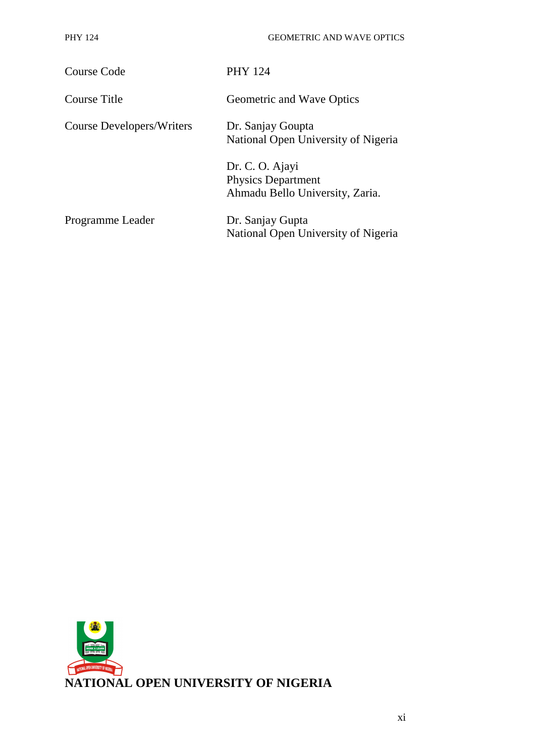| Course Code                      | <b>PHY 124</b>                                                                  |
|----------------------------------|---------------------------------------------------------------------------------|
| Course Title                     | Geometric and Wave Optics                                                       |
| <b>Course Developers/Writers</b> | Dr. Sanjay Goupta<br>National Open University of Nigeria                        |
|                                  | Dr. C. O. Ajayi<br><b>Physics Department</b><br>Ahmadu Bello University, Zaria. |
| Programme Leader                 | Dr. Sanjay Gupta<br>National Open University of Nigeria                         |

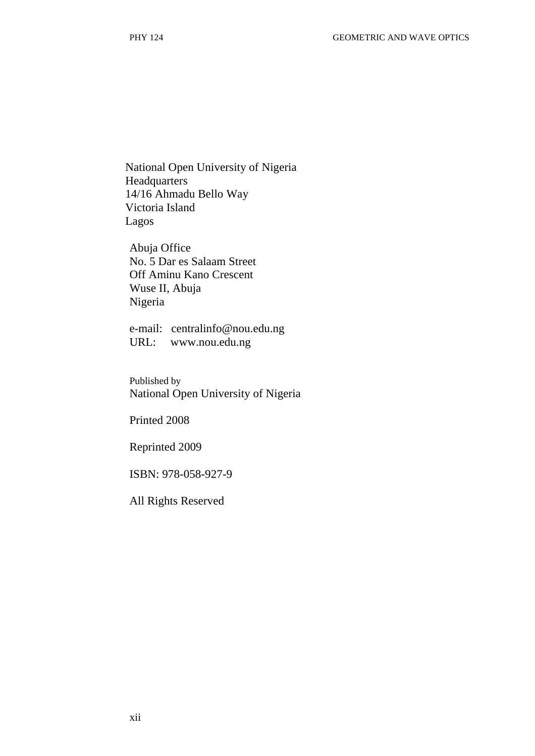National Open University of Nigeria Headquarters 14/16 Ahmadu Bello Way Victoria Island Lagos

Abuja Office No. 5 Dar es Salaam Street Off Aminu Kano Crescent Wuse II, Abuja Nigeria

e-mail: centralinfo@nou.edu.ng URL: www.nou.edu.ng

Published by National Open University of Nigeria

Printed 2008

Reprinted 2009

ISBN: 978-058-927-9

All Rights Reserved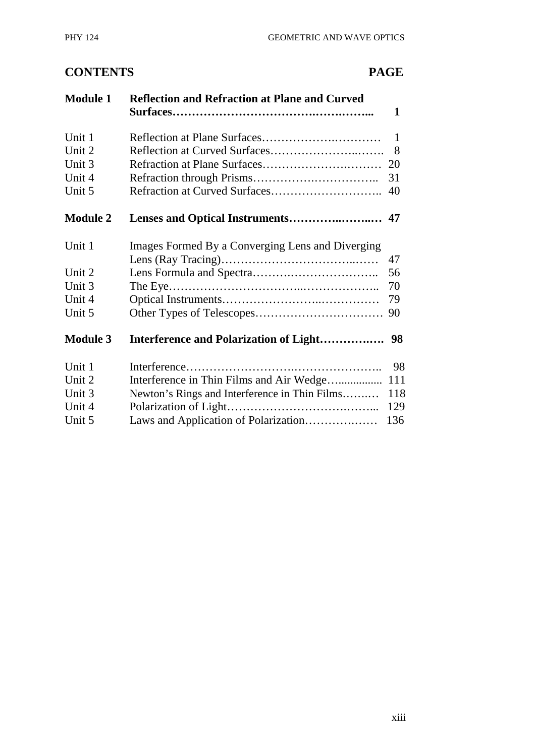# **CONTENTS PAGE**

| <b>Module 1</b> | <b>Reflection and Refraction at Plane and Curved</b> | 1            |
|-----------------|------------------------------------------------------|--------------|
| Unit 1          |                                                      | $\mathbf{1}$ |
| Unit 2          |                                                      | - 8          |
| Unit 3          |                                                      | 20           |
| Unit 4          |                                                      | 31           |
| Unit 5          |                                                      | 40           |
| <b>Module 2</b> |                                                      |              |
| Unit 1          | Images Formed By a Converging Lens and Diverging     |              |
|                 |                                                      | 47           |
| Unit 2          |                                                      | 56           |
| Unit 3          |                                                      | 70           |
| Unit 4          |                                                      | 79           |
| Unit 5          |                                                      | 90           |
| <b>Module 3</b> |                                                      |              |
| Unit 1          |                                                      | 98           |
| Unit 2          | Interference in Thin Films and Air Wedge             | 111          |
| Unit 3          | Newton's Rings and Interference in Thin Films        | 118          |
| Unit 4          |                                                      | 129          |
| Unit 5          | Laws and Application of Polarization                 | 136          |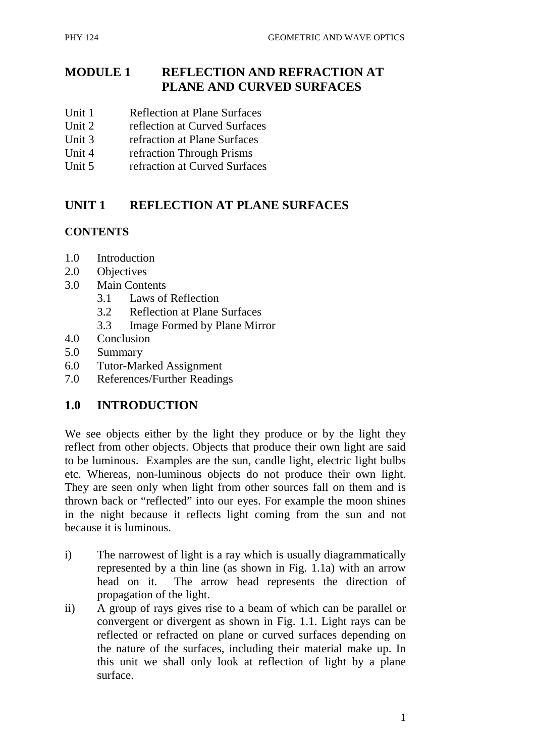# **MODULE 1 REFLECTION AND REFRACTION AT PLANE AND CURVED SURFACES**

- Unit 1 Reflection at Plane Surfaces
- Unit 2 reflection at Curved Surfaces
- Unit 3 refraction at Plane Surfaces
- Unit 4 refraction Through Prisms
- Unit 5 refraction at Curved Surfaces

# **UNIT 1 REFLECTION AT PLANE SURFACES**

## **CONTENTS**

- 1.0 Introduction
- 2.0 Objectives
- 3.0 Main Contents
	- 3.1 Laws of Reflection
	- 3.2 Reflection at Plane Surfaces
	- 3.3 Image Formed by Plane Mirror
- 4.0 Conclusion
- 5.0 Summary
- 6.0 Tutor-Marked Assignment
- 7.0 References/Further Readings

# **1.0 INTRODUCTION**

We see objects either by the light they produce or by the light they reflect from other objects. Objects that produce their own light are said to be luminous. Examples are the sun, candle light, electric light bulbs etc. Whereas, non-luminous objects do not produce their own light. They are seen only when light from other sources fall on them and is thrown back or "reflected" into our eyes. For example the moon shines in the night because it reflects light coming from the sun and not because it is luminous.

- i) The narrowest of light is a ray which is usually diagrammatically represented by a thin line (as shown in Fig. 1.1a) with an arrow head on it. The arrow head represents the direction of propagation of the light.
- ii) A group of rays gives rise to a beam of which can be parallel or convergent or divergent as shown in Fig. 1.1. Light rays can be reflected or refracted on plane or curved surfaces depending on the nature of the surfaces, including their material make up. In this unit we shall only look at reflection of light by a plane surface.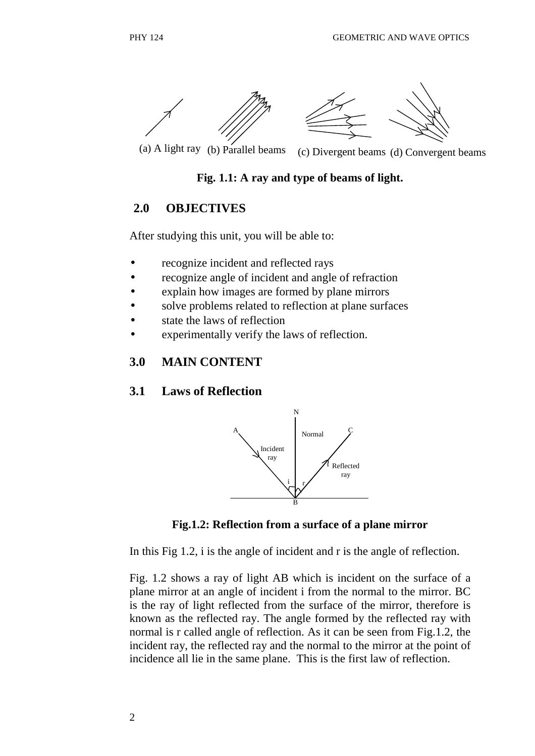

**Fig. 1.1: A ray and type of beams of light.** 

# **2.0 OBJECTIVES**

After studying this unit, you will be able to:

- recognize incident and reflected rays
- recognize angle of incident and angle of refraction
- explain how images are formed by plane mirrors
- solve problems related to reflection at plane surfaces
- state the laws of reflection
- experimentally verify the laws of reflection.

# **3.0 MAIN CONTENT**

## **3.1 Laws of Reflection**



#### **Fig.1.2: Reflection from a surface of a plane mirror**

In this Fig 1.2, i is the angle of incident and r is the angle of reflection.

Fig. 1.2 shows a ray of light AB which is incident on the surface of a plane mirror at an angle of incident i from the normal to the mirror. BC is the ray of light reflected from the surface of the mirror, therefore is known as the reflected ray. The angle formed by the reflected ray with normal is r called angle of reflection. As it can be seen from Fig.1.2, the incident ray, the reflected ray and the normal to the mirror at the point of incidence all lie in the same plane. This is the first law of reflection.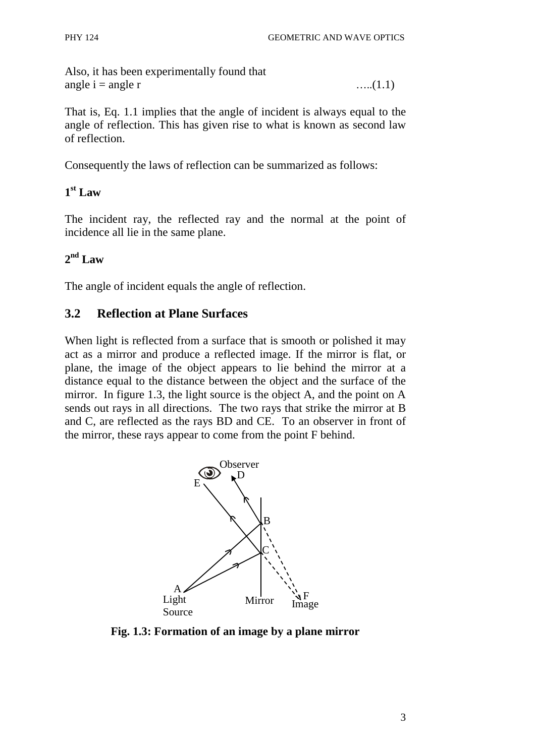Also, it has been experimentally found that angle  $i = angle r$  …..(1.1)

That is, Eq. 1.1 implies that the angle of incident is always equal to the angle of reflection. This has given rise to what is known as second law of reflection.

Consequently the laws of reflection can be summarized as follows:

# **1 st Law**

The incident ray, the reflected ray and the normal at the point of incidence all lie in the same plane.

# **2 nd Law**

The angle of incident equals the angle of reflection.

#### **3.2 Reflection at Plane Surfaces**

When light is reflected from a surface that is smooth or polished it may act as a mirror and produce a reflected image. If the mirror is flat, or plane, the image of the object appears to lie behind the mirror at a distance equal to the distance between the object and the surface of the mirror. In figure 1.3, the light source is the object A, and the point on A sends out rays in all directions. The two rays that strike the mirror at B and C, are reflected as the rays BD and CE. To an observer in front of the mirror, these rays appear to come from the point F behind.



**Fig. 1.3: Formation of an image by a plane mirror**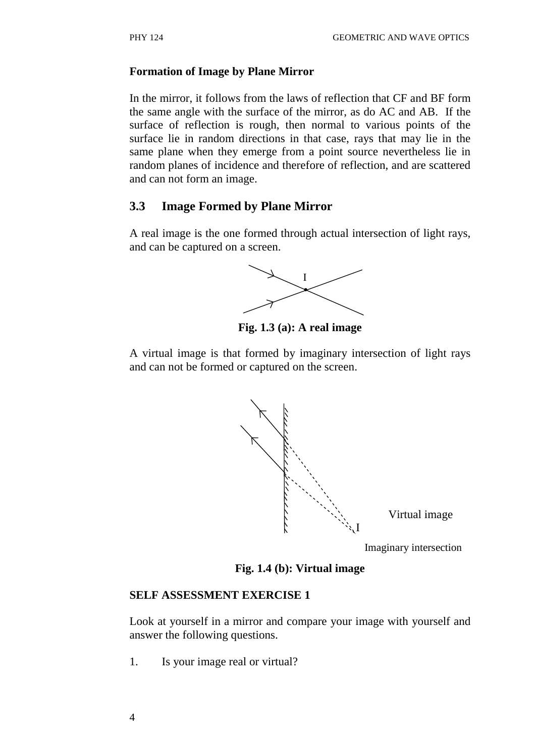#### **Formation of Image by Plane Mirror**

In the mirror, it follows from the laws of reflection that CF and BF form the same angle with the surface of the mirror, as do AC and AB. If the surface of reflection is rough, then normal to various points of the surface lie in random directions in that case, rays that may lie in the same plane when they emerge from a point source nevertheless lie in random planes of incidence and therefore of reflection, and are scattered and can not form an image.

## **3.3 Image Formed by Plane Mirror**

A real image is the one formed through actual intersection of light rays, and can be captured on a screen.



**Fig. 1.3 (a): A real image** 

A virtual image is that formed by imaginary intersection of light rays and can not be formed or captured on the screen.



Imaginary intersection

**Fig. 1.4 (b): Virtual image** 

#### **SELF ASSESSMENT EXERCISE 1**

Look at yourself in a mirror and compare your image with yourself and answer the following questions.

1. Is your image real or virtual?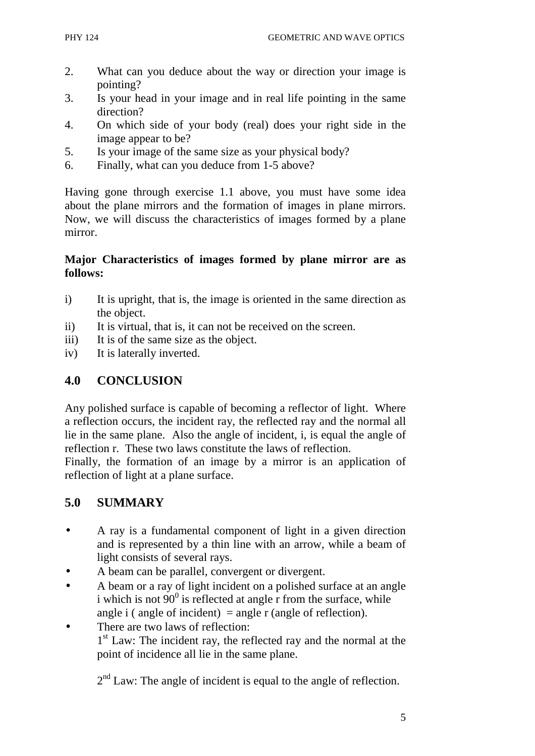- 2. What can you deduce about the way or direction your image is pointing?
- 3. Is your head in your image and in real life pointing in the same direction?
- 4. On which side of your body (real) does your right side in the image appear to be?
- 5. Is your image of the same size as your physical body?
- 6. Finally, what can you deduce from 1-5 above?

Having gone through exercise 1.1 above, you must have some idea about the plane mirrors and the formation of images in plane mirrors. Now, we will discuss the characteristics of images formed by a plane mirror.

# **Major Characteristics of images formed by plane mirror are as follows:**

- i) It is upright, that is, the image is oriented in the same direction as the object.
- ii) It is virtual, that is, it can not be received on the screen.
- iii) It is of the same size as the object.
- iv) It is laterally inverted.

# **4.0 CONCLUSION**

Any polished surface is capable of becoming a reflector of light. Where a reflection occurs, the incident ray, the reflected ray and the normal all lie in the same plane. Also the angle of incident, i, is equal the angle of reflection r. These two laws constitute the laws of reflection.

Finally, the formation of an image by a mirror is an application of reflection of light at a plane surface.

# **5.0 SUMMARY**

- A ray is a fundamental component of light in a given direction and is represented by a thin line with an arrow, while a beam of light consists of several rays.
- A beam can be parallel, convergent or divergent.
- A beam or a ray of light incident on a polished surface at an angle i which is not  $90^0$  is reflected at angle r from the surface, while angle i ( angle of incident) = angle  $r$  (angle of reflection).
- There are two laws of reflection:

1<sup>st</sup> Law: The incident ray, the reflected ray and the normal at the point of incidence all lie in the same plane.

 $2<sup>nd</sup>$  Law: The angle of incident is equal to the angle of reflection.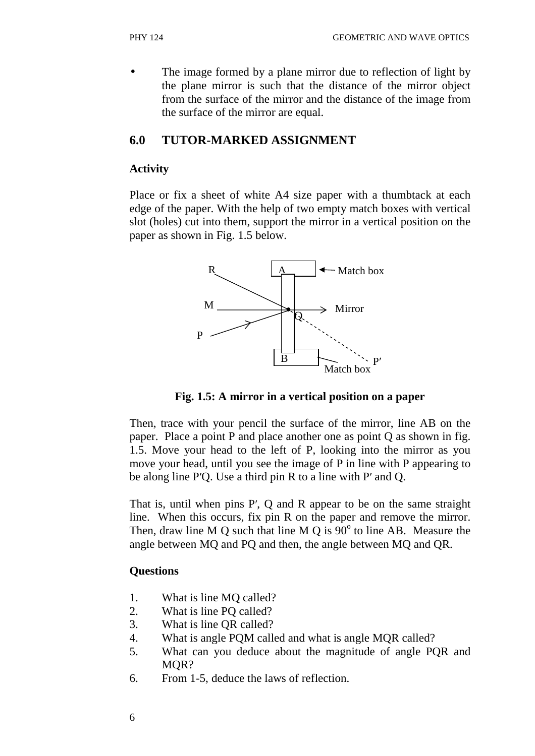The image formed by a plane mirror due to reflection of light by the plane mirror is such that the distance of the mirror object from the surface of the mirror and the distance of the image from the surface of the mirror are equal.

# **6.0 TUTOR-MARKED ASSIGNMENT**

## **Activity**

Place or fix a sheet of white A4 size paper with a thumbtack at each edge of the paper. With the help of two empty match boxes with vertical slot (holes) cut into them, support the mirror in a vertical position on the paper as shown in Fig. 1.5 below.



**Fig. 1.5: A mirror in a vertical position on a paper** 

Then, trace with your pencil the surface of the mirror, line AB on the paper. Place a point P and place another one as point Q as shown in fig. 1.5. Move your head to the left of P, looking into the mirror as you move your head, until you see the image of P in line with P appearing to be along line P′Q. Use a third pin R to a line with P′ and Q.

That is, until when pins P′, Q and R appear to be on the same straight line. When this occurs, fix pin R on the paper and remove the mirror. Then, draw line M Q such that line M Q is  $90^{\circ}$  to line AB. Measure the angle between MQ and PQ and then, the angle between MQ and QR.

# **Questions**

- 1. What is line MQ called?
- 2. What is line PQ called?
- 3. What is line QR called?
- 4. What is angle PQM called and what is angle MQR called?
- 5. What can you deduce about the magnitude of angle PQR and MOR?
- 6. From 1-5, deduce the laws of reflection.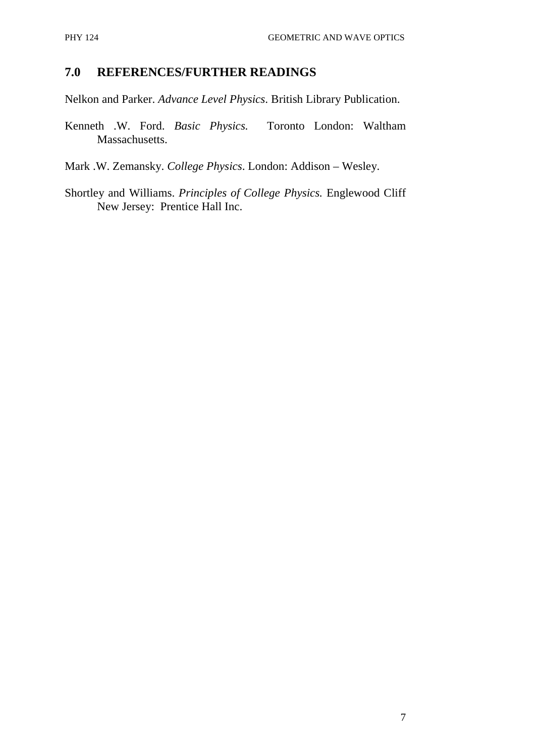## **7.0 REFERENCES/FURTHER READINGS**

Nelkon and Parker. *Advance Level Physics*. British Library Publication.

Kenneth .W. Ford. *Basic Physics.* Toronto London: Waltham Massachusetts.

Mark .W. Zemansky. *College Physics*. London: Addison – Wesley.

Shortley and Williams. *Principles of College Physics.* Englewood Cliff New Jersey: Prentice Hall Inc.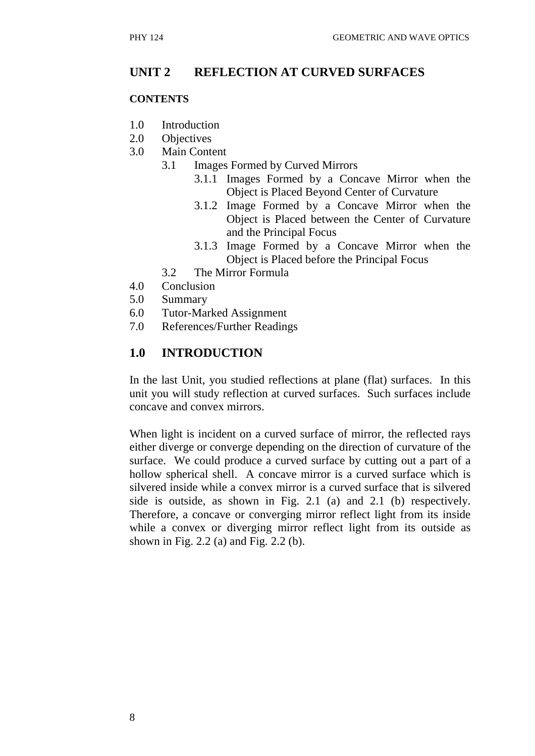#### **UNIT 2 REFLECTION AT CURVED SURFACES**

#### **CONTENTS**

- 1.0 Introduction
- 2.0 Objectives
- 3.0 Main Content
	- 3.1 Images Formed by Curved Mirrors
		- 3.1.1 Images Formed by a Concave Mirror when the Object is Placed Beyond Center of Curvature
		- 3.1.2 Image Formed by a Concave Mirror when the Object is Placed between the Center of Curvature and the Principal Focus
		- 3.1.3 Image Formed by a Concave Mirror when the Object is Placed before the Principal Focus
	- 3.2 The Mirror Formula
- 4.0 Conclusion
- 5.0 Summary
- 6.0 Tutor-Marked Assignment
- 7.0 References/Further Readings

# **1.0 INTRODUCTION**

In the last Unit, you studied reflections at plane (flat) surfaces. In this unit you will study reflection at curved surfaces. Such surfaces include concave and convex mirrors.

When light is incident on a curved surface of mirror, the reflected rays either diverge or converge depending on the direction of curvature of the surface. We could produce a curved surface by cutting out a part of a hollow spherical shell. A concave mirror is a curved surface which is silvered inside while a convex mirror is a curved surface that is silvered side is outside, as shown in Fig. 2.1 (a) and 2.1 (b) respectively. Therefore, a concave or converging mirror reflect light from its inside while a convex or diverging mirror reflect light from its outside as shown in Fig. 2.2 (a) and Fig. 2.2 (b).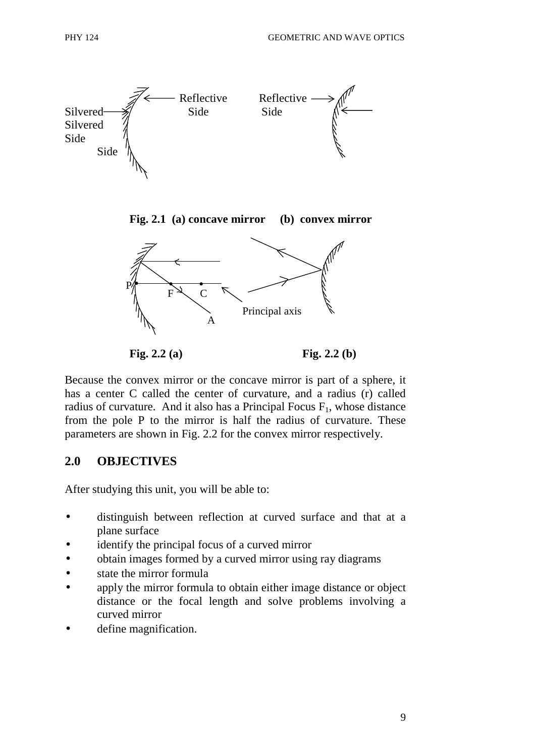

**Fig. 2.1 (a) concave mirror (b) convex mirror** 



Fig. 2.2 (a) **Fig. 2.2 (b)** 

Because the convex mirror or the concave mirror is part of a sphere, it has a center C called the center of curvature, and a radius (r) called radius of curvature. And it also has a Principal Focus  $F_1$ , whose distance from the pole P to the mirror is half the radius of curvature. These parameters are shown in Fig. 2.2 for the convex mirror respectively.

## **2.0 OBJECTIVES**

After studying this unit, you will be able to:

- distinguish between reflection at curved surface and that at a plane surface
- identify the principal focus of a curved mirror
- obtain images formed by a curved mirror using ray diagrams
- state the mirror formula
- apply the mirror formula to obtain either image distance or object distance or the focal length and solve problems involving a curved mirror
- define magnification.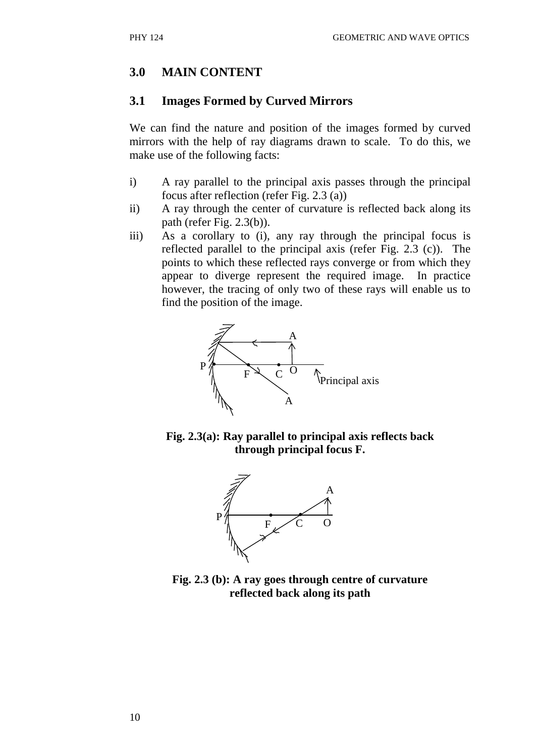# **3.0 MAIN CONTENT**

## **3.1 Images Formed by Curved Mirrors**

We can find the nature and position of the images formed by curved mirrors with the help of ray diagrams drawn to scale. To do this, we make use of the following facts:

- i) A ray parallel to the principal axis passes through the principal focus after reflection (refer Fig. 2.3 (a))
- ii) A ray through the center of curvature is reflected back along its path (refer Fig. 2.3(b)).
- iii) As a corollary to (i), any ray through the principal focus is reflected parallel to the principal axis (refer Fig. 2.3 (c)). The points to which these reflected rays converge or from which they appear to diverge represent the required image. In practice however, the tracing of only two of these rays will enable us to find the position of the image.



**Fig. 2.3(a): Ray parallel to principal axis reflects back through principal focus F.**



**Fig. 2.3 (b): A ray goes through centre of curvature reflected back along its path**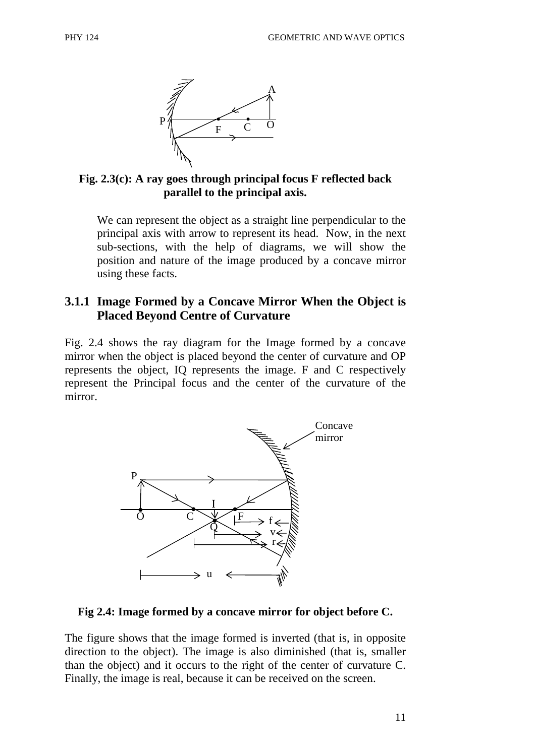

#### **Fig. 2.3(c): A ray goes through principal focus F reflected back parallel to the principal axis.**

We can represent the object as a straight line perpendicular to the principal axis with arrow to represent its head. Now, in the next sub-sections, with the help of diagrams, we will show the position and nature of the image produced by a concave mirror using these facts.

#### **3.1.1 Image Formed by a Concave Mirror When the Object is Placed Beyond Centre of Curvature**

Fig. 2.4 shows the ray diagram for the Image formed by a concave mirror when the object is placed beyond the center of curvature and OP represents the object, IQ represents the image. F and C respectively represent the Principal focus and the center of the curvature of the mirror.



#### **Fig 2.4: Image formed by a concave mirror for object before C.**

The figure shows that the image formed is inverted (that is, in opposite direction to the object). The image is also diminished (that is, smaller than the object) and it occurs to the right of the center of curvature C. Finally, the image is real, because it can be received on the screen.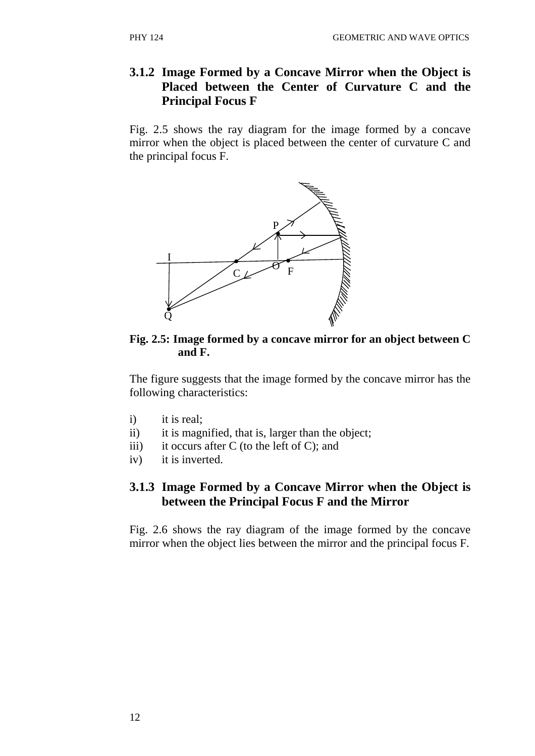# **3.1.2 Image Formed by a Concave Mirror when the Object is Placed between the Center of Curvature C and the Principal Focus F**

Fig. 2.5 shows the ray diagram for the image formed by a concave mirror when the object is placed between the center of curvature C and the principal focus F.



**Fig. 2.5: Image formed by a concave mirror for an object between C and F.** 

The figure suggests that the image formed by the concave mirror has the following characteristics:

- i) it is real;
- ii) it is magnified, that is, larger than the object;
- iii) it occurs after  $C$  (to the left of  $C$ ); and
- iv) it is inverted.

## **3.1.3 Image Formed by a Concave Mirror when the Object is between the Principal Focus F and the Mirror**

Fig. 2.6 shows the ray diagram of the image formed by the concave mirror when the object lies between the mirror and the principal focus F.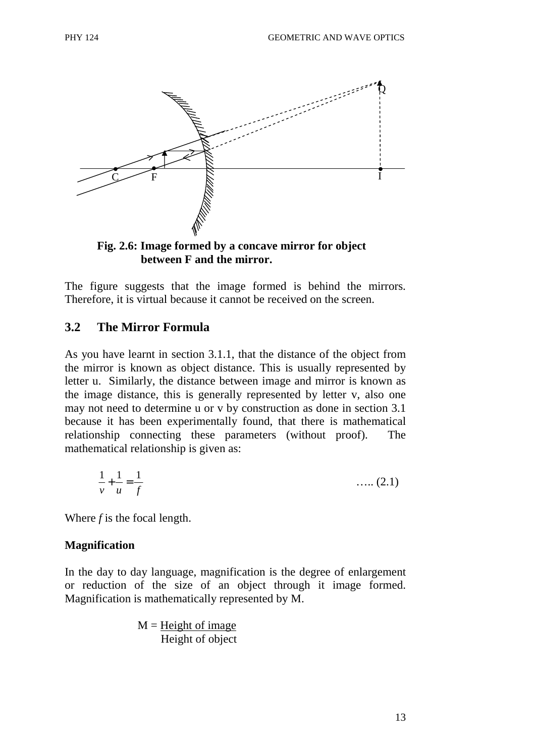

**Fig. 2.6: Image formed by a concave mirror for object between F and the mirror.** 

The figure suggests that the image formed is behind the mirrors. Therefore, it is virtual because it cannot be received on the screen.

#### **3.2 The Mirror Formula**

As you have learnt in section 3.1.1, that the distance of the object from the mirror is known as object distance. This is usually represented by letter u. Similarly, the distance between image and mirror is known as the image distance, this is generally represented by letter v, also one may not need to determine u or v by construction as done in section 3.1 because it has been experimentally found, that there is mathematical relationship connecting these parameters (without proof). The mathematical relationship is given as:

$$
\frac{1}{v} + \frac{1}{u} = \frac{1}{f}
$$
 ...... (2.1)

Where *f* is the focal length.

#### **Magnification**

In the day to day language, magnification is the degree of enlargement or reduction of the size of an object through it image formed. Magnification is mathematically represented by M.

$$
M = \underline{Height\ of\ image}
$$
  
Height of object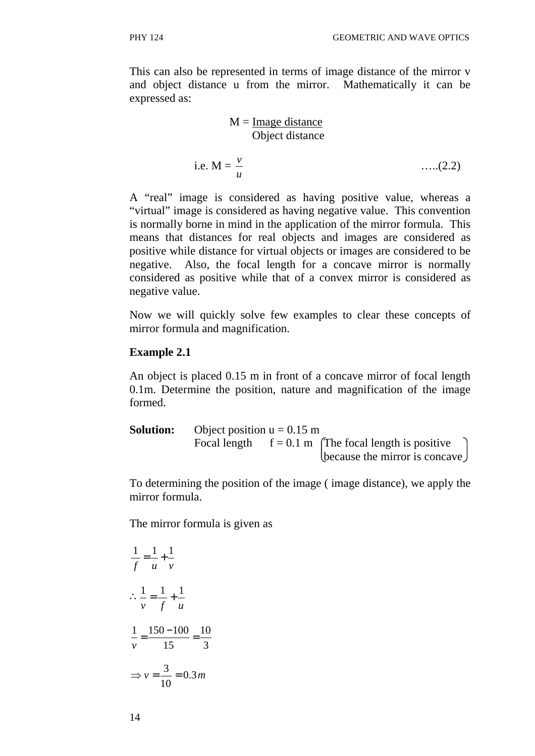This can also be represented in terms of image distance of the mirror v and object distance u from the mirror. Mathematically it can be expressed as:

$$
M = \underline{\text{Image distance}}
$$
  
Object distance  
i.e.  $M = \frac{v}{u}$  ....(2.2)

A "real" image is considered as having positive value, whereas a "virtual" image is considered as having negative value. This convention is normally borne in mind in the application of the mirror formula. This means that distances for real objects and images are considered as positive while distance for virtual objects or images are considered to be negative. Also, the focal length for a concave mirror is normally considered as positive while that of a convex mirror is considered as negative value.

Now we will quickly solve few examples to clear these concepts of mirror formula and magnification.

#### **Example 2.1**

An object is placed 0.15 m in front of a concave mirror of focal length 0.1m. Determine the position, nature and magnification of the image formed.

**Solution:** Object position  $u = 0.15$  m Focal length  $f = 0.1$  m (The focal length is positive because the mirror is concave

To determining the position of the image ( image distance), we apply the mirror formula.

The mirror formula is given as

$$
\frac{1}{f} = \frac{1}{u} + \frac{1}{v}
$$
  

$$
\therefore \frac{1}{v} = \frac{1}{f} + \frac{1}{u}
$$
  

$$
\frac{1}{v} = \frac{150 - 100}{15} = \frac{10}{3}
$$
  

$$
\Rightarrow v = \frac{3}{10} = 0.3 m
$$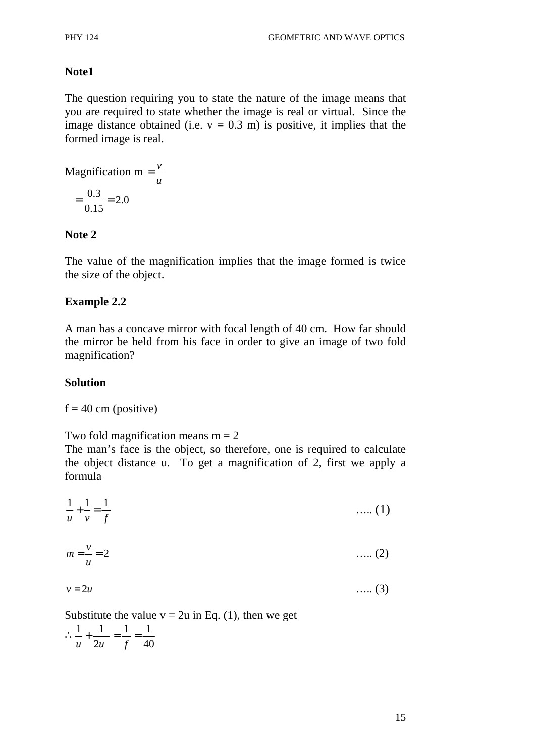#### **Note1**

The question requiring you to state the nature of the image means that you are required to state whether the image is real or virtual. Since the image distance obtained (i.e.  $v = 0.3$  m) is positive, it implies that the formed image is real.

Magnification m = 
$$
\frac{v}{u}
$$
  
=  $\frac{0.3}{0.15}$  = 2.0

## **Note 2**

The value of the magnification implies that the image formed is twice the size of the object.

#### **Example 2.2**

A man has a concave mirror with focal length of 40 cm. How far should the mirror be held from his face in order to give an image of two fold magnification?

#### **Solution**

 $f = 40$  cm (positive)

Two fold magnification means  $m = 2$ 

The man's face is the object, so therefore, one is required to calculate the object distance u. To get a magnification of 2, first we apply a formula

$$
\frac{1}{u} + \frac{1}{v} = \frac{1}{f}
$$
 ...... (1)  

$$
m = \frac{v}{u} = 2
$$
 ...... (2)  

$$
v = 2u
$$
 ...... (3)

Substitute the value  $v = 2u$  in Eq. (1), then we get

$$
\therefore \frac{1}{u} + \frac{1}{2u} = \frac{1}{f} = \frac{1}{40}
$$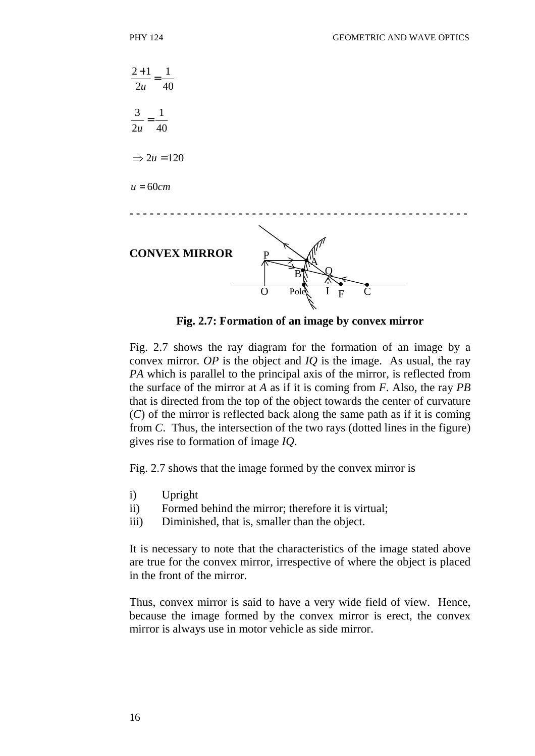

Fig. 2.7 shows the ray diagram for the formation of an image by a convex mirror. *OP* is the object and *IQ* is the image. As usual, the ray *PA* which is parallel to the principal axis of the mirror, is reflected from the surface of the mirror at *A* as if it is coming from *F*. Also, the ray *PB* that is directed from the top of the object towards the center of curvature (*C*) of the mirror is reflected back along the same path as if it is coming from *C*. Thus, the intersection of the two rays (dotted lines in the figure) gives rise to formation of image *IQ*.

Fig. 2.7 shows that the image formed by the convex mirror is

- i) Upright
- ii) Formed behind the mirror; therefore it is virtual;
- iii) Diminished, that is, smaller than the object.

It is necessary to note that the characteristics of the image stated above are true for the convex mirror, irrespective of where the object is placed in the front of the mirror.

Thus, convex mirror is said to have a very wide field of view. Hence, because the image formed by the convex mirror is erect, the convex mirror is always use in motor vehicle as side mirror.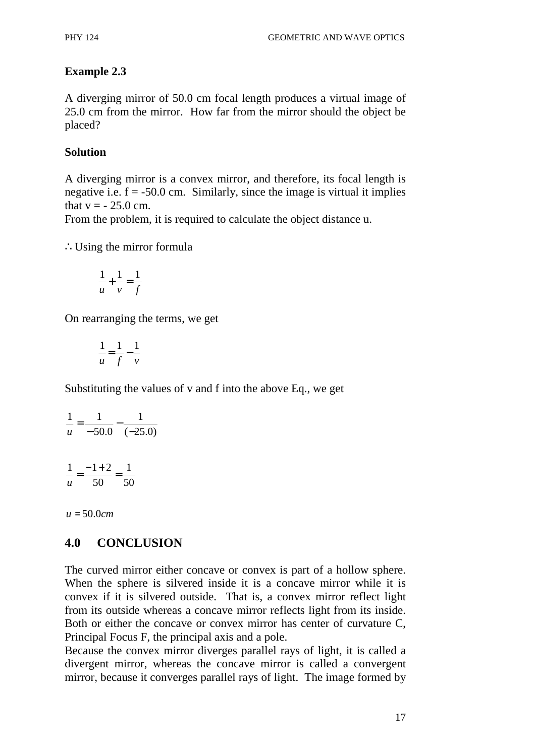## **Example 2.3**

A diverging mirror of 50.0 cm focal length produces a virtual image of 25.0 cm from the mirror. How far from the mirror should the object be placed?

#### **Solution**

A diverging mirror is a convex mirror, and therefore, its focal length is negative i.e.  $f = -50.0$  cm. Similarly, since the image is virtual it implies that  $v = -25.0$  cm.

From the problem, it is required to calculate the object distance u.

∴Using the mirror formula

$$
\frac{1}{u} + \frac{1}{v} = \frac{1}{f}
$$

On rearranging the terms, we get

$$
\frac{1}{u} = \frac{1}{f} - \frac{1}{v}
$$

Substituting the values of v and f into the above Eq., we get

$$
\frac{1}{u} = \frac{1}{-50.0} - \frac{1}{(-25.0)}
$$

50 1 50  $\frac{1}{2} = \frac{-1+2}{2} =$ *u*

 $u = 50.0cm$ 

# **4.0 CONCLUSION**

The curved mirror either concave or convex is part of a hollow sphere. When the sphere is silvered inside it is a concave mirror while it is convex if it is silvered outside. That is, a convex mirror reflect light from its outside whereas a concave mirror reflects light from its inside. Both or either the concave or convex mirror has center of curvature C, Principal Focus F, the principal axis and a pole.

Because the convex mirror diverges parallel rays of light, it is called a divergent mirror, whereas the concave mirror is called a convergent mirror, because it converges parallel rays of light. The image formed by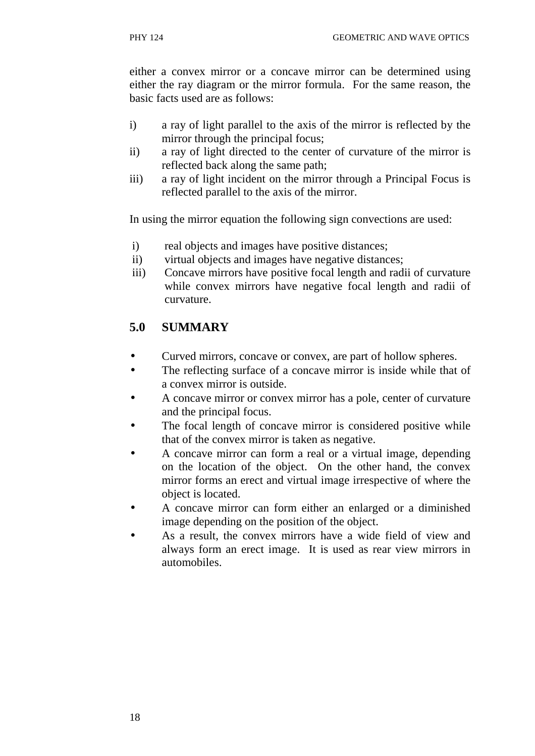either a convex mirror or a concave mirror can be determined using either the ray diagram or the mirror formula. For the same reason, the basic facts used are as follows:

- i) a ray of light parallel to the axis of the mirror is reflected by the mirror through the principal focus;
- ii) a ray of light directed to the center of curvature of the mirror is reflected back along the same path;
- iii) a ray of light incident on the mirror through a Principal Focus is reflected parallel to the axis of the mirror.

In using the mirror equation the following sign convections are used:

- i) real objects and images have positive distances;
- ii) virtual objects and images have negative distances;
- iii) Concave mirrors have positive focal length and radii of curvature while convex mirrors have negative focal length and radii of curvature.

# **5.0 SUMMARY**

- Curved mirrors, concave or convex, are part of hollow spheres.
- The reflecting surface of a concave mirror is inside while that of a convex mirror is outside.
- A concave mirror or convex mirror has a pole, center of curvature and the principal focus.
- The focal length of concave mirror is considered positive while that of the convex mirror is taken as negative.
- A concave mirror can form a real or a virtual image, depending on the location of the object. On the other hand, the convex mirror forms an erect and virtual image irrespective of where the object is located.
- A concave mirror can form either an enlarged or a diminished image depending on the position of the object.
- As a result, the convex mirrors have a wide field of view and always form an erect image. It is used as rear view mirrors in automobiles.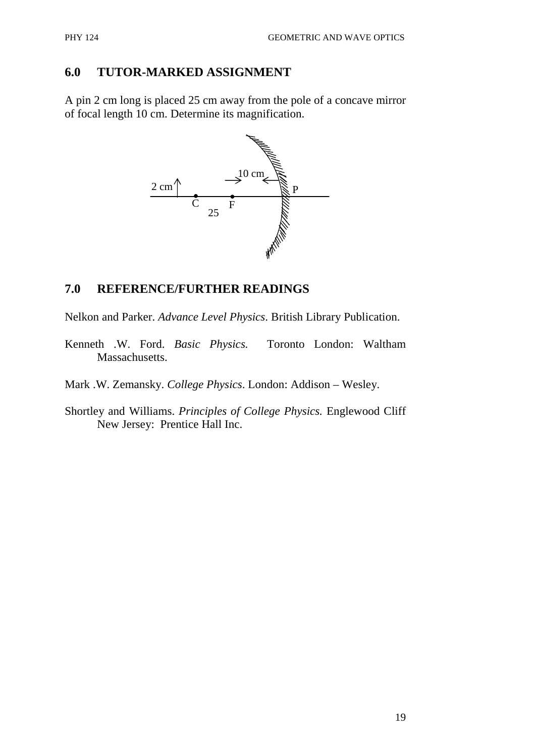#### **6.0 TUTOR-MARKED ASSIGNMENT**

A pin 2 cm long is placed 25 cm away from the pole of a concave mirror of focal length 10 cm. Determine its magnification.



#### **7.0 REFERENCE/FURTHER READINGS**

Nelkon and Parker. *Advance Level Physics*. British Library Publication.

Kenneth .W. Ford. *Basic Physics.* Toronto London: Waltham Massachusetts.

Mark .W. Zemansky. *College Physics*. London: Addison – Wesley.

Shortley and Williams. *Principles of College Physics.* Englewood Cliff New Jersey: Prentice Hall Inc.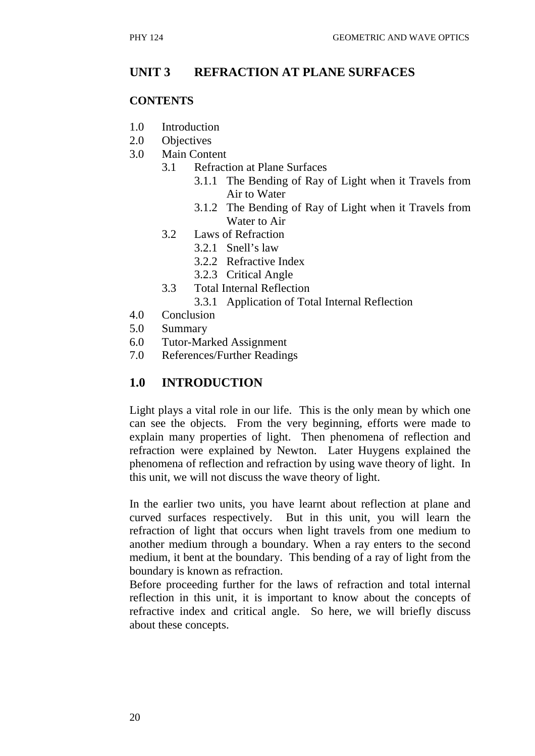### **UNIT 3 REFRACTION AT PLANE SURFACES**

#### **CONTENTS**

- 1.0 Introduction
- 2.0 Objectives
- 3.0 Main Content
	- 3.1 Refraction at Plane Surfaces
		- 3.1.1 The Bending of Ray of Light when it Travels from Air to Water
		- 3.1.2 The Bending of Ray of Light when it Travels from Water to Air
	- 3.2 Laws of Refraction
		- 3.2.1 Snell's law
		- 3.2.2 Refractive Index
		- 3.2.3 Critical Angle
	- 3.3 Total Internal Reflection
		- 3.3.1 Application of Total Internal Reflection
- 4.0 Conclusion
- 5.0 Summary
- 6.0 Tutor-Marked Assignment
- 7.0 References/Further Readings

#### **1.0 INTRODUCTION**

Light plays a vital role in our life. This is the only mean by which one can see the objects. From the very beginning, efforts were made to explain many properties of light. Then phenomena of reflection and refraction were explained by Newton. Later Huygens explained the phenomena of reflection and refraction by using wave theory of light. In this unit, we will not discuss the wave theory of light.

In the earlier two units, you have learnt about reflection at plane and curved surfaces respectively. But in this unit, you will learn the refraction of light that occurs when light travels from one medium to another medium through a boundary. When a ray enters to the second medium, it bent at the boundary. This bending of a ray of light from the boundary is known as refraction.

Before proceeding further for the laws of refraction and total internal reflection in this unit, it is important to know about the concepts of refractive index and critical angle. So here, we will briefly discuss about these concepts.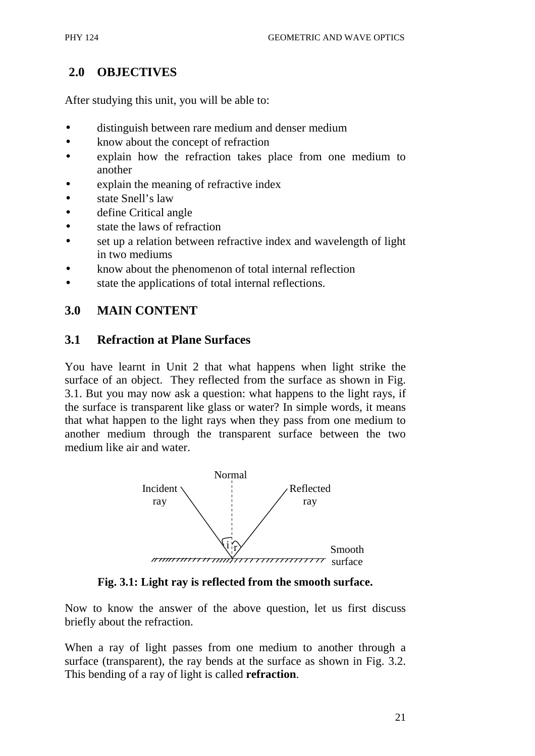# **2.0 OBJECTIVES**

After studying this unit, you will be able to:

- distinguish between rare medium and denser medium
- know about the concept of refraction
- explain how the refraction takes place from one medium to another
- explain the meaning of refractive index
- state Snell's law
- define Critical angle
- state the laws of refraction
- set up a relation between refractive index and wavelength of light in two mediums
- know about the phenomenon of total internal reflection
- state the applications of total internal reflections.

# **3.0 MAIN CONTENT**

### **3.1 Refraction at Plane Surfaces**

You have learnt in Unit 2 that what happens when light strike the surface of an object. They reflected from the surface as shown in Fig. 3.1. But you may now ask a question: what happens to the light rays, if the surface is transparent like glass or water? In simple words, it means that what happen to the light rays when they pass from one medium to another medium through the transparent surface between the two medium like air and water.



**Fig. 3.1: Light ray is reflected from the smooth surface.** 

Now to know the answer of the above question, let us first discuss briefly about the refraction.

When a ray of light passes from one medium to another through a surface (transparent), the ray bends at the surface as shown in Fig. 3.2. This bending of a ray of light is called **refraction**.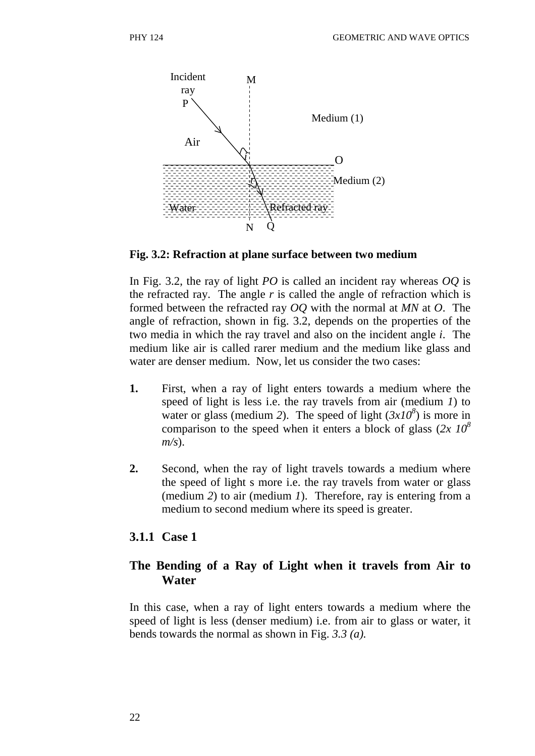

**Fig. 3.2: Refraction at plane surface between two medium** 

In Fig. 3.2, the ray of light *PO* is called an incident ray whereas *OQ* is the refracted ray. The angle  $r$  is called the angle of refraction which is formed between the refracted ray *OQ* with the normal at *MN* at *O*. The angle of refraction, shown in fig. 3.2, depends on the properties of the two media in which the ray travel and also on the incident angle *i*. The medium like air is called rarer medium and the medium like glass and water are denser medium. Now, let us consider the two cases:

- **1.** First, when a ray of light enters towards a medium where the speed of light is less i.e. the ray travels from air (medium *1*) to water or glass (medium 2). The speed of light  $(3x10^8)$  is more in comparison to the speed when it enters a block of glass (*2x 10<sup>8</sup> m/s*).
- **2.** Second, when the ray of light travels towards a medium where the speed of light s more i.e. the ray travels from water or glass (medium *2*) to air (medium *1*). Therefore, ray is entering from a medium to second medium where its speed is greater.

#### **3.1.1 Case 1**

### **The Bending of a Ray of Light when it travels from Air to Water**

In this case, when a ray of light enters towards a medium where the speed of light is less (denser medium) i.e. from air to glass or water, it bends towards the normal as shown in Fig. *3.3 (a).*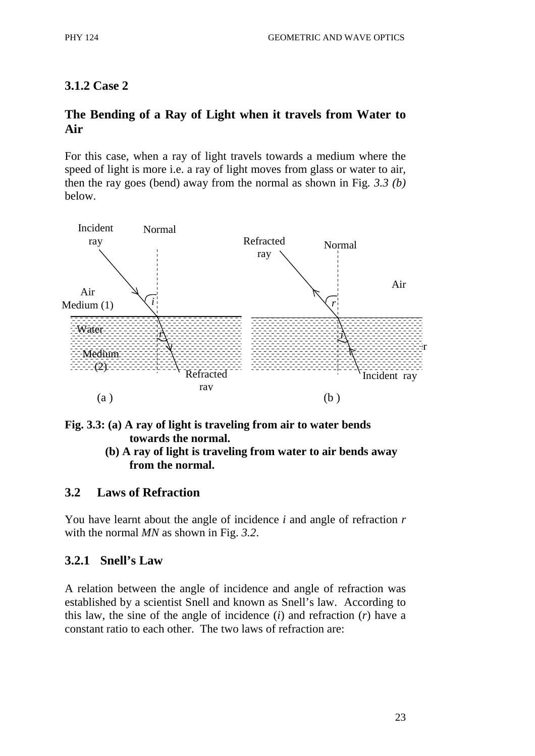# **3.1.2 Case 2**

# **The Bending of a Ray of Light when it travels from Water to Air**

For this case, when a ray of light travels towards a medium where the speed of light is more i.e. a ray of light moves from glass or water to air, then the ray goes (bend) away from the normal as shown in Fig*. 3.3 (b)* below.



**Fig. 3.3: (a) A ray of light is traveling from air to water bends towards the normal.** 

### **3.2 Laws of Refraction**

You have learnt about the angle of incidence *i* and angle of refraction *r* with the normal *MN* as shown in Fig. *3.2*.

# **3.2.1 Snell's Law**

A relation between the angle of incidence and angle of refraction was established by a scientist Snell and known as Snell's law. According to this law, the sine of the angle of incidence (*i*) and refraction (*r*) have a constant ratio to each other. The two laws of refraction are:

**<sup>(</sup>b) A ray of light is traveling from water to air bends away from the normal.**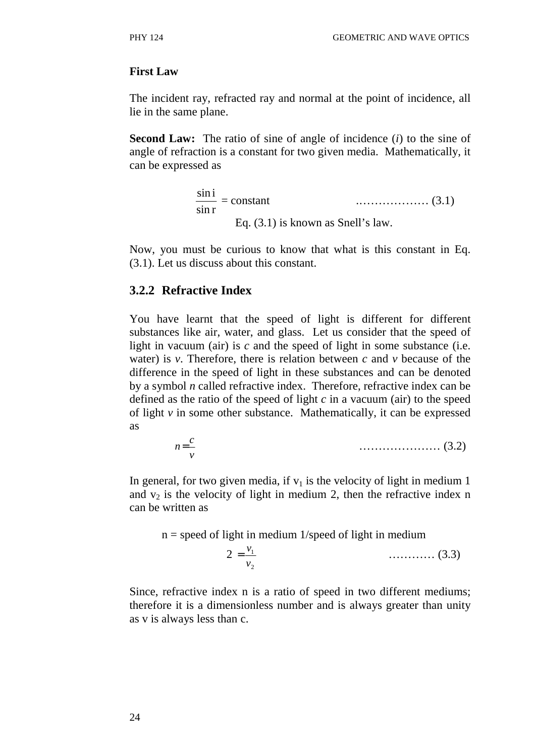#### **First Law**

The incident ray, refracted ray and normal at the point of incidence, all lie in the same plane.

**Second Law:** The ratio of sine of angle of incidence (*i*) to the sine of angle of refraction is a constant for two given media. Mathematically, it can be expressed as

> sin r sin i = constant .……………… (3.1) Eq. (3.1) is known as Snell's law.

Now, you must be curious to know that what is this constant in Eq. (3.1). Let us discuss about this constant.

#### **3.2.2 Refractive Index**

You have learnt that the speed of light is different for different substances like air, water, and glass. Let us consider that the speed of light in vacuum (air) is *c* and the speed of light in some substance (i.e. water) is *v*. Therefore, there is relation between *c* and *v* because of the difference in the speed of light in these substances and can be denoted by a symbol *n* called refractive index. Therefore, refractive index can be defined as the ratio of the speed of light *c* in a vacuum (air) to the speed of light *v* in some other substance. Mathematically, it can be expressed as

$$
n = \frac{c}{v} \tag{3.2}
$$

In general, for two given media, if  $v_1$  is the velocity of light in medium 1 and  $v_2$  is the velocity of light in medium 2, then the refractive index n can be written as

n = speed of light in medium 1/speed of light in medium  

$$
2 = \frac{v_1}{v_2}
$$
 (3.3)

Since, refractive index n is a ratio of speed in two different mediums; therefore it is a dimensionless number and is always greater than unity as v is always less than c.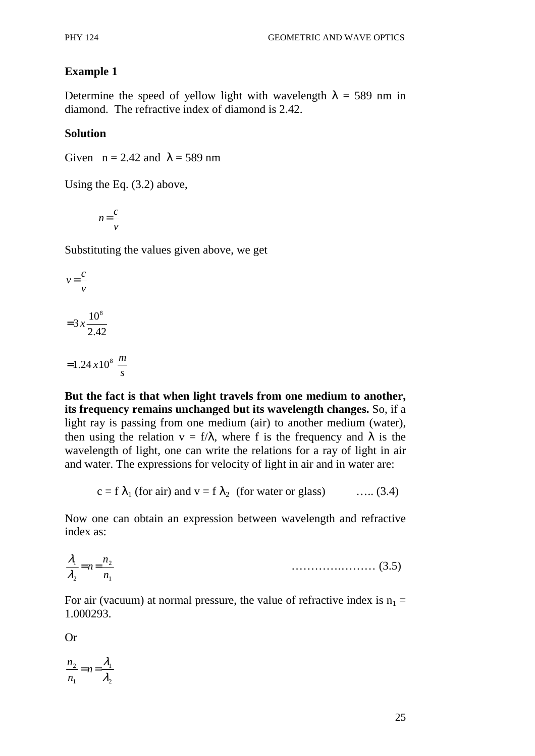## **Example 1**

Determine the speed of yellow light with wavelength  $\lambda = 589$  nm in diamond. The refractive index of diamond is 2.42.

#### **Solution**

Given  $n = 2.42$  and  $\lambda = 589$  nm

Using the Eq. (3.2) above,

$$
n = \frac{c}{v}
$$

Substituting the values given above, we get

$$
v = \frac{c}{v}
$$

$$
= 3x \frac{10^8}{2.42}
$$

$$
=1.24x10^8\frac{m}{s}
$$

**But the fact is that when light travels from one medium to another, its frequency remains unchanged but its wavelength changes.** So, if a light ray is passing from one medium (air) to another medium (water), then using the relation  $y = f/\lambda$ , where f is the frequency and  $\lambda$  is the wavelength of light, one can write the relations for a ray of light in air and water. The expressions for velocity of light in air and in water are:

$$
c = f \lambda_1
$$
 (for air) and  $v = f \lambda_2$  (for water or glass) ....(3.4)

Now one can obtain an expression between wavelength and refractive index as:

$$
\frac{\lambda_1}{\lambda_2} = n = \frac{n_2}{n_1} \tag{3.5}
$$

For air (vacuum) at normal pressure, the value of refractive index is  $n_1 =$ 1.000293.

Or

$$
\frac{n_2}{n_1} = n = \frac{\lambda_1}{\lambda_2}
$$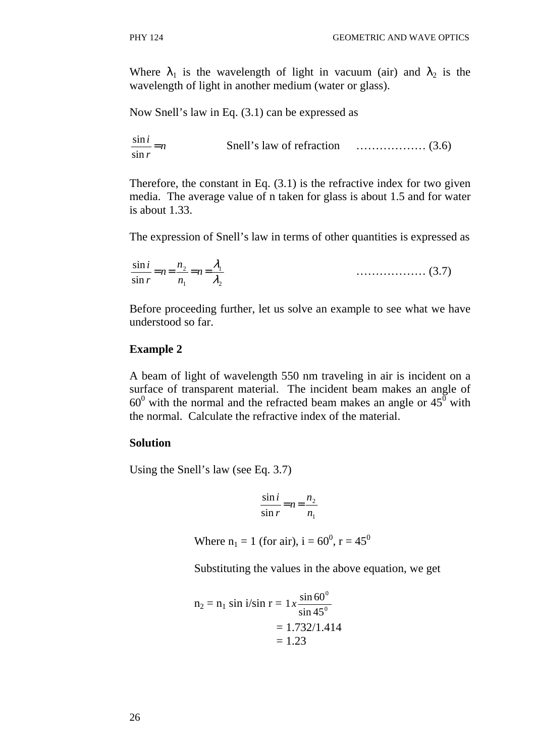Where  $\lambda_1$  is the wavelength of light in vacuum (air) and  $\lambda_2$  is the wavelength of light in another medium (water or glass).

Now Snell's law in Eq. (3.1) can be expressed as

*n r*  $\frac{i}{-}$ sin Snell's law of refraction  $\dots$   $\dots$   $(3.6)$ 

Therefore, the constant in Eq.  $(3.1)$  is the refractive index for two given media. The average value of n taken for glass is about 1.5 and for water is about 1.33.

The expression of Snell's law in terms of other quantities is expressed as

$$
\frac{\sin i}{\sin r} = n = \frac{n_2}{n_1} = n = \frac{\lambda_1}{\lambda_2}
$$
 (3.7)

Before proceeding further, let us solve an example to see what we have understood so far.

#### **Example 2**

A beam of light of wavelength 550 nm traveling in air is incident on a surface of transparent material. The incident beam makes an angle of  $60^{\circ}$  with the normal and the refracted beam makes an angle or  $45^{\circ}$  with the normal. Calculate the refractive index of the material.

#### **Solution**

Using the Snell's law (see Eq. 3.7)

$$
\frac{\sin i}{\sin r} = n = \frac{n_2}{n_1}
$$

Where 
$$
n_1 = 1
$$
 (for air),  $i = 60^0$ ,  $r = 45^0$ 

Substituting the values in the above equation, we get

$$
n_2 = n_1 \sin i/\sin r = 1 \times \frac{\sin 60^\circ}{\sin 45^\circ}
$$
  
= 1.732/1.414  
= 1.23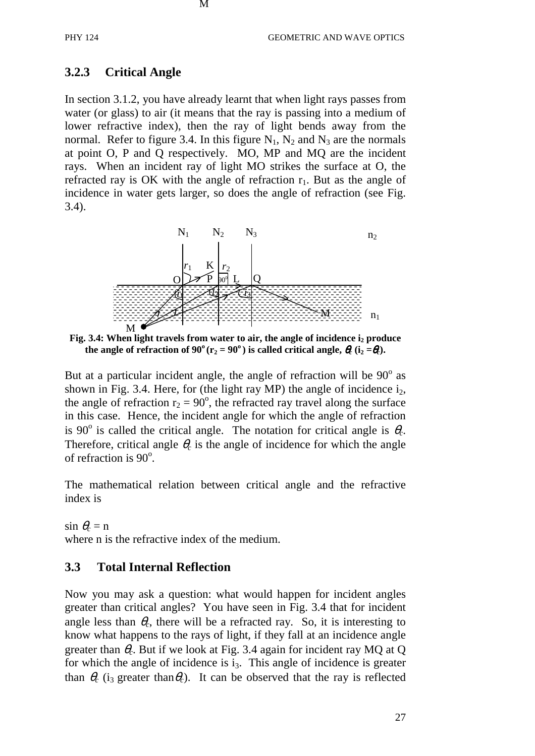#### **3.2.3 Critical Angle**

In section 3.1.2, you have already learnt that when light rays passes from water (or glass) to air (it means that the ray is passing into a medium of lower refractive index), then the ray of light bends away from the normal. Refer to figure 3.4. In this figure  $N_1$ ,  $N_2$  and  $N_3$  are the normals at point O, P and Q respectively. MO, MP and MQ are the incident rays. When an incident ray of light MO strikes the surface at O, the refracted ray is OK with the angle of refraction  $r_1$ . But as the angle of incidence in water gets larger, so does the angle of refraction (see Fig. 3.4).

M



**Fig. 3.4: When light travels from water to air, the angle of incidence i2 produce the angle of refraction of 90<sup>°</sup> (** $\mathbf{r}_2 = 90$ **<sup>°</sup>) is called critical angle,**  $\theta_c$  **(** $\mathbf{i}_2 = \theta_c$ **).** 

But at a particular incident angle, the angle of refraction will be  $90^{\circ}$  as shown in Fig. 3.4. Here, for (the light ray MP) the angle of incidence  $i_2$ , the angle of refraction  $r_2 = 90^\circ$ , the refracted ray travel along the surface in this case. Hence, the incident angle for which the angle of refraction is 90 $\degree$  is called the critical angle. The notation for critical angle is  $\theta_c$ . Therefore, critical angle  $\theta_c$  is the angle of incidence for which the angle of refraction is  $90^\circ$ .

The mathematical relation between critical angle and the refractive index is

 $\sin \theta_c = n$ 

where n is the refractive index of the medium.

#### **3.3 Total Internal Reflection**

Now you may ask a question: what would happen for incident angles greater than critical angles? You have seen in Fig. 3.4 that for incident angle less than  $\theta_c$ , there will be a refracted ray. So, it is interesting to know what happens to the rays of light, if they fall at an incidence angle greater than θ*<sup>c</sup>* . But if we look at Fig. 3.4 again for incident ray MQ at Q for which the angle of incidence is  $i<sub>3</sub>$ . This angle of incidence is greater than  $\theta_c$  (i<sub>3</sub> greater than  $\theta_c$ ). It can be observed that the ray is reflected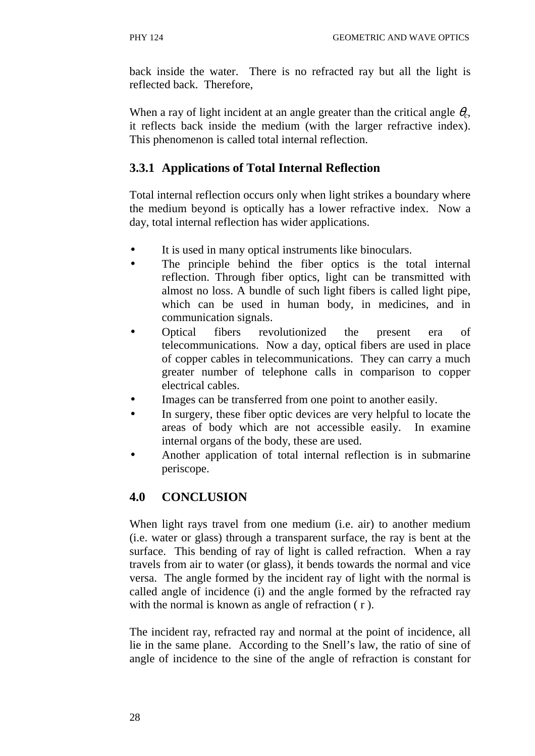back inside the water. There is no refracted ray but all the light is reflected back. Therefore,

When a ray of light incident at an angle greater than the critical angle  $\theta_c$ , it reflects back inside the medium (with the larger refractive index). This phenomenon is called total internal reflection.

# **3.3.1 Applications of Total Internal Reflection**

Total internal reflection occurs only when light strikes a boundary where the medium beyond is optically has a lower refractive index. Now a day, total internal reflection has wider applications.

- It is used in many optical instruments like binoculars.
- The principle behind the fiber optics is the total internal reflection. Through fiber optics, light can be transmitted with almost no loss. A bundle of such light fibers is called light pipe, which can be used in human body, in medicines, and in communication signals.
- Optical fibers revolutionized the present era of telecommunications. Now a day, optical fibers are used in place of copper cables in telecommunications. They can carry a much greater number of telephone calls in comparison to copper electrical cables.
- Images can be transferred from one point to another easily.
- In surgery, these fiber optic devices are very helpful to locate the areas of body which are not accessible easily. In examine internal organs of the body, these are used.
- Another application of total internal reflection is in submarine periscope.

# **4.0 CONCLUSION**

When light rays travel from one medium (i.e. air) to another medium (i.e. water or glass) through a transparent surface, the ray is bent at the surface. This bending of ray of light is called refraction. When a ray travels from air to water (or glass), it bends towards the normal and vice versa. The angle formed by the incident ray of light with the normal is called angle of incidence (i) and the angle formed by the refracted ray with the normal is known as angle of refraction  $(r)$ .

The incident ray, refracted ray and normal at the point of incidence, all lie in the same plane. According to the Snell's law, the ratio of sine of angle of incidence to the sine of the angle of refraction is constant for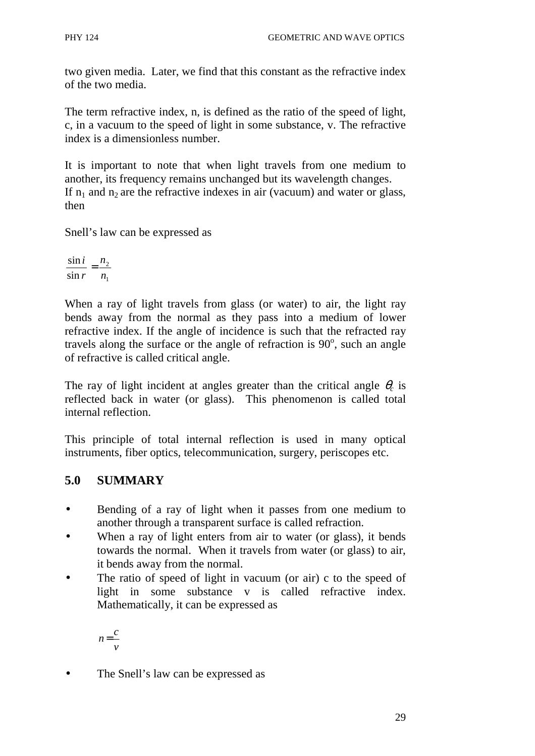two given media. Later, we find that this constant as the refractive index of the two media.

The term refractive index, n, is defined as the ratio of the speed of light, c, in a vacuum to the speed of light in some substance, v. The refractive index is a dimensionless number.

It is important to note that when light travels from one medium to another, its frequency remains unchanged but its wavelength changes. If  $n_1$  and  $n_2$  are the refractive indexes in air (vacuum) and water or glass, then

Snell's law can be expressed as

$$
\frac{\sin i}{\sin r} = \frac{n_2}{n_1}
$$

When a ray of light travels from glass (or water) to air, the light ray bends away from the normal as they pass into a medium of lower refractive index. If the angle of incidence is such that the refracted ray travels along the surface or the angle of refraction is  $90^\circ$ , such an angle of refractive is called critical angle.

The ray of light incident at angles greater than the critical angle  $\theta_c$  is reflected back in water (or glass). This phenomenon is called total internal reflection.

This principle of total internal reflection is used in many optical instruments, fiber optics, telecommunication, surgery, periscopes etc.

# **5.0 SUMMARY**

- Bending of a ray of light when it passes from one medium to another through a transparent surface is called refraction.
- When a ray of light enters from air to water (or glass), it bends towards the normal. When it travels from water (or glass) to air, it bends away from the normal.
- The ratio of speed of light in vacuum (or air) c to the speed of light in some substance v is called refractive index. Mathematically, it can be expressed as

$$
n = \frac{c}{v}
$$

• The Snell's law can be expressed as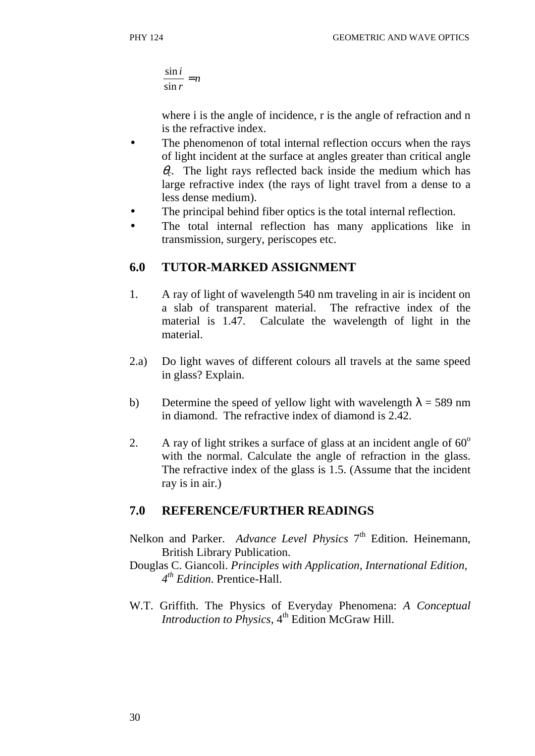*n r*  $\frac{i}{-}$ sin sin

where i is the angle of incidence, r is the angle of refraction and n is the refractive index.

- The phenomenon of total internal reflection occurs when the rays of light incident at the surface at angles greater than critical angle θ*c* . The light rays reflected back inside the medium which has large refractive index (the rays of light travel from a dense to a less dense medium).
- The principal behind fiber optics is the total internal reflection.
- The total internal reflection has many applications like in transmission, surgery, periscopes etc.

# **6.0 TUTOR-MARKED ASSIGNMENT**

- 1. A ray of light of wavelength 540 nm traveling in air is incident on a slab of transparent material. The refractive index of the material is 1.47. Calculate the wavelength of light in the material.
- 2.a) Do light waves of different colours all travels at the same speed in glass? Explain.
- b) Determine the speed of yellow light with wavelength  $\lambda = 589$  nm in diamond. The refractive index of diamond is 2.42.
- 2. A ray of light strikes a surface of glass at an incident angle of  $60^{\circ}$ with the normal. Calculate the angle of refraction in the glass. The refractive index of the glass is 1.5. (Assume that the incident ray is in air.)

# **7.0 REFERENCE/FURTHER READINGS**

- Nelkon and Parker. *Advance Level Physics* 7<sup>th</sup> Edition. Heinemann, British Library Publication.
- Douglas C. Giancoli. *Principles with Application, International Edition, 4 th Edition*. Prentice-Hall.
- W.T. Griffith. The Physics of Everyday Phenomena: *A Conceptual Introduction to Physics*, 4<sup>th</sup> Edition McGraw Hill.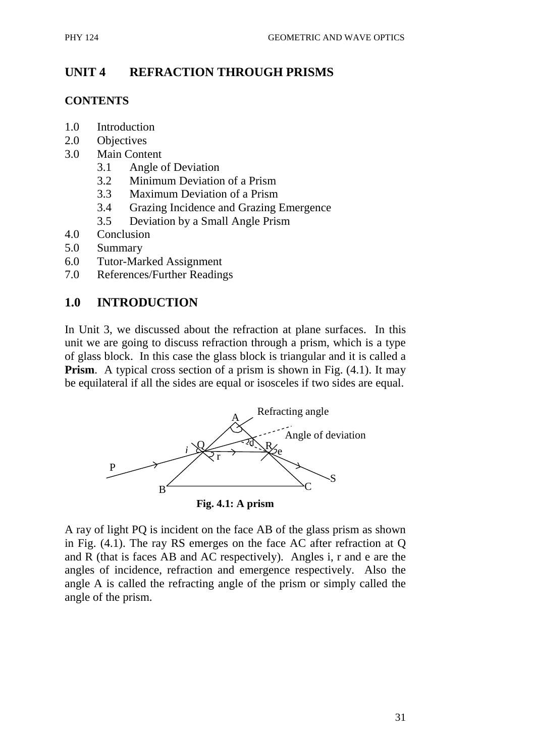# **UNIT 4 REFRACTION THROUGH PRISMS**

#### **CONTENTS**

- 1.0 Introduction
- 2.0 Objectives
- 3.0 Main Content
	- 3.1 Angle of Deviation
	- 3.2 Minimum Deviation of a Prism
	- 3.3 Maximum Deviation of a Prism
	- 3.4 Grazing Incidence and Grazing Emergence
	- 3.5 Deviation by a Small Angle Prism
- 4.0 Conclusion
- 5.0 Summary
- 6.0 Tutor-Marked Assignment
- 7.0 References/Further Readings

### **1.0 INTRODUCTION**

In Unit 3, we discussed about the refraction at plane surfaces. In this unit we are going to discuss refraction through a prism, which is a type of glass block. In this case the glass block is triangular and it is called a **Prism.** A typical cross section of a prism is shown in Fig.  $(4.1)$ . It may be equilateral if all the sides are equal or isosceles if two sides are equal.



A ray of light PQ is incident on the face AB of the glass prism as shown in Fig. (4.1). The ray RS emerges on the face AC after refraction at Q and R (that is faces AB and AC respectively). Angles i, r and e are the angles of incidence, refraction and emergence respectively. Also the angle A is called the refracting angle of the prism or simply called the angle of the prism.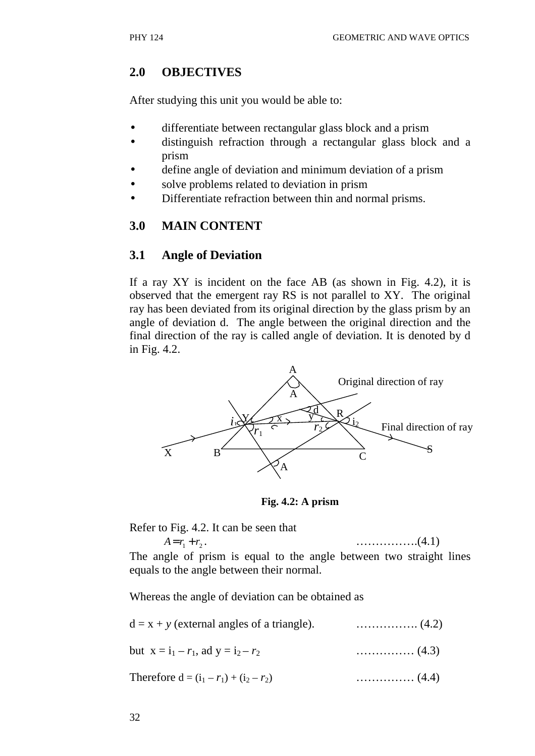# **2.0 OBJECTIVES**

After studying this unit you would be able to:

- differentiate between rectangular glass block and a prism
- distinguish refraction through a rectangular glass block and a prism
- define angle of deviation and minimum deviation of a prism
- solve problems related to deviation in prism
- Differentiate refraction between thin and normal prisms.

# **3.0 MAIN CONTENT**

### **3.1 Angle of Deviation**

If a ray XY is incident on the face AB (as shown in Fig. 4.2), it is observed that the emergent ray RS is not parallel to XY. The original ray has been deviated from its original direction by the glass prism by an angle of deviation d. The angle between the original direction and the final direction of the ray is called angle of deviation. It is denoted by d in Fig. 4.2.



**Fig. 4.2: A prism** 

Refer to Fig. 4.2. It can be seen that

$$
A = r_1 + r_2. \tag{4.1}
$$

The angle of prism is equal to the angle between two straight lines equals to the angle between their normal.

Whereas the angle of deviation can be obtained as

| $d = x + y$ (external angles of a triangle). |  |
|----------------------------------------------|--|
| but $x = i_1 - r_1$ , ad $y = i_2 - r_2$     |  |
| Therefore $d = (i_1 - r_1) + (i_2 - r_2)$    |  |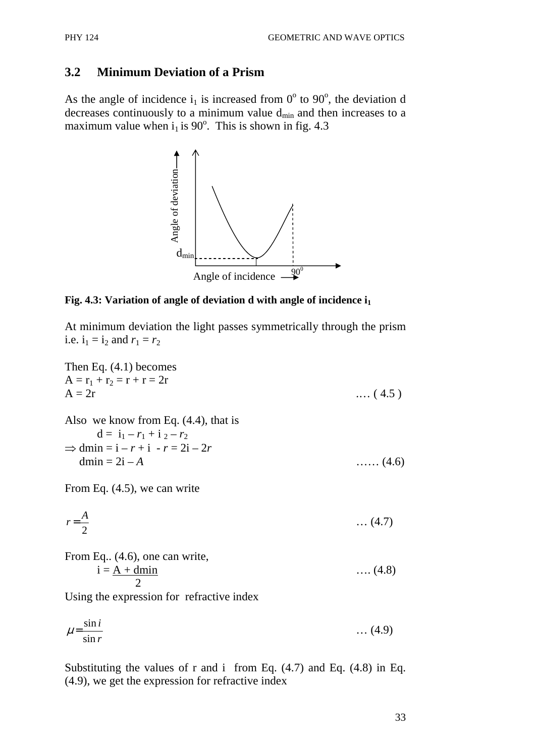#### **3.2 Minimum Deviation of a Prism**

As the angle of incidence  $i_1$  is increased from  $0^{\circ}$  to  $90^{\circ}$ , the deviation d decreases continuously to a minimum value  $d_{min}$  and then increases to a maximum value when  $i_1$  is 90°. This is shown in fig. 4.3



#### **Fig. 4.3: Variation of angle of deviation d with angle of incidence i<sup>1</sup>**

| Angle of deviation<br>$d_{\rm min}$<br>$\overline{20^0}$<br>Angle of incidence                                                            |                |
|-------------------------------------------------------------------------------------------------------------------------------------------|----------------|
| Fig. 4.3: Variation of angle of deviation $d$ with angle of incidence $i_1$                                                               |                |
| At minimum deviation the light passes symmetrically through the prism<br>i.e. $i_1 = i_2$ and $r_1 = r_2$                                 |                |
| Then Eq. $(4.1)$ becomes<br>$A = r_1 + r_2 = r + r = 2r$<br>$A = 2r$                                                                      | $\dots$ (4.5)  |
| Also we know from Eq. $(4.4)$ , that is<br>$d = i_1 - r_1 + i_2 - r_2$<br>$\Rightarrow$ dmin = i - r + i - r = 2i - 2r<br>$dmin = 2i - A$ | $\ldots$ (4.6) |
| From Eq. $(4.5)$ , we can write                                                                                                           |                |
| $r = \frac{A}{2}$                                                                                                                         | $\dots(4.7)$   |
| From Eq. $(4.6)$ , one can write,<br>$i = \underline{A + dmin}$<br>$\mathcal{D}$                                                          | $\dots$ (4.8)  |
| Using the expression for refractive index                                                                                                 |                |
| $\mu = \frac{\sin i}{\sin r}$                                                                                                             | $\dots (4.9)$  |
| Substituting the values of r and i from Eq. $(4.7)$ and Eq. $(4.8)$ in Eq.<br>$(4.9)$ , we get the expression for refractive index        |                |

From Eq.. (4.6), one can write,  
\n
$$
i = \frac{A + \text{dmin}}{2}
$$
 .... (4.8)

$$
\mu = \frac{\sin i}{\sin r} \qquad \qquad \dots (4.9)
$$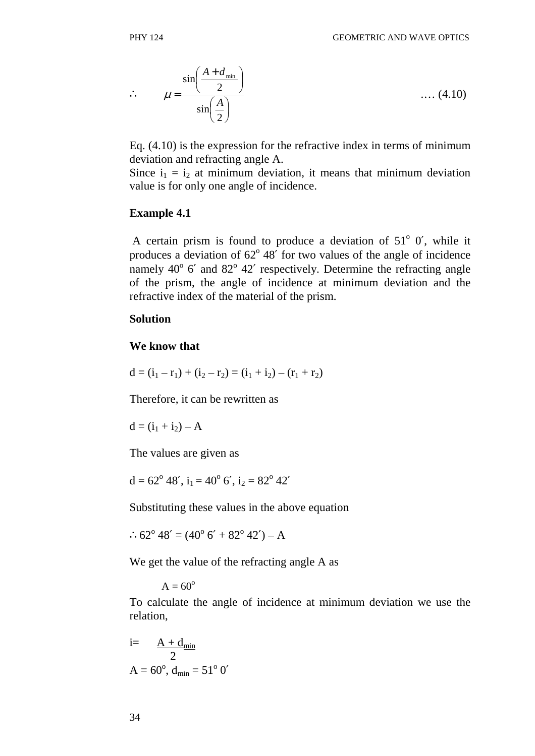$$
\therefore \qquad \mu = \frac{\sin\left(\frac{A+d_{\min}}{2}\right)}{\sin\left(\frac{A}{2}\right)} \qquad \qquad \dots (4.10)
$$

Eq. (4.10) is the expression for the refractive index in terms of minimum deviation and refracting angle A.

Since  $i_1 = i_2$  at minimum deviation, it means that minimum deviation value is for only one angle of incidence.

#### **Example 4.1**

A certain prism is found to produce a deviation of  $51^{\circ}$  0', while it produces a deviation of  $62^{\circ}$  48' for two values of the angle of incidence namely  $40^{\circ}$  6' and  $82^{\circ}$  42' respectively. Determine the refracting angle of the prism, the angle of incidence at minimum deviation and the refractive index of the material of the prism.

#### **Solution**

#### **We know that**

 $d = (i_1 - r_1) + (i_2 - r_2) = (i_1 + i_2) - (r_1 + r_2)$ 

Therefore, it can be rewritten as

 $d = (i_1 + i_2) - A$ 

The values are given as

 $d = 62^{\circ} 48', i_1 = 40^{\circ} 6', i_2 = 82^{\circ} 42'$ 

Substituting these values in the above equation

∴62° 48′ =  $(40^{\circ}$  6′ + 82° 42′) – A

We get the value of the refracting angle A as

 $A = 60^\circ$ 

To calculate the angle of incidence at minimum deviation we use the relation,

$$
i = \frac{A + d_{\text{min}}}{2}
$$
  
A = 60<sup>o</sup>, d<sub>min</sub> = 51<sup>o</sup> 0'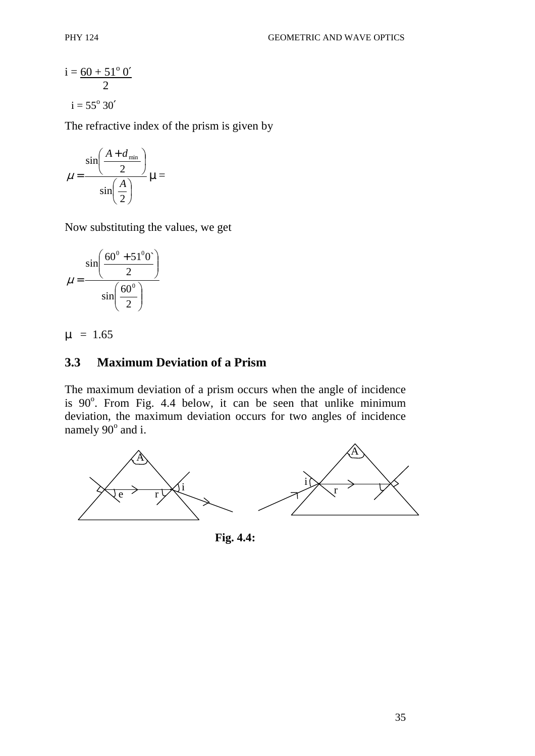$$
i = \frac{60 + 51^{\circ} 0'}{2}
$$

$$
i = 55^{\circ} 30'
$$

The refractive index of the prism is given by

$$
\mu = \frac{\sin\left(\frac{A+d_{\min}}{2}\right)}{\sin\left(\frac{A}{2}\right)}\mu =
$$

Now substituting the values, we get

$$
\mu = \frac{\sin\left(\frac{60^0 + 51^00}{2}\right)}{\sin\left(\frac{60^0}{2}\right)}
$$

 $\mu$  = 1.65

## **3.3 Maximum Deviation of a Prism**

The maximum deviation of a prism occurs when the angle of incidence is  $90^\circ$ . From Fig. 4.4 below, it can be seen that unlike minimum deviation, the maximum deviation occurs for two angles of incidence namely 90° and i.



**Fig. 4.4:**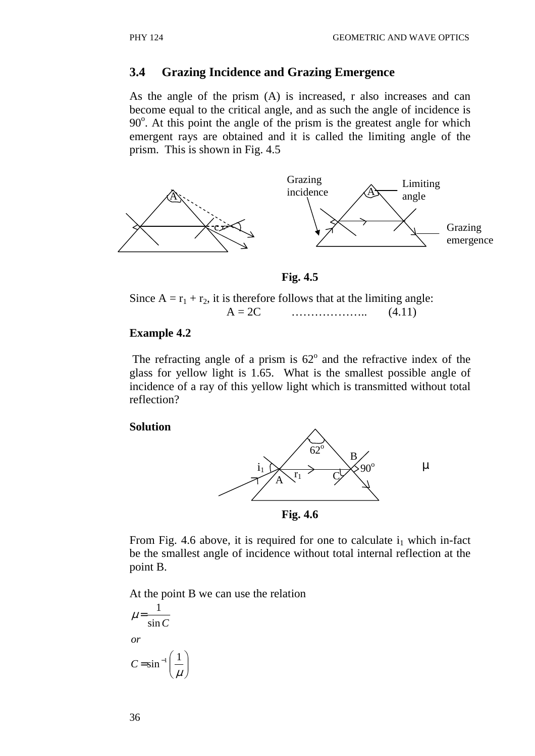#### **3.4 Grazing Incidence and Grazing Emergence**

As the angle of the prism (A) is increased, r also increases and can become equal to the critical angle, and as such the angle of incidence is 90°. At this point the angle of the prism is the greatest angle for which emergent rays are obtained and it is called the limiting angle of the prism. This is shown in Fig. 4.5



**Fig. 4.5** 

Since  $A = r_1 + r_2$ , it is therefore follows that at the limiting angle:  $A = 2C$  ………………….. (4.11)

#### **Example 4.2**

The refracting angle of a prism is  $62^{\circ}$  and the refractive index of the glass for yellow light is 1.65. What is the smallest possible angle of incidence of a ray of this yellow light which is transmitted without total reflection?

#### **Solution**



From Fig. 4.6 above, it is required for one to calculate  $i_1$  which in-fact be the smallest angle of incidence without total internal reflection at the point B.

At the point B we can use the relation

$$
\mu = \frac{1}{\sin C}
$$
  
or  

$$
C = \sin^{-1}\left(\frac{1}{\mu}\right)
$$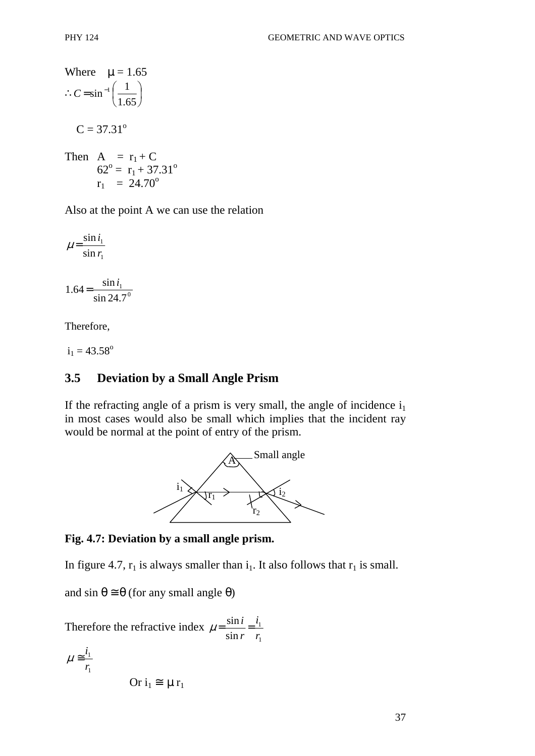Where  $\mu = 1.65$  $\overline{\phantom{a}}$ J  $\left(\frac{1}{\cdot} \right)$ l ſ  $\therefore C = \sin^{-1}$ 1.65  $C = \sin^{-1} \left( \frac{1}{1} \right)$  $C = 37.31^{\circ}$ Then  $A = r_1 + C$  $62^{\circ} = r_1 + 37.31^{\circ}$  $r_1$  = 24.70<sup>o</sup>

Also at the point A we can use the relation

$$
\mu = \frac{\sin i_1}{\sin r_1}
$$

 $\mathbf{0}$ 1  $\sin 24.7$  $1.64 = \frac{\sin i_1}{\cos 1.5^\circ}$ 

Therefore,

 $i_1 = 43.58^\circ$ 

# **3.5 Deviation by a Small Angle Prism**

If the refracting angle of a prism is very small, the angle of incidence  $i_1$ in most cases would also be small which implies that the incident ray would be normal at the point of entry of the prism.



**Fig. 4.7: Deviation by a small angle prism.** 

In figure 4.7,  $r_1$  is always smaller than  $i_1$ . It also follows that  $r_1$  is small.

and  $\sin \theta \approx \theta$  (for any small angle  $\theta$ )

Therefore the refractive index 1 1 sin sin *r i r*  $\mu = \frac{\sin i}{i} = \frac{i_1}{i_2}$ 

$$
\mu \cong \frac{i_1}{r_1}
$$
\nOr

\n
$$
i_1 \cong \mu r_1
$$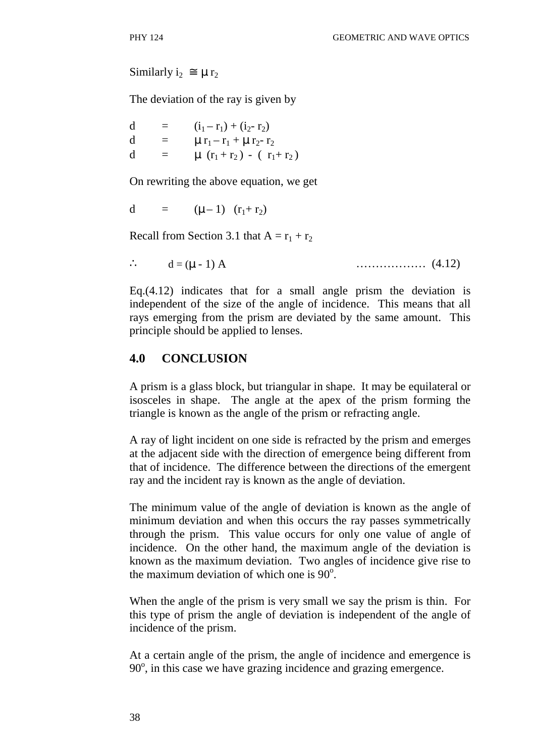Similarly  $i_2 \cong \mu r_2$ 

The deviation of the ray is given by

| d            | $=$      | $(i_1 - r_1) + (i_2 - r_2)$                                                   |
|--------------|----------|-------------------------------------------------------------------------------|
| <sub>d</sub> | $\equiv$ | $\mu$ r <sub>1</sub> - r <sub>1</sub> + $\mu$ r <sub>2</sub> - r <sub>2</sub> |
| d            | $=$      | $\mu$ (r <sub>1</sub> +r <sub>2</sub> ) - (r <sub>1</sub> +r <sub>2</sub> )   |

On rewriting the above equation, we get

d =  $(\mu - 1)$   $(r_1 + r_2)$ 

Recall from Section 3.1 that  $A = r_1 + r_2$ 

$$
\therefore d = (\mu - 1) A \tag{4.12}
$$

Eq.(4.12) indicates that for a small angle prism the deviation is independent of the size of the angle of incidence. This means that all rays emerging from the prism are deviated by the same amount. This principle should be applied to lenses.

#### **4.0 CONCLUSION**

A prism is a glass block, but triangular in shape. It may be equilateral or isosceles in shape. The angle at the apex of the prism forming the triangle is known as the angle of the prism or refracting angle.

A ray of light incident on one side is refracted by the prism and emerges at the adjacent side with the direction of emergence being different from that of incidence. The difference between the directions of the emergent ray and the incident ray is known as the angle of deviation.

The minimum value of the angle of deviation is known as the angle of minimum deviation and when this occurs the ray passes symmetrically through the prism. This value occurs for only one value of angle of incidence. On the other hand, the maximum angle of the deviation is known as the maximum deviation. Two angles of incidence give rise to the maximum deviation of which one is  $90^\circ$ .

When the angle of the prism is very small we say the prism is thin. For this type of prism the angle of deviation is independent of the angle of incidence of the prism.

At a certain angle of the prism, the angle of incidence and emergence is 90°, in this case we have grazing incidence and grazing emergence.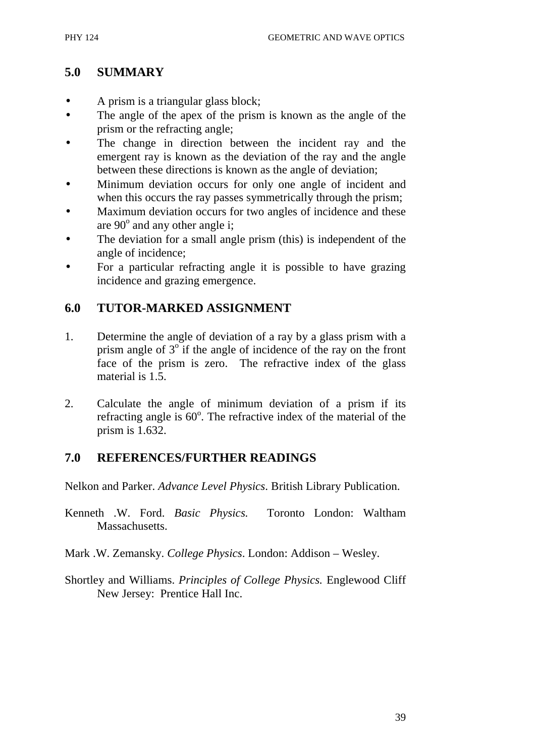# **5.0 SUMMARY**

- A prism is a triangular glass block;
- The angle of the apex of the prism is known as the angle of the prism or the refracting angle;
- The change in direction between the incident ray and the emergent ray is known as the deviation of the ray and the angle between these directions is known as the angle of deviation;
- Minimum deviation occurs for only one angle of incident and when this occurs the ray passes symmetrically through the prism;
- Maximum deviation occurs for two angles of incidence and these are  $90^\circ$  and any other angle i;
- The deviation for a small angle prism (this) is independent of the angle of incidence;
- For a particular refracting angle it is possible to have grazing incidence and grazing emergence.

## **6.0 TUTOR-MARKED ASSIGNMENT**

- 1. Determine the angle of deviation of a ray by a glass prism with a prism angle of  $3^\circ$  if the angle of incidence of the ray on the front face of the prism is zero. The refractive index of the glass material is 1.5.
- 2. Calculate the angle of minimum deviation of a prism if its refracting angle is  $60^\circ$ . The refractive index of the material of the prism is 1.632.

### **7.0 REFERENCES/FURTHER READINGS**

Nelkon and Parker. *Advance Level Physics*. British Library Publication.

- Kenneth .W. Ford. *Basic Physics.* Toronto London: Waltham Massachusetts.
- Mark .W. Zemansky. *College Physics*. London: Addison Wesley.
- Shortley and Williams. *Principles of College Physics.* Englewood Cliff New Jersey: Prentice Hall Inc.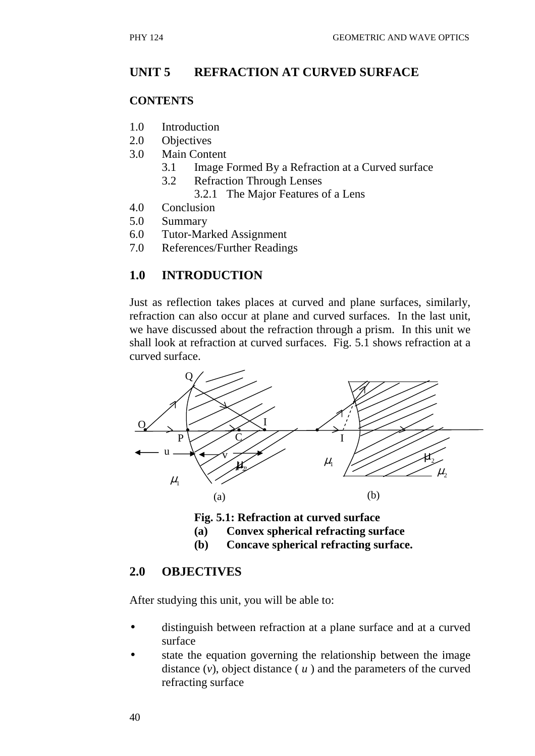#### **UNIT 5 REFRACTION AT CURVED SURFACE**

#### **CONTENTS**

- 1.0 Introduction
- 2.0 Objectives
- 3.0 Main Content
	- 3.1 Image Formed By a Refraction at a Curved surface
	- 3.2 Refraction Through Lenses
		- 3.2.1 The Major Features of a Lens
- 4.0 Conclusion
- 5.0 Summary
- 6.0 Tutor-Marked Assignment
- 7.0 References/Further Readings

#### **1.0 INTRODUCTION**

Just as reflection takes places at curved and plane surfaces, similarly, refraction can also occur at plane and curved surfaces. In the last unit, we have discussed about the refraction through a prism. In this unit we shall look at refraction at curved surfaces. Fig. 5.1 shows refraction at a curved surface.



- **Fig. 5.1: Refraction at curved surface**
- **(a) Convex spherical refracting surface**
- **(b) Concave spherical refracting surface.**

### **2.0 OBJECTIVES**

After studying this unit, you will be able to:

- distinguish between refraction at a plane surface and at a curved surface
- state the equation governing the relationship between the image distance  $(v)$ , object distance  $(u)$  and the parameters of the curved refracting surface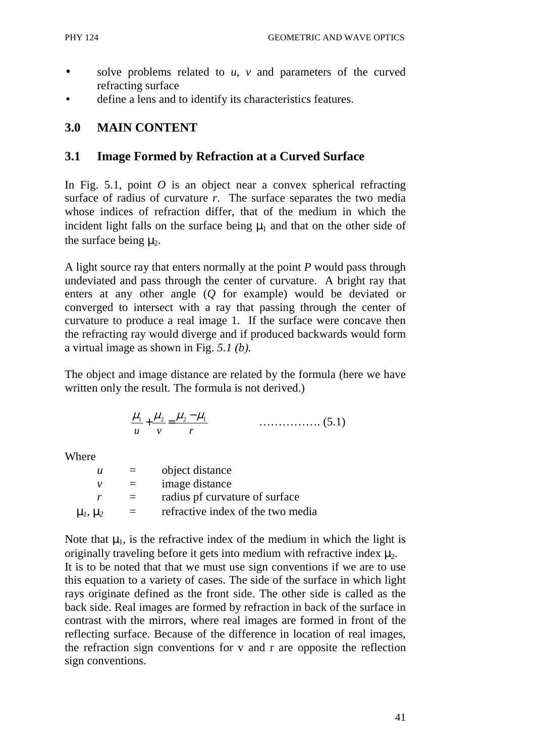- solve problems related to *u*, *v* and parameters of the curved refracting surface
- define a lens and to identify its characteristics features.

## **3.0 MAIN CONTENT**

## **3.1 Image Formed by Refraction at a Curved Surface**

In Fig. 5.1, point *O* is an object near a convex spherical refracting surface of radius of curvature *r*. The surface separates the two media whose indices of refraction differ, that of the medium in which the incident light falls on the surface being  $\mu_1$  and that on the other side of the surface being  $\mu_2$ .

A light source ray that enters normally at the point *P* would pass through undeviated and pass through the center of curvature. A bright ray that enters at any other angle (*Q* for example) would be deviated or converged to intersect with a ray that passing through the center of curvature to produce a real image 1. If the surface were concave then the refracting ray would diverge and if produced backwards would form a virtual image as shown in Fig. *5.1 (b).*

The object and image distance are related by the formula (here we have written only the result. The formula is not derived.)

> *u v r* <sup>µ</sup><sup>1</sup> <sup>µ</sup> <sup>2</sup> <sup>µ</sup> <sup>2</sup> <sup>−</sup> <sup>µ</sup><sup>1</sup> <sup>+</sup> <sup>=</sup> ……………. (5.1)

**Where** 

| u              | $=$ | object distance                   |
|----------------|-----|-----------------------------------|
|                |     | image distance                    |
|                |     | radius pf curvature of surface    |
| $\mu_1, \mu_2$ | $=$ | refractive index of the two media |

Note that  $\mu_1$ , is the refractive index of the medium in which the light is originally traveling before it gets into medium with refractive index  $\mu_2$ . It is to be noted that that we must use sign conventions if we are to use this equation to a variety of cases. The side of the surface in which light rays originate defined as the front side. The other side is called as the back side. Real images are formed by refraction in back of the surface in contrast with the mirrors, where real images are formed in front of the reflecting surface. Because of the difference in location of real images, the refraction sign conventions for v and r are opposite the reflection sign conventions.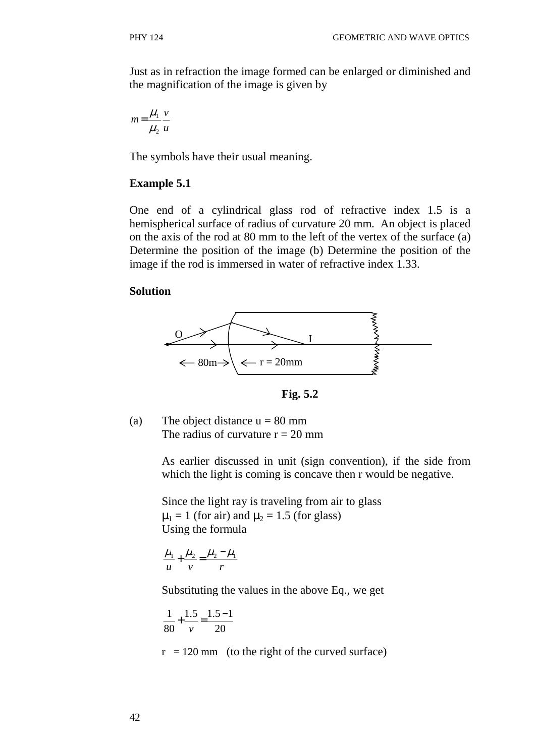Just as in refraction the image formed can be enlarged or diminished and the magnification of the image is given by

$$
m = \frac{\mu_1}{\mu_2} \frac{v}{u}
$$

The symbols have their usual meaning.

#### **Example 5.1**

One end of a cylindrical glass rod of refractive index 1.5 is a hemispherical surface of radius of curvature 20 mm. An object is placed on the axis of the rod at 80 mm to the left of the vertex of the surface (a) Determine the position of the image (b) Determine the position of the image if the rod is immersed in water of refractive index 1.33.

#### **Solution**



**Fig. 5.2** 

(a) The object distance  $u = 80$  mm The radius of curvature  $r = 20$  mm

> As earlier discussed in unit (sign convention), if the side from which the light is coming is concave then r would be negative.

Since the light ray is traveling from air to glass  $\mu_1 = 1$  (for air) and  $\mu_2 = 1.5$  (for glass) Using the formula

*u v r*  $\frac{\mu_1}{\mu_2} + \frac{\mu_2}{\mu_2} = \frac{\mu_2 - \mu_1}{\mu_2}$ 

Substituting the values in the above Eq., we get

$$
\frac{1}{80} + \frac{1.5}{v} = \frac{1.5 - 1}{20}
$$

 $r = 120$  mm (to the right of the curved surface)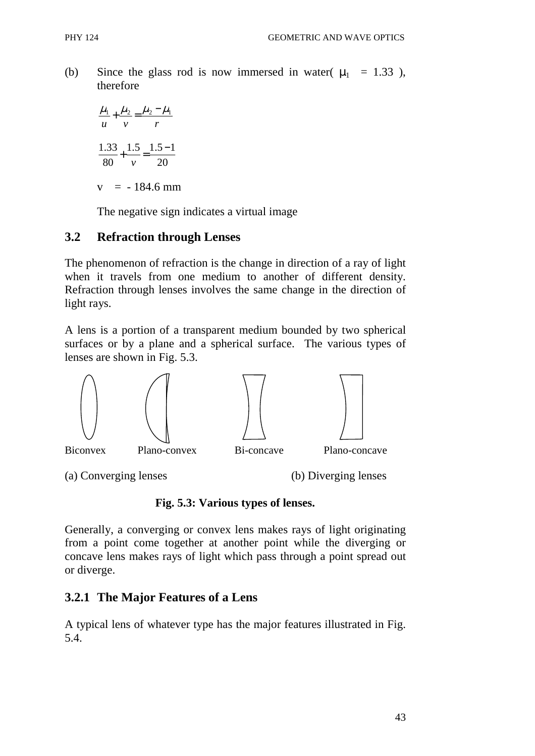(b) Since the glass rod is now immersed in water( $\mu_1$  = 1.33), therefore

$$
\frac{\mu_1}{u} + \frac{\mu_2}{v} = \frac{\mu_2 - \mu_1}{r}
$$
  

$$
\frac{1.33}{80} + \frac{1.5}{v} = \frac{1.5 - 1}{20}
$$
  
v = -184.6 mm

The negative sign indicates a virtual image

## **3.2 Refraction through Lenses**

The phenomenon of refraction is the change in direction of a ray of light when it travels from one medium to another of different density. Refraction through lenses involves the same change in the direction of light rays.

A lens is a portion of a transparent medium bounded by two spherical surfaces or by a plane and a spherical surface. The various types of lenses are shown in Fig. 5.3.



(a) Converging lenses (b) Diverging lenses

#### **Fig. 5.3: Various types of lenses.**

Generally, a converging or convex lens makes rays of light originating from a point come together at another point while the diverging or concave lens makes rays of light which pass through a point spread out or diverge.

# **3.2.1 The Major Features of a Lens**

A typical lens of whatever type has the major features illustrated in Fig. 5.4.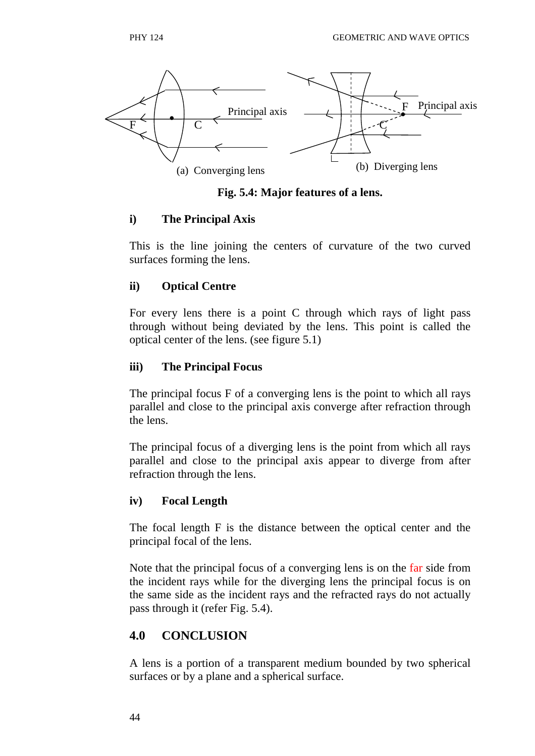

**Fig. 5.4: Major features of a lens.** 

#### **i) The Principal Axis**

This is the line joining the centers of curvature of the two curved surfaces forming the lens.

### **ii) Optical Centre**

For every lens there is a point C through which rays of light pass through without being deviated by the lens. This point is called the optical center of the lens. (see figure 5.1)

#### **iii) The Principal Focus**

The principal focus F of a converging lens is the point to which all rays parallel and close to the principal axis converge after refraction through the lens.

The principal focus of a diverging lens is the point from which all rays parallel and close to the principal axis appear to diverge from after refraction through the lens.

### **iv) Focal Length**

The focal length F is the distance between the optical center and the principal focal of the lens.

Note that the principal focus of a converging lens is on the far side from the incident rays while for the diverging lens the principal focus is on the same side as the incident rays and the refracted rays do not actually pass through it (refer Fig. 5.4).

# **4.0 CONCLUSION**

A lens is a portion of a transparent medium bounded by two spherical surfaces or by a plane and a spherical surface.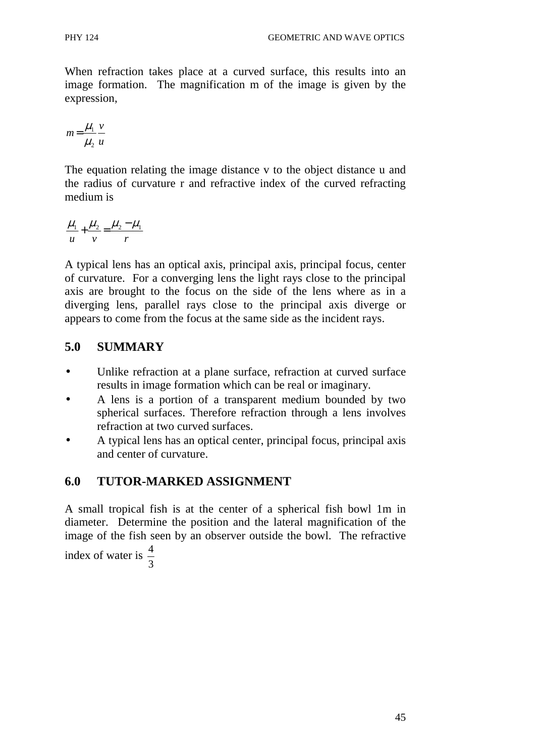When refraction takes place at a curved surface, this results into an image formation. The magnification m of the image is given by the expression,

$$
m = \frac{\mu_1}{\mu_2} \frac{v}{u}
$$

The equation relating the image distance v to the object distance u and the radius of curvature r and refractive index of the curved refracting medium is

$$
\frac{\mu_1}{u} + \frac{\mu_2}{v} = \frac{\mu_2 - \mu_1}{r}
$$

A typical lens has an optical axis, principal axis, principal focus, center of curvature. For a converging lens the light rays close to the principal axis are brought to the focus on the side of the lens where as in a diverging lens, parallel rays close to the principal axis diverge or appears to come from the focus at the same side as the incident rays.

# **5.0 SUMMARY**

- Unlike refraction at a plane surface, refraction at curved surface results in image formation which can be real or imaginary.
- A lens is a portion of a transparent medium bounded by two spherical surfaces. Therefore refraction through a lens involves refraction at two curved surfaces.
- A typical lens has an optical center, principal focus, principal axis and center of curvature.

# **6.0 TUTOR-MARKED ASSIGNMENT**

A small tropical fish is at the center of a spherical fish bowl 1m in diameter. Determine the position and the lateral magnification of the image of the fish seen by an observer outside the bowl. The refractive

index of water is 3 4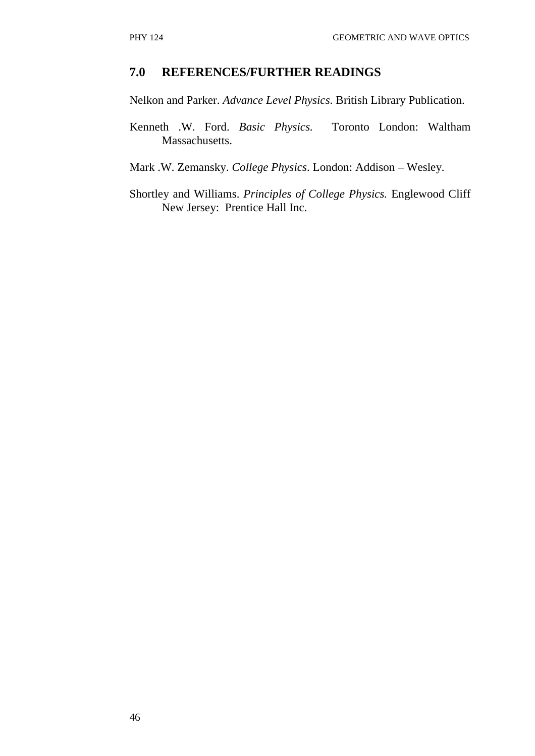#### **7.0 REFERENCES/FURTHER READINGS**

Nelkon and Parker. *Advance Level Physics*. British Library Publication.

Kenneth .W. Ford. *Basic Physics.* Toronto London: Waltham Massachusetts.

Mark .W. Zemansky. *College Physics*. London: Addison – Wesley.

Shortley and Williams. *Principles of College Physics.* Englewood Cliff New Jersey: Prentice Hall Inc.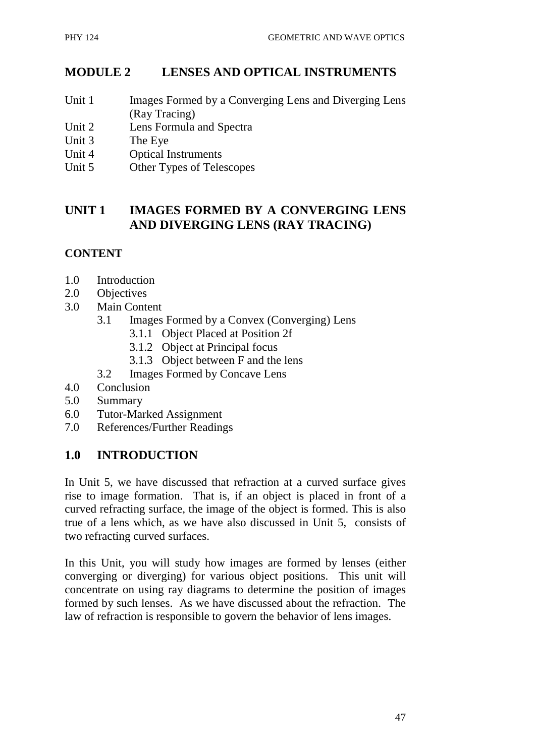# **MODULE 2 LENSES AND OPTICAL INSTRUMENTS**

- Unit 1 Images Formed by a Converging Lens and Diverging Lens (Ray Tracing)
- Unit 2 Lens Formula and Spectra
- Unit 3 The Eye<br>
Unit 4 Ontical I
- **Optical Instruments**
- Unit 5 Other Types of Telescopes

# **UNIT 1 IMAGES FORMED BY A CONVERGING LENS AND DIVERGING LENS (RAY TRACING)**

# **CONTENT**

- 1.0 Introduction
- 2.0 Objectives
- 3.0 Main Content
	- 3.1 Images Formed by a Convex (Converging) Lens
		- 3.1.1 Object Placed at Position 2f
		- 3.1.2 Object at Principal focus
		- 3.1.3 Object between F and the lens
	- 3.2 Images Formed by Concave Lens
- 4.0 Conclusion
- 5.0 Summary
- 6.0 Tutor-Marked Assignment
- 7.0 References/Further Readings

# **1.0 INTRODUCTION**

In Unit 5, we have discussed that refraction at a curved surface gives rise to image formation. That is, if an object is placed in front of a curved refracting surface, the image of the object is formed. This is also true of a lens which, as we have also discussed in Unit 5, consists of two refracting curved surfaces.

In this Unit, you will study how images are formed by lenses (either converging or diverging) for various object positions. This unit will concentrate on using ray diagrams to determine the position of images formed by such lenses. As we have discussed about the refraction. The law of refraction is responsible to govern the behavior of lens images.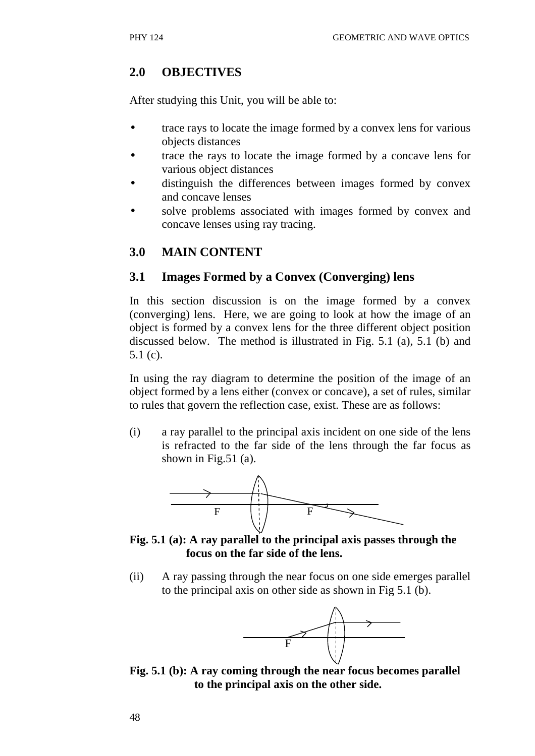## **2.0 OBJECTIVES**

After studying this Unit, you will be able to:

- trace rays to locate the image formed by a convex lens for various objects distances
- trace the rays to locate the image formed by a concave lens for various object distances
- distinguish the differences between images formed by convex and concave lenses
- solve problems associated with images formed by convex and concave lenses using ray tracing.

### **3.0 MAIN CONTENT**

### **3.1 Images Formed by a Convex (Converging) lens**

In this section discussion is on the image formed by a convex (converging) lens. Here, we are going to look at how the image of an object is formed by a convex lens for the three different object position discussed below. The method is illustrated in Fig. 5.1 (a), 5.1 (b) and 5.1 (c).

In using the ray diagram to determine the position of the image of an object formed by a lens either (convex or concave), a set of rules, similar to rules that govern the reflection case, exist. These are as follows:

(i) a ray parallel to the principal axis incident on one side of the lens is refracted to the far side of the lens through the far focus as shown in Fig.51 (a).



**Fig. 5.1 (a): A ray parallel to the principal axis passes through the focus on the far side of the lens.** 

(ii) A ray passing through the near focus on one side emerges parallel to the principal axis on other side as shown in Fig 5.1 (b).



**Fig. 5.1 (b): A ray coming through the near focus becomes parallel to the principal axis on the other side.**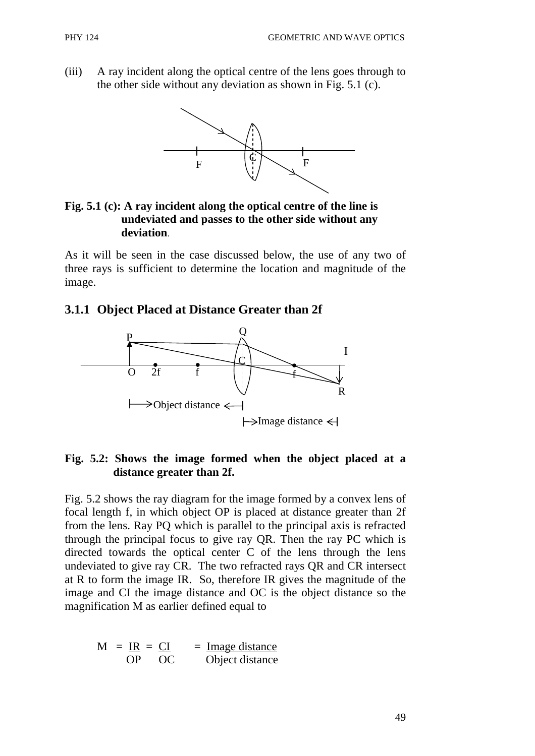(iii) A ray incident along the optical centre of the lens goes through to the other side without any deviation as shown in Fig. 5.1 (c).



#### **Fig. 5.1 (c): A ray incident along the optical centre of the line is undeviated and passes to the other side without any deviation**.

As it will be seen in the case discussed below, the use of any two of three rays is sufficient to determine the location and magnitude of the image.

#### **3.1.1 Object Placed at Distance Greater than 2f**



#### **Fig. 5.2: Shows the image formed when the object placed at a distance greater than 2f.**

Fig. 5.2 shows the ray diagram for the image formed by a convex lens of focal length f, in which object OP is placed at distance greater than 2f from the lens. Ray PQ which is parallel to the principal axis is refracted through the principal focus to give ray QR. Then the ray PC which is directed towards the optical center C of the lens through the lens undeviated to give ray CR. The two refracted rays QR and CR intersect at R to form the image IR. So, therefore IR gives the magnitude of the image and CI the image distance and OC is the object distance so the magnification M as earlier defined equal to

$$
M = \underline{IR} = \underline{CI} = \underline{Image \ distance}
$$
  
OP OC Object distance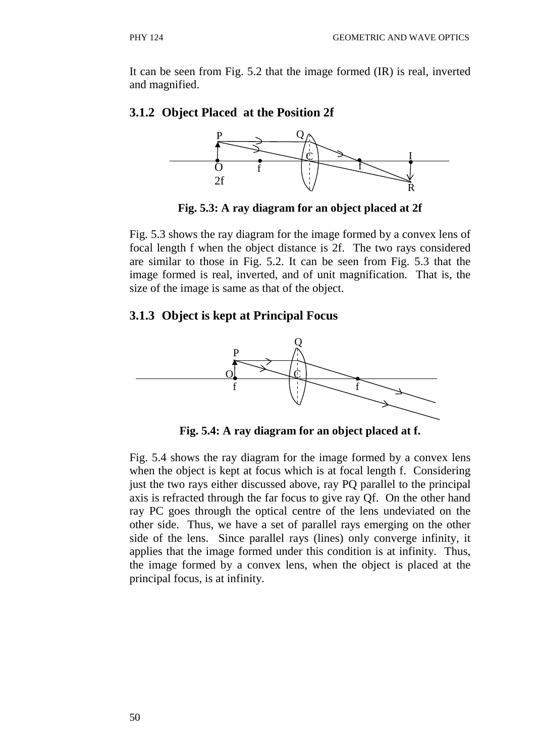It can be seen from Fig. 5.2 that the image formed (IR) is real, inverted and magnified.

# **3.1.2 Object Placed at the Position 2f**



**Fig. 5.3: A ray diagram for an object placed at 2f** 

Fig. 5.3 shows the ray diagram for the image formed by a convex lens of focal length f when the object distance is 2f. The two rays considered are similar to those in Fig. 5.2. It can be seen from Fig. 5.3 that the image formed is real, inverted, and of unit magnification. That is, the size of the image is same as that of the object.

## **3.1.3 Object is kept at Principal Focus**



**Fig. 5.4: A ray diagram for an object placed at f.** 

Fig. 5.4 shows the ray diagram for the image formed by a convex lens when the object is kept at focus which is at focal length f. Considering just the two rays either discussed above, ray PQ parallel to the principal axis is refracted through the far focus to give ray Qf. On the other hand ray PC goes through the optical centre of the lens undeviated on the other side. Thus, we have a set of parallel rays emerging on the other side of the lens. Since parallel rays (lines) only converge infinity, it applies that the image formed under this condition is at infinity. Thus, the image formed by a convex lens, when the object is placed at the principal focus, is at infinity.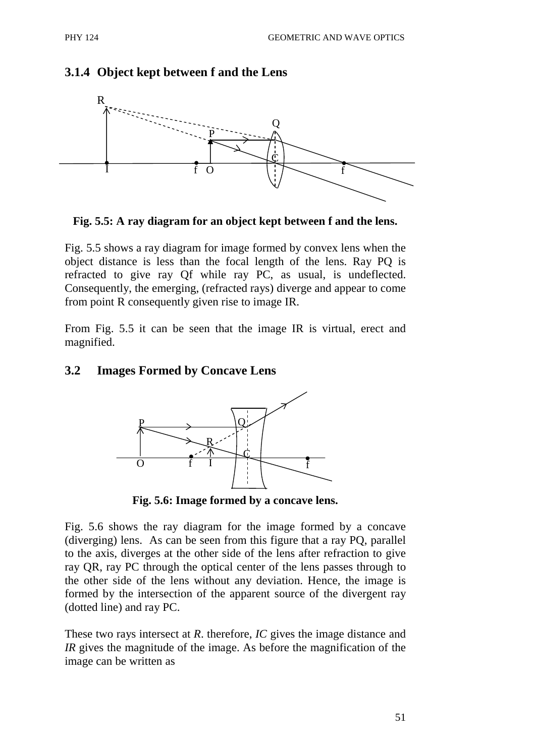

## **3.1.4 Object kept between f and the Lens**

**Fig. 5.5: A ray diagram for an object kept between f and the lens.** 

Fig. 5.5 shows a ray diagram for image formed by convex lens when the object distance is less than the focal length of the lens. Ray PQ is refracted to give ray Qf while ray PC, as usual, is undeflected. Consequently, the emerging, (refracted rays) diverge and appear to come from point R consequently given rise to image IR.

From Fig. 5.5 it can be seen that the image IR is virtual, erect and magnified.

### **3.2 Images Formed by Concave Lens**



**Fig. 5.6: Image formed by a concave lens.** 

Fig. 5.6 shows the ray diagram for the image formed by a concave (diverging) lens. As can be seen from this figure that a ray PQ, parallel to the axis, diverges at the other side of the lens after refraction to give ray QR, ray PC through the optical center of the lens passes through to the other side of the lens without any deviation. Hence, the image is formed by the intersection of the apparent source of the divergent ray (dotted line) and ray PC.

These two rays intersect at *R*. therefore, *IC* gives the image distance and *IR* gives the magnitude of the image. As before the magnification of the image can be written as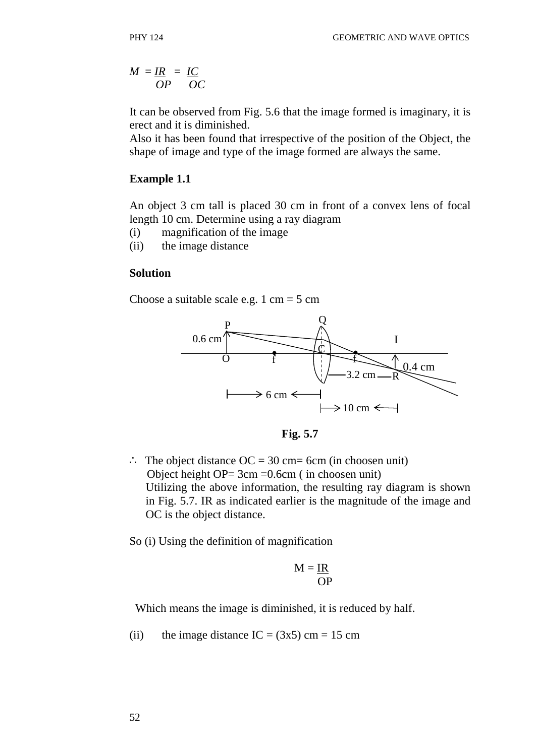$$
M = \frac{IR}{OP} = \frac{IC}{OC}
$$

It can be observed from Fig. 5.6 that the image formed is imaginary, it is erect and it is diminished.

Also it has been found that irrespective of the position of the Object, the shape of image and type of the image formed are always the same.

#### **Example 1.1**

An object 3 cm tall is placed 30 cm in front of a convex lens of focal length 10 cm. Determine using a ray diagram

- (i) magnification of the image
- (ii) the image distance

#### **Solution**

Choose a suitable scale e.g.  $1 \text{ cm} = 5 \text{ cm}$ 



**Fig. 5.7** 

∴ The object distance  $OC = 30$  cm= 6cm (in choosen unit) Object height  $OP = 3cm = 0.6cm$  ( in choosen unit) Utilizing the above information, the resulting ray diagram is shown in Fig. 5.7. IR as indicated earlier is the magnitude of the image and OC is the object distance.

So (i) Using the definition of magnification

$$
M = \underline{IR}
$$
OP

Which means the image is diminished, it is reduced by half.

(ii) the image distance  $IC = (3x5)$  cm = 15 cm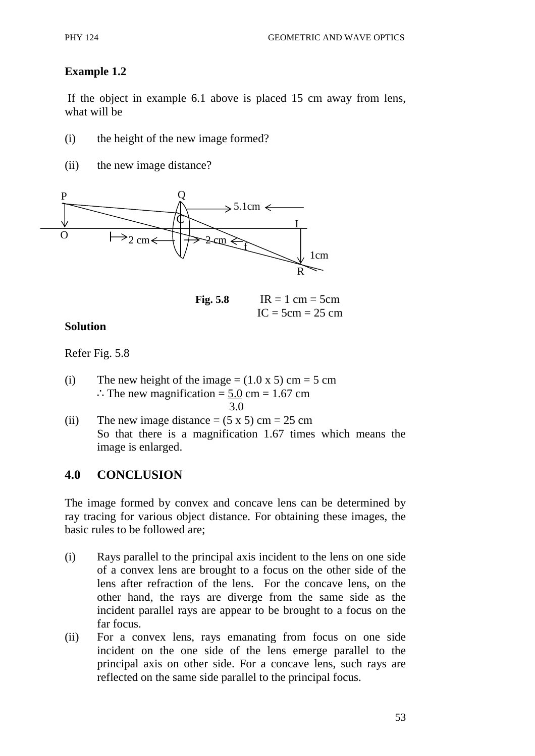## **Example 1.2**

 If the object in example 6.1 above is placed 15 cm away from lens, what will be

- (i) the height of the new image formed?
- (ii) the new image distance?



**Fig. 5.8**  $IR = 1 \text{ cm} = 5 \text{ cm}$  $IC = 5cm = 25 cm$ 

### **Solution**

Refer Fig. 5.8

- (i) The new height of the image  $= (1.0 \times 5)$  cm  $= 5$  cm ∴The new magnification =  $5.0 \text{ cm} = 1.67 \text{ cm}$ 3.0
- (ii) The new image distance  $= (5 \times 5)$  cm  $= 25$  cm So that there is a magnification 1.67 times which means the image is enlarged.

# **4.0 CONCLUSION**

The image formed by convex and concave lens can be determined by ray tracing for various object distance. For obtaining these images, the basic rules to be followed are;

- (i) Rays parallel to the principal axis incident to the lens on one side of a convex lens are brought to a focus on the other side of the lens after refraction of the lens. For the concave lens, on the other hand, the rays are diverge from the same side as the incident parallel rays are appear to be brought to a focus on the far focus.
- (ii) For a convex lens, rays emanating from focus on one side incident on the one side of the lens emerge parallel to the principal axis on other side. For a concave lens, such rays are reflected on the same side parallel to the principal focus.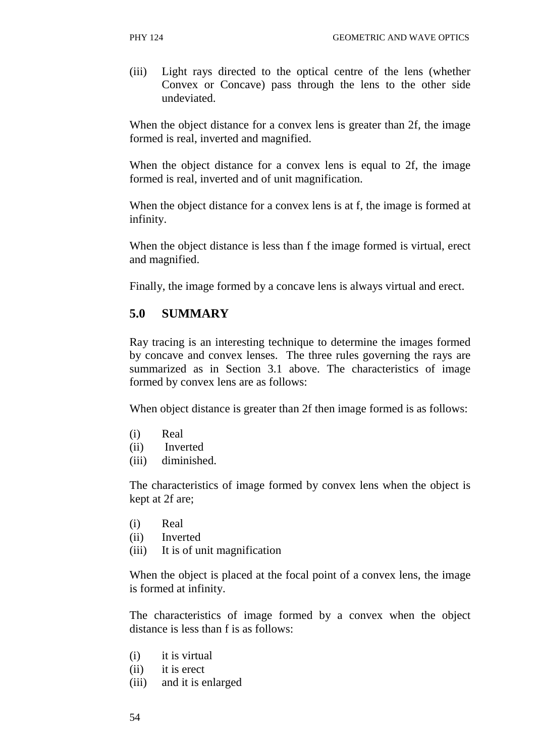(iii) Light rays directed to the optical centre of the lens (whether Convex or Concave) pass through the lens to the other side undeviated.

When the object distance for a convex lens is greater than 2f, the image formed is real, inverted and magnified.

When the object distance for a convex lens is equal to 2f, the image formed is real, inverted and of unit magnification.

When the object distance for a convex lens is at f, the image is formed at infinity.

When the object distance is less than f the image formed is virtual, erect and magnified.

Finally, the image formed by a concave lens is always virtual and erect.

### **5.0 SUMMARY**

Ray tracing is an interesting technique to determine the images formed by concave and convex lenses. The three rules governing the rays are summarized as in Section 3.1 above. The characteristics of image formed by convex lens are as follows:

When object distance is greater than 2f then image formed is as follows:

- (i) Real
- (ii) Inverted
- (iii) diminished.

The characteristics of image formed by convex lens when the object is kept at 2f are;

- (i) Real
- (ii) Inverted
- (iii) It is of unit magnification

When the object is placed at the focal point of a convex lens, the image is formed at infinity.

The characteristics of image formed by a convex when the object distance is less than f is as follows:

- (i) it is virtual
- (ii) it is erect
- (iii) and it is enlarged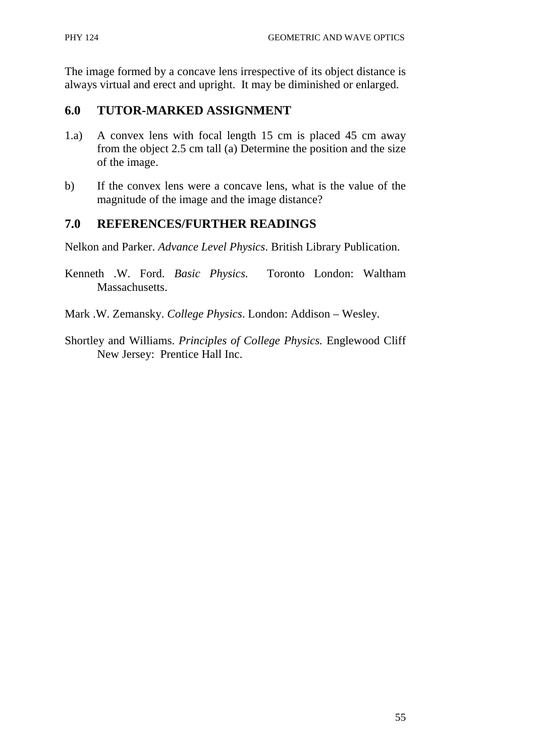The image formed by a concave lens irrespective of its object distance is always virtual and erect and upright. It may be diminished or enlarged.

# **6.0 TUTOR-MARKED ASSIGNMENT**

- 1.a) A convex lens with focal length 15 cm is placed 45 cm away from the object 2.5 cm tall (a) Determine the position and the size of the image.
- b) If the convex lens were a concave lens, what is the value of the magnitude of the image and the image distance?

# **7.0 REFERENCES/FURTHER READINGS**

Nelkon and Parker. *Advance Level Physics*. British Library Publication.

- Kenneth .W. Ford. *Basic Physics.* Toronto London: Waltham Massachusetts.
- Mark .W. Zemansky. *College Physics*. London: Addison Wesley.
- Shortley and Williams. *Principles of College Physics.* Englewood Cliff New Jersey: Prentice Hall Inc.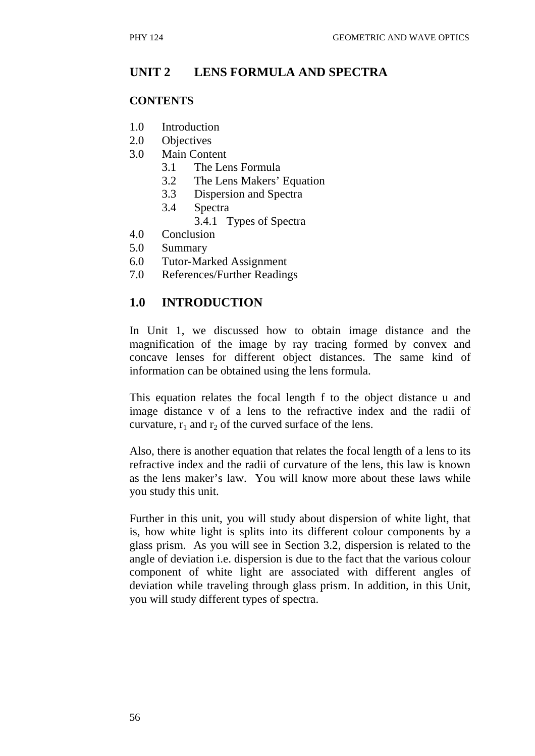### **UNIT 2 LENS FORMULA AND SPECTRA**

#### **CONTENTS**

- 1.0 Introduction
- 2.0 Objectives
- 3.0 Main Content
	- 3.1 The Lens Formula
	- 3.2 The Lens Makers' Equation
	- 3.3 Dispersion and Spectra
	- 3.4 Spectra
		- 3.4.1 Types of Spectra
- 4.0 Conclusion
- 5.0 Summary
- 6.0 Tutor-Marked Assignment
- 7.0 References/Further Readings

### **1.0 INTRODUCTION**

In Unit 1, we discussed how to obtain image distance and the magnification of the image by ray tracing formed by convex and concave lenses for different object distances. The same kind of information can be obtained using the lens formula.

This equation relates the focal length f to the object distance u and image distance v of a lens to the refractive index and the radii of curvature,  $r_1$  and  $r_2$  of the curved surface of the lens.

Also, there is another equation that relates the focal length of a lens to its refractive index and the radii of curvature of the lens, this law is known as the lens maker's law. You will know more about these laws while you study this unit.

Further in this unit, you will study about dispersion of white light, that is, how white light is splits into its different colour components by a glass prism. As you will see in Section 3.2, dispersion is related to the angle of deviation i.e. dispersion is due to the fact that the various colour component of white light are associated with different angles of deviation while traveling through glass prism. In addition, in this Unit, you will study different types of spectra.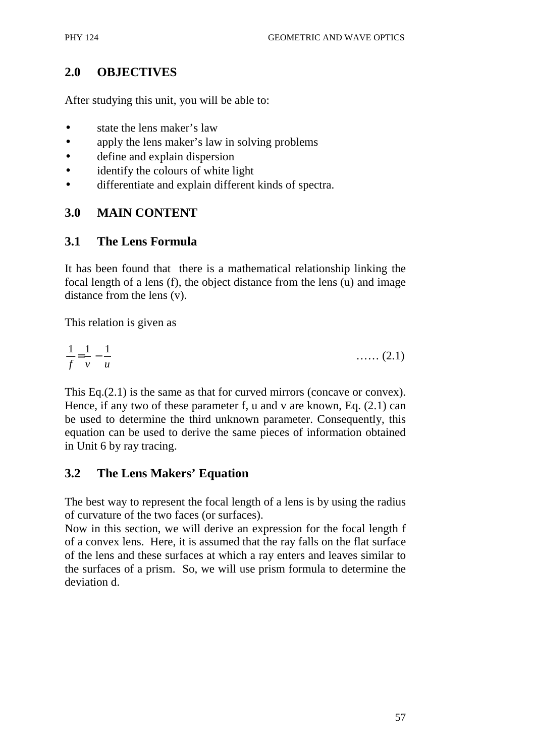# **2.0 OBJECTIVES**

After studying this unit, you will be able to:

- state the lens maker's law
- apply the lens maker's law in solving problems
- define and explain dispersion
- identify the colours of white light
- differentiate and explain different kinds of spectra.

# **3.0 MAIN CONTENT**

# **3.1 The Lens Formula**

It has been found that there is a mathematical relationship linking the focal length of a lens (f), the object distance from the lens (u) and image distance from the lens (v).

This relation is given as

$$
\frac{1}{f} = \frac{1}{v} - \frac{1}{u}
$$
 ...... (2.1)

This Eq.(2.1) is the same as that for curved mirrors (concave or convex). Hence, if any two of these parameter f, u and v are known, Eq. (2.1) can be used to determine the third unknown parameter. Consequently, this equation can be used to derive the same pieces of information obtained in Unit 6 by ray tracing.

# **3.2 The Lens Makers' Equation**

The best way to represent the focal length of a lens is by using the radius of curvature of the two faces (or surfaces).

Now in this section, we will derive an expression for the focal length f of a convex lens. Here, it is assumed that the ray falls on the flat surface of the lens and these surfaces at which a ray enters and leaves similar to the surfaces of a prism. So, we will use prism formula to determine the deviation d.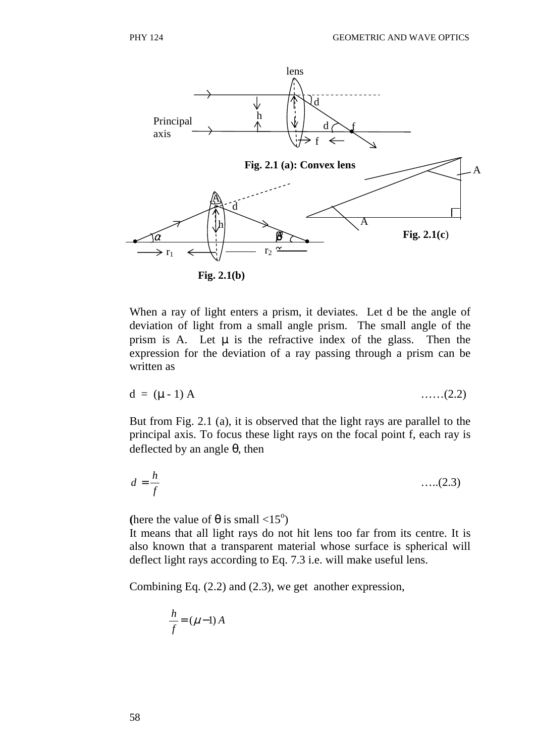

When a ray of light enters a prism, it deviates. Let d be the angle of deviation of light from a small angle prism. The small angle of the prism is A. Let  $\mu$  is the refractive index of the glass. Then the expression for the deviation of a ray passing through a prism can be written as

$$
d = (\mu - 1) A \tag{2.2}
$$

But from Fig. 2.1 (a), it is observed that the light rays are parallel to the principal axis. To focus these light rays on the focal point f, each ray is deflected by an angle θ, then

$$
d = \frac{h}{f} \tag{2.3}
$$

(here the value of  $\theta$  is small  $\langle 15^{\circ} \rangle$ 

It means that all light rays do not hit lens too far from its centre. It is also known that a transparent material whose surface is spherical will deflect light rays according to Eq. 7.3 i.e. will make useful lens.

Combining Eq. (2.2) and (2.3), we get another expression,

$$
\frac{h}{f} = (\mu - 1) A
$$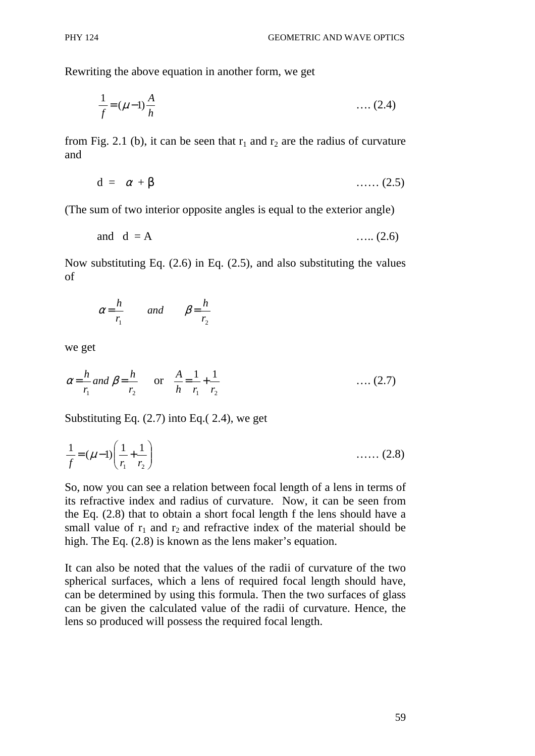Rewriting the above equation in another form, we get

$$
\frac{1}{f} = (\mu - 1)\frac{A}{h}
$$
 .... (2.4)

from Fig. 2.1 (b), it can be seen that  $r_1$  and  $r_2$  are the radius of curvature and

$$
d = \alpha + \beta \tag{2.5}
$$

(The sum of two interior opposite angles is equal to the exterior angle)

and 
$$
d = A
$$
 .... (2.6)

Now substituting Eq. (2.6) in Eq. (2.5), and also substituting the values of

$$
\alpha = \frac{h}{r_1} \quad \text{and} \quad \beta = \frac{h}{r_2}
$$

we get

$$
\alpha = \frac{h}{r_1}
$$
 and  $\beta = \frac{h}{r_2}$  or  $\frac{A}{h} = \frac{1}{r_1} + \frac{1}{r_2}$  .... (2.7)

Substituting Eq. (2.7) into Eq.( 2.4), we get

$$
\frac{1}{f} = (\mu - 1) \left( \frac{1}{r_1} + \frac{1}{r_2} \right) \tag{2.8}
$$

So, now you can see a relation between focal length of a lens in terms of its refractive index and radius of curvature. Now, it can be seen from the Eq. (2.8) that to obtain a short focal length f the lens should have a small value of  $r_1$  and  $r_2$  and refractive index of the material should be high. The Eq.  $(2.8)$  is known as the lens maker's equation.

It can also be noted that the values of the radii of curvature of the two spherical surfaces, which a lens of required focal length should have, can be determined by using this formula. Then the two surfaces of glass can be given the calculated value of the radii of curvature. Hence, the lens so produced will possess the required focal length.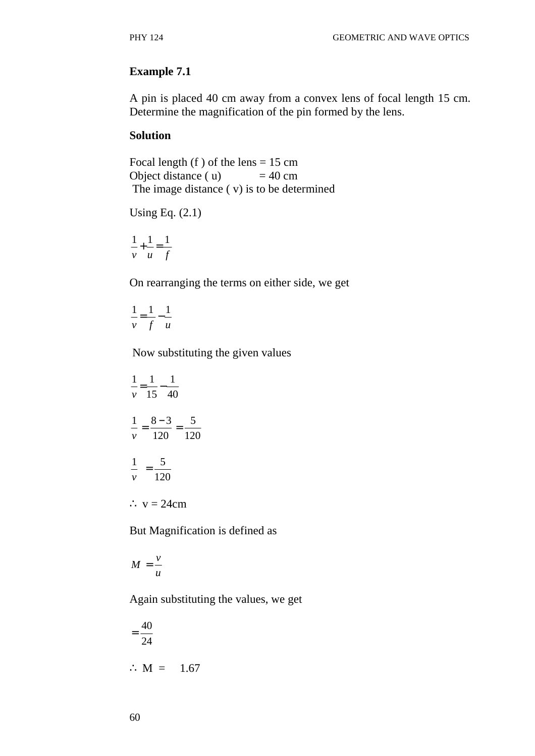### **Example 7.1**

A pin is placed 40 cm away from a convex lens of focal length 15 cm. Determine the magnification of the pin formed by the lens.

#### **Solution**

Focal length (f) of the lens =  $15 \text{ cm}$ Object distance ( $u$ ) = 40 cm The image distance ( v) is to be determined

Using Eq. (2.1)

$$
\frac{1}{v} + \frac{1}{u} = \frac{1}{f}
$$

On rearranging the terms on either side, we get

$$
\frac{1}{v} = \frac{1}{f} - \frac{1}{u}
$$

Now substituting the given values

$$
\frac{1}{v} = \frac{1}{15} - \frac{1}{40}
$$
  

$$
\frac{1}{v} = \frac{8 - 3}{120} = \frac{5}{120}
$$
  

$$
\frac{1}{v} = \frac{5}{120}
$$
  

$$
\therefore v = 24 \text{cm}
$$

But Magnification is defined as

$$
M=\frac{v}{u}
$$

Again substituting the values, we get

$$
= \frac{40}{24}
$$
  

$$
\therefore M = 1.67
$$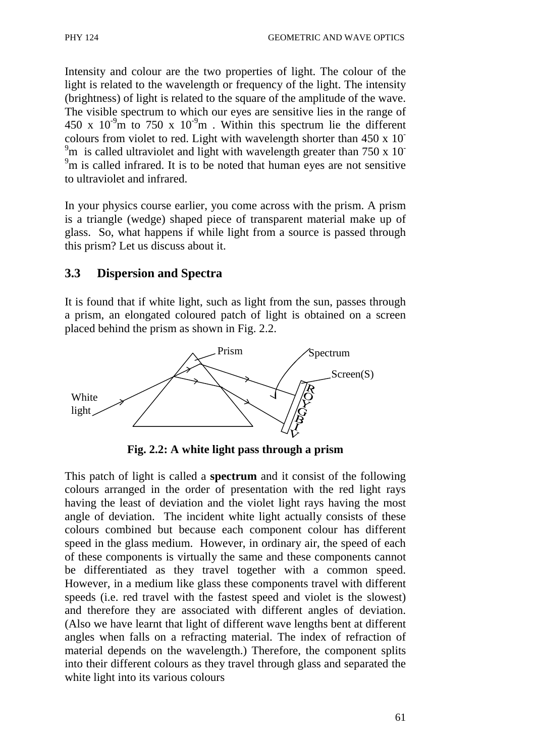Intensity and colour are the two properties of light. The colour of the light is related to the wavelength or frequency of the light. The intensity (brightness) of light is related to the square of the amplitude of the wave. The visible spectrum to which our eyes are sensitive lies in the range of 450 x  $10^{-9}$ m to 750 x  $10^{-9}$ m. Within this spectrum lie the different colours from violet to red. Light with wavelength shorter than 450 x 10-  $9<sup>9</sup>$ m is called ultraviolet and light with wavelength greater than 750 x 10<sup>-</sup>  $9<sup>9</sup>$ m is called infrared. It is to be noted that human eyes are not sensitive to ultraviolet and infrared.

In your physics course earlier, you come across with the prism. A prism is a triangle (wedge) shaped piece of transparent material make up of glass. So, what happens if while light from a source is passed through this prism? Let us discuss about it.

# **3.3 Dispersion and Spectra**

It is found that if white light, such as light from the sun, passes through a prism, an elongated coloured patch of light is obtained on a screen placed behind the prism as shown in Fig. 2.2.



**Fig. 2.2: A white light pass through a prism** 

This patch of light is called a **spectrum** and it consist of the following colours arranged in the order of presentation with the red light rays having the least of deviation and the violet light rays having the most angle of deviation. The incident white light actually consists of these colours combined but because each component colour has different speed in the glass medium. However, in ordinary air, the speed of each of these components is virtually the same and these components cannot be differentiated as they travel together with a common speed. However, in a medium like glass these components travel with different speeds (i.e. red travel with the fastest speed and violet is the slowest) and therefore they are associated with different angles of deviation. (Also we have learnt that light of different wave lengths bent at different angles when falls on a refracting material. The index of refraction of material depends on the wavelength.) Therefore, the component splits into their different colours as they travel through glass and separated the white light into its various colours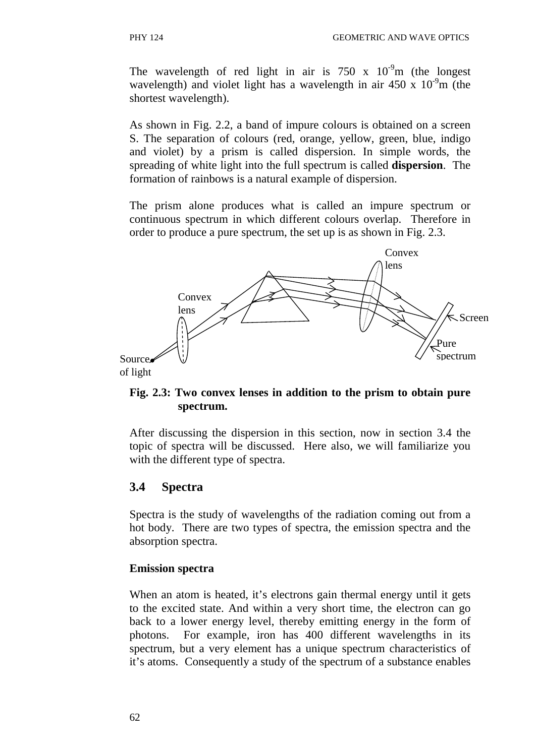The wavelength of red light in air is  $750 \times 10^{-9}$ m (the longest wavelength) and violet light has a wavelength in air  $450 \times 10^{-9}$ m (the shortest wavelength).

As shown in Fig. 2.2, a band of impure colours is obtained on a screen S. The separation of colours (red, orange, yellow, green, blue, indigo and violet) by a prism is called dispersion. In simple words, the spreading of white light into the full spectrum is called **dispersion**. The formation of rainbows is a natural example of dispersion.

The prism alone produces what is called an impure spectrum or continuous spectrum in which different colours overlap. Therefore in order to produce a pure spectrum, the set up is as shown in Fig. 2.3.



### **Fig. 2.3: Two convex lenses in addition to the prism to obtain pure spectrum.**

After discussing the dispersion in this section, now in section 3.4 the topic of spectra will be discussed. Here also, we will familiarize you with the different type of spectra.

### **3.4 Spectra**

Spectra is the study of wavelengths of the radiation coming out from a hot body. There are two types of spectra, the emission spectra and the absorption spectra.

#### **Emission spectra**

When an atom is heated, it's electrons gain thermal energy until it gets to the excited state. And within a very short time, the electron can go back to a lower energy level, thereby emitting energy in the form of photons. For example, iron has 400 different wavelengths in its spectrum, but a very element has a unique spectrum characteristics of it's atoms. Consequently a study of the spectrum of a substance enables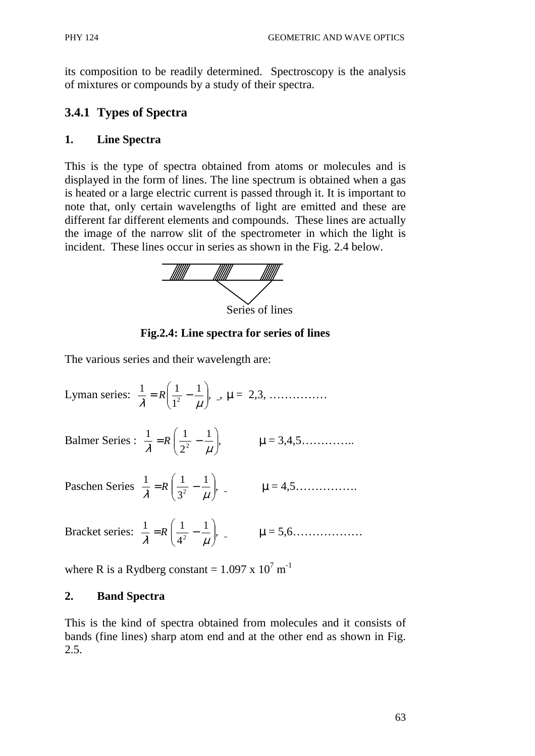its composition to be readily determined. Spectroscopy is the analysis of mixtures or compounds by a study of their spectra.

# **3.4.1 Types of Spectra**

### **1. Line Spectra**

This is the type of spectra obtained from atoms or molecules and is displayed in the form of lines. The line spectrum is obtained when a gas is heated or a large electric current is passed through it. It is important to note that, only certain wavelengths of light are emitted and these are different far different elements and compounds. These lines are actually the image of the narrow slit of the spectrometer in which the light is incident. These lines occur in series as shown in the Fig. 2.4 below.



**Fig.2.4: Line spectra for series of lines** 

The various series and their wavelength are:

Lyman series:  $\frac{1}{a} = R \left( \frac{1}{a^2} - \frac{1}{R} \right)$ , 1  $1 \n\begin{bmatrix} 1 \end{bmatrix}$  $\frac{1}{2} - \frac{1}{u}$ J  $\backslash$  $\mathsf{I}$ l ſ  $= R \frac{1}{2}$  –  $\lambda$   $(1^2$   $\mu$  $R\left|\frac{1}{12} - \frac{1}{12}\right|$ ,  $\mu = 2,3, \ldots$ Balmer Series :  $\frac{1}{a} = R \left( \frac{1}{2} - \frac{1}{2} \right)$ , 2  $1\quad n\begin{pmatrix} 1 \end{pmatrix}$  $\frac{1}{2} - \frac{1}{u}$ J  $\backslash$  $\overline{\phantom{a}}$ L ſ  $= R \frac{1}{2}$  –  $\lambda$   $(2^2$   $\mu$  $R\left|\frac{1}{2^{2}} - \frac{1}{2}\right|, \qquad \mu = 3,4,5...$ Paschen Series  $\frac{1}{a} = R \left( \frac{1}{a^2} - \frac{1}{R} \right)$ , 3  $1\quad n\begin{pmatrix} 1 \end{pmatrix}$  $\frac{1}{2} - \frac{1}{u}$ J  $\backslash$  $\overline{\phantom{a}}$ l ſ  $= R \frac{1}{2}$  –  $\lambda$   $(3^2$   $\mu$  $R\left|\frac{1}{2^{2}} - 1\right|$ ,  $\mu = 4,5$ ……………. Bracket series:  $\frac{1}{a} = R \left( \frac{1}{a^2} - \frac{1}{R} \right)$ , 4  $1\quad p\begin{pmatrix} 1 \end{pmatrix}$  $\frac{1}{2} - \frac{1}{u}$ J  $\backslash$  $\mathsf{I}$ l ſ  $= R \frac{1}{2}$  –  $\lambda$   $(4^2$   $\mu$ *R* µ = 5,6………………

where R is a Rydberg constant =  $1.097 \times 10^7 \text{ m}^{-1}$ 

### **2. Band Spectra**

This is the kind of spectra obtained from molecules and it consists of bands (fine lines) sharp atom end and at the other end as shown in Fig. 2.5.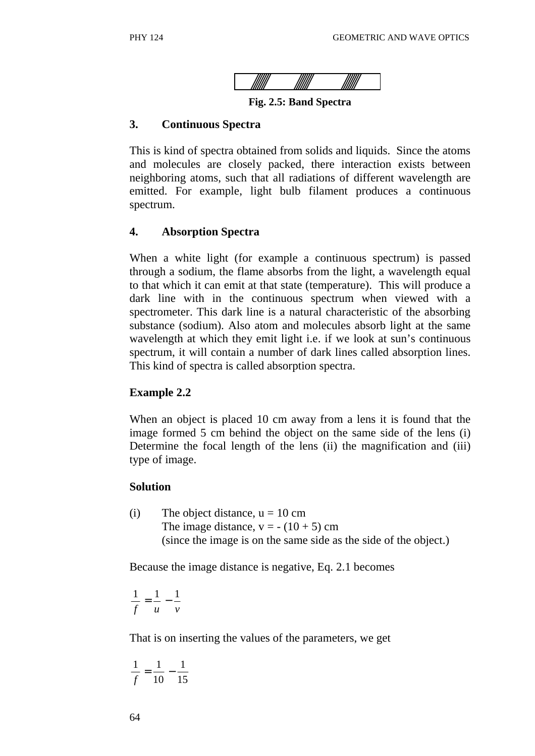

**Fig. 2.5: Band Spectra** 

#### **3. Continuous Spectra**

This is kind of spectra obtained from solids and liquids. Since the atoms and molecules are closely packed, there interaction exists between neighboring atoms, such that all radiations of different wavelength are emitted. For example, light bulb filament produces a continuous spectrum.

### **4. Absorption Spectra**

When a white light (for example a continuous spectrum) is passed through a sodium, the flame absorbs from the light, a wavelength equal to that which it can emit at that state (temperature). This will produce a dark line with in the continuous spectrum when viewed with a spectrometer. This dark line is a natural characteristic of the absorbing substance (sodium). Also atom and molecules absorb light at the same wavelength at which they emit light i.e. if we look at sun's continuous spectrum, it will contain a number of dark lines called absorption lines. This kind of spectra is called absorption spectra.

### **Example 2.2**

When an object is placed 10 cm away from a lens it is found that the image formed 5 cm behind the object on the same side of the lens (i) Determine the focal length of the lens (ii) the magnification and (iii) type of image.

### **Solution**

(i) The object distance,  $u = 10$  cm The image distance,  $v = -(10 + 5)$  cm (since the image is on the same side as the side of the object.)

Because the image distance is negative, Eq. 2.1 becomes

$$
\frac{1}{f} = \frac{1}{u} - \frac{1}{v}
$$

That is on inserting the values of the parameters, we get

$$
\frac{1}{f} = \frac{1}{10} - \frac{1}{15}
$$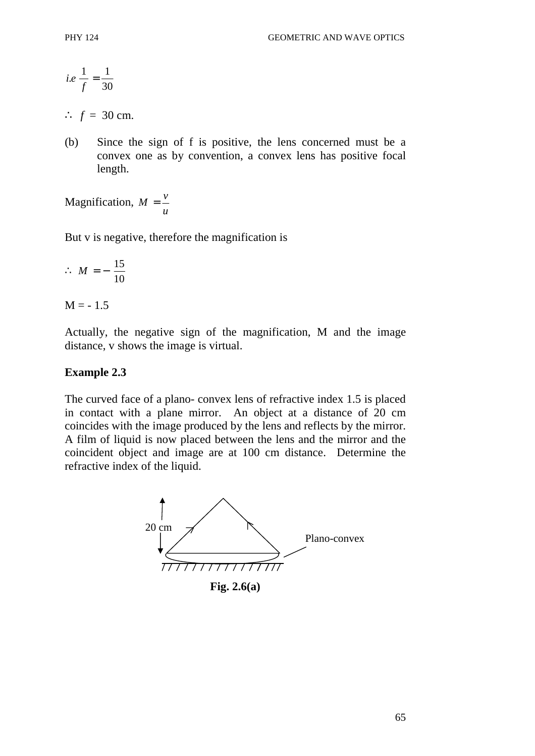$$
i.e \frac{1}{f} = \frac{1}{30}
$$

∴  $f = 30$  cm.

(b) Since the sign of f is positive, the lens concerned must be a convex one as by convention, a convex lens has positive focal length.

Magnification, *u*  $M = \frac{v}{v}$ 

But v is negative, therefore the magnification is

$$
\therefore M = -\frac{15}{10}
$$

 $M = -1.5$ 

Actually, the negative sign of the magnification, M and the image distance, v shows the image is virtual.

#### **Example 2.3**

The curved face of a plano- convex lens of refractive index 1.5 is placed in contact with a plane mirror. An object at a distance of 20 cm coincides with the image produced by the lens and reflects by the mirror. A film of liquid is now placed between the lens and the mirror and the coincident object and image are at 100 cm distance. Determine the refractive index of the liquid.

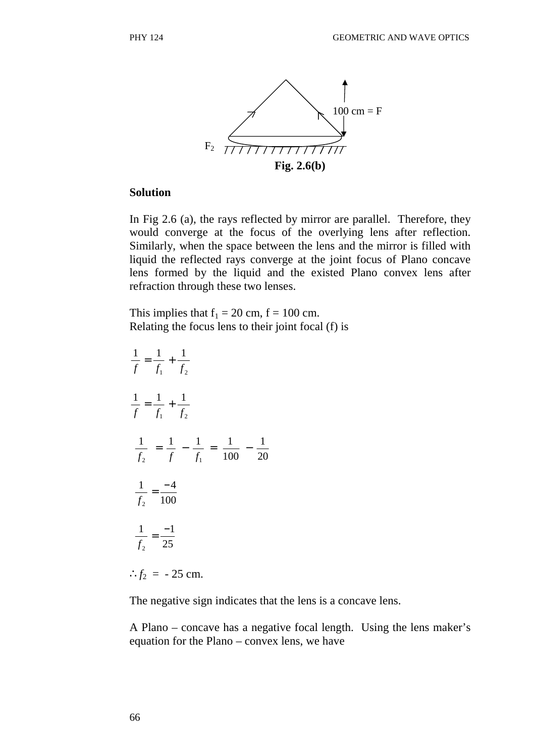

#### **Solution**

In Fig 2.6 (a), the rays reflected by mirror are parallel. Therefore, they would converge at the focus of the overlying lens after reflection. Similarly, when the space between the lens and the mirror is filled with liquid the reflected rays converge at the joint focus of Plano concave lens formed by the liquid and the existed Plano convex lens after refraction through these two lenses.

This implies that  $f_1 = 20$  cm,  $f = 100$  cm. Relating the focus lens to their joint focal (f) is

$$
\frac{1}{f} = \frac{1}{f_1} + \frac{1}{f_2}
$$
\n
$$
\frac{1}{f} = \frac{1}{f_1} + \frac{1}{f_2}
$$
\n
$$
\frac{1}{f_2} = \frac{1}{f} - \frac{1}{f_1} = \frac{1}{100} - \frac{1}{20}
$$
\n
$$
\frac{1}{f_2} = \frac{-4}{100}
$$
\n
$$
\frac{1}{f_2} = \frac{-1}{25}
$$
\n
$$
\therefore f_2 = -25 \text{ cm.}
$$

The negative sign indicates that the lens is a concave lens.

A Plano – concave has a negative focal length. Using the lens maker's equation for the Plano – convex lens, we have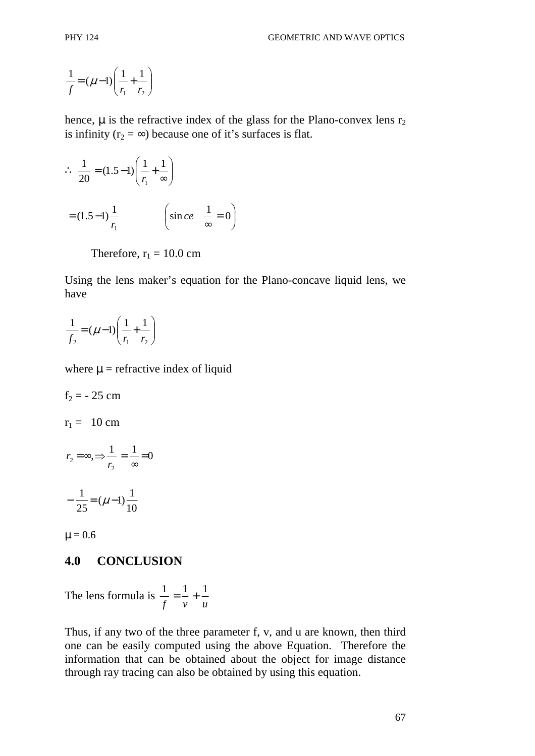$$
\frac{1}{f} = (\mu - 1)\left(\frac{1}{r_1} + \frac{1}{r_2}\right)
$$

hence,  $\mu$  is the refractive index of the glass for the Plano-convex lens  $r_2$ is infinity ( $r_2 = \infty$ ) because one of it's surfaces is flat.

$$
\therefore \frac{1}{20} = (1.5 - 1) \left( \frac{1}{r_1} + \frac{1}{\infty} \right)
$$
  
=  $(1.5 - 1) \frac{1}{r_1}$   $\left( \text{sin } ce \frac{1}{\infty} = 0 \right)$ 

Therefore, 
$$
r_1 = 10.0
$$
 cm

Using the lens maker's equation for the Plano-concave liquid lens, we have

 $\overline{\phantom{a}}$ J  $\backslash$ 

 $\overline{\phantom{a}}$ J  $\backslash$  $\overline{\phantom{a}}$ l ſ  $=(\mu-1)\left| \right|$  + 2  $\binom{r_1}{r_2}$  $\frac{1}{2} = (\mu - 1)\left( \frac{1}{2} + \frac{1}{2} \right)$  $\frac{1}{f_2} = (\mu - 1) \left( \frac{-}{r_1} + \frac{-}{r_2} \right)$ 

where  $\mu$  = refractive index of liquid

 $f_2 = -25$  cm  $r_1 = 10$  cm  $\Rightarrow \frac{1}{ } = \frac{1}{ } = 0$ 2  $\frac{1}{r_2} = \infty$ ,  $\Rightarrow \frac{1}{r_2} = \frac{1}{\infty} =$  $=\infty, \Rightarrow \frac{1}{\overline{\phantom{a}}}$  = *r r* 10  $(\mu - 1) \frac{1}{16}$ 25  $-\frac{1}{25} = (\mu \mu = 0.6$ 

#### **4.0 CONCLUSION**

The lens formula is *f v u*  $\frac{1}{a} = \frac{1}{a} + \frac{1}{b}$ 

Thus, if any two of the three parameter f, v, and u are known, then third one can be easily computed using the above Equation. Therefore the information that can be obtained about the object for image distance through ray tracing can also be obtained by using this equation.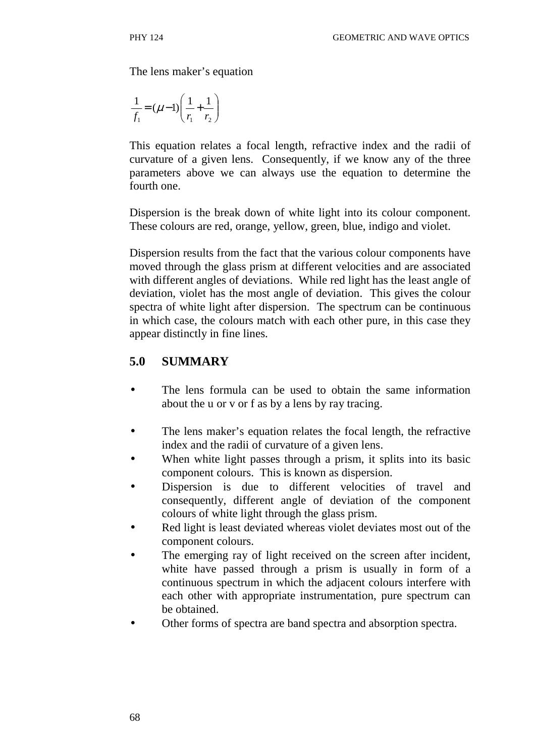The lens maker's equation

$$
\frac{1}{f_1} = (\mu - 1) \left( \frac{1}{r_1} + \frac{1}{r_2} \right)
$$

This equation relates a focal length, refractive index and the radii of curvature of a given lens. Consequently, if we know any of the three parameters above we can always use the equation to determine the fourth one.

Dispersion is the break down of white light into its colour component. These colours are red, orange, yellow, green, blue, indigo and violet.

Dispersion results from the fact that the various colour components have moved through the glass prism at different velocities and are associated with different angles of deviations. While red light has the least angle of deviation, violet has the most angle of deviation. This gives the colour spectra of white light after dispersion. The spectrum can be continuous in which case, the colours match with each other pure, in this case they appear distinctly in fine lines.

### **5.0 SUMMARY**

- The lens formula can be used to obtain the same information about the u or v or f as by a lens by ray tracing.
- The lens maker's equation relates the focal length, the refractive index and the radii of curvature of a given lens.
- When white light passes through a prism, it splits into its basic component colours. This is known as dispersion.
- Dispersion is due to different velocities of travel and consequently, different angle of deviation of the component colours of white light through the glass prism.
- Red light is least deviated whereas violet deviates most out of the component colours.
- The emerging ray of light received on the screen after incident, white have passed through a prism is usually in form of a continuous spectrum in which the adjacent colours interfere with each other with appropriate instrumentation, pure spectrum can be obtained.
- Other forms of spectra are band spectra and absorption spectra.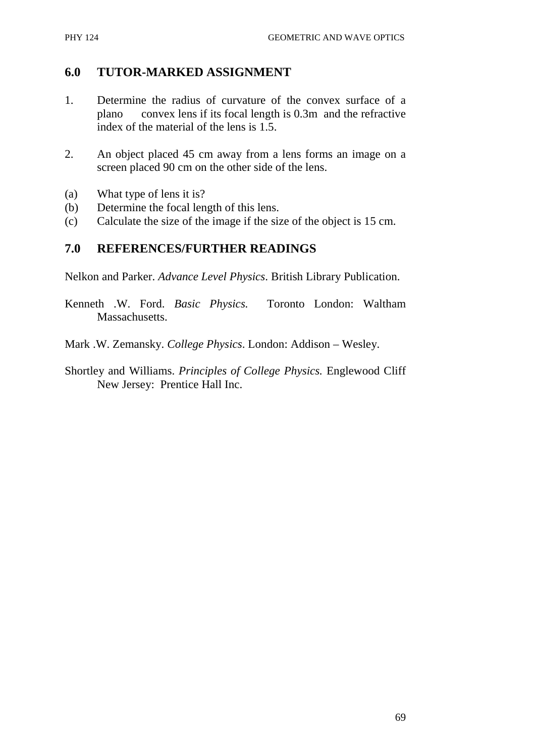### **6.0 TUTOR-MARKED ASSIGNMENT**

- 1. Determine the radius of curvature of the convex surface of a plano convex lens if its focal length is 0.3m and the refractive index of the material of the lens is 1.5.
- 2. An object placed 45 cm away from a lens forms an image on a screen placed 90 cm on the other side of the lens.
- (a) What type of lens it is?
- (b) Determine the focal length of this lens.
- (c) Calculate the size of the image if the size of the object is 15 cm.

### **7.0 REFERENCES/FURTHER READINGS**

Nelkon and Parker. *Advance Level Physics*. British Library Publication.

- Kenneth .W. Ford. *Basic Physics.* Toronto London: Waltham Massachusetts.
- Mark .W. Zemansky. *College Physics*. London: Addison Wesley.
- Shortley and Williams. *Principles of College Physics.* Englewood Cliff New Jersey: Prentice Hall Inc.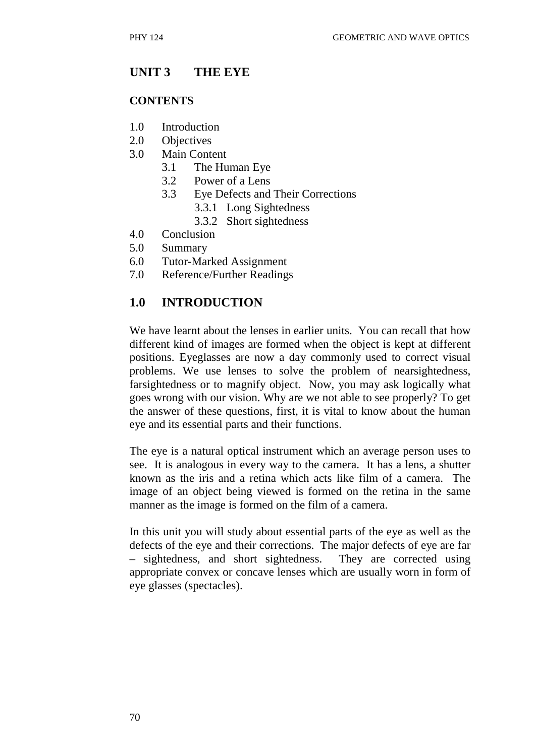### **UNIT 3 THE EYE**

### **CONTENTS**

- 1.0 Introduction
- 2.0 Objectives
- 3.0 Main Content
	- 3.1 The Human Eye
	- 3.2 Power of a Lens
	- 3.3 Eye Defects and Their Corrections
		- 3.3.1 Long Sightedness
		- 3.3.2 Short sightedness
- 4.0 Conclusion
- 5.0 Summary
- 6.0 Tutor-Marked Assignment
- 7.0 Reference/Further Readings

### **1.0 INTRODUCTION**

We have learnt about the lenses in earlier units. You can recall that how different kind of images are formed when the object is kept at different positions. Eyeglasses are now a day commonly used to correct visual problems. We use lenses to solve the problem of nearsightedness, farsightedness or to magnify object. Now, you may ask logically what goes wrong with our vision. Why are we not able to see properly? To get the answer of these questions, first, it is vital to know about the human eye and its essential parts and their functions.

The eye is a natural optical instrument which an average person uses to see. It is analogous in every way to the camera. It has a lens, a shutter known as the iris and a retina which acts like film of a camera. The image of an object being viewed is formed on the retina in the same manner as the image is formed on the film of a camera.

In this unit you will study about essential parts of the eye as well as the defects of the eye and their corrections. The major defects of eye are far – sightedness, and short sightedness. They are corrected using appropriate convex or concave lenses which are usually worn in form of eye glasses (spectacles).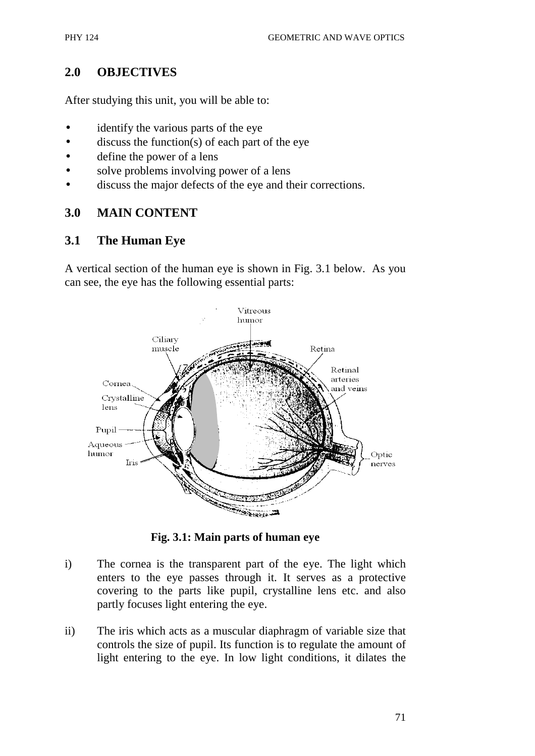# **2.0 OBJECTIVES**

After studying this unit, you will be able to:

- identify the various parts of the eye
- discuss the function(s) of each part of the eye
- define the power of a lens
- solve problems involving power of a lens
- discuss the major defects of the eye and their corrections.

### **3.0 MAIN CONTENT**

### **3.1 The Human Eye**

A vertical section of the human eye is shown in Fig. 3.1 below. As you can see, the eye has the following essential parts:



**Fig. 3.1: Main parts of human eye** 

- i) The cornea is the transparent part of the eye. The light which enters to the eye passes through it. It serves as a protective covering to the parts like pupil, crystalline lens etc. and also partly focuses light entering the eye.
- ii) The iris which acts as a muscular diaphragm of variable size that controls the size of pupil. Its function is to regulate the amount of light entering to the eye. In low light conditions, it dilates the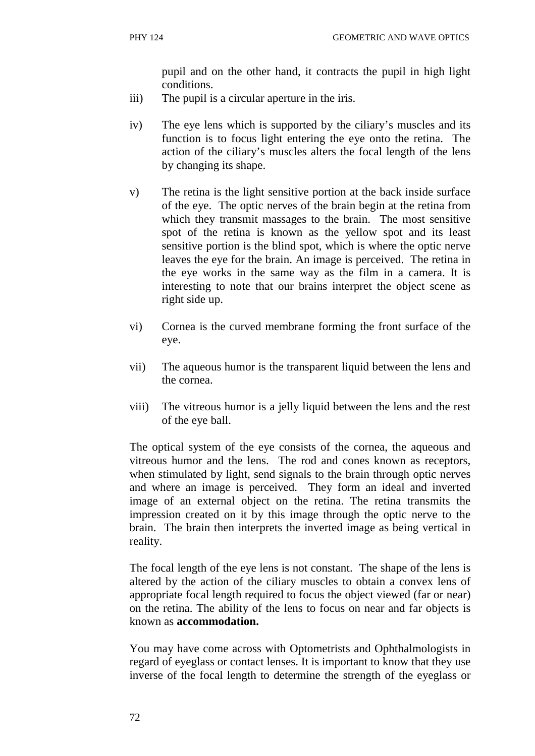pupil and on the other hand, it contracts the pupil in high light conditions.

- iii) The pupil is a circular aperture in the iris.
- iv) The eye lens which is supported by the ciliary's muscles and its function is to focus light entering the eye onto the retina. The action of the ciliary's muscles alters the focal length of the lens by changing its shape.
- v) The retina is the light sensitive portion at the back inside surface of the eye. The optic nerves of the brain begin at the retina from which they transmit massages to the brain. The most sensitive spot of the retina is known as the yellow spot and its least sensitive portion is the blind spot, which is where the optic nerve leaves the eye for the brain. An image is perceived. The retina in the eye works in the same way as the film in a camera. It is interesting to note that our brains interpret the object scene as right side up.
- vi) Cornea is the curved membrane forming the front surface of the eye.
- vii) The aqueous humor is the transparent liquid between the lens and the cornea.
- viii) The vitreous humor is a jelly liquid between the lens and the rest of the eye ball.

The optical system of the eye consists of the cornea, the aqueous and vitreous humor and the lens. The rod and cones known as receptors, when stimulated by light, send signals to the brain through optic nerves and where an image is perceived. They form an ideal and inverted image of an external object on the retina. The retina transmits the impression created on it by this image through the optic nerve to the brain. The brain then interprets the inverted image as being vertical in reality.

The focal length of the eye lens is not constant. The shape of the lens is altered by the action of the ciliary muscles to obtain a convex lens of appropriate focal length required to focus the object viewed (far or near) on the retina. The ability of the lens to focus on near and far objects is known as **accommodation.** 

You may have come across with Optometrists and Ophthalmologists in regard of eyeglass or contact lenses. It is important to know that they use inverse of the focal length to determine the strength of the eyeglass or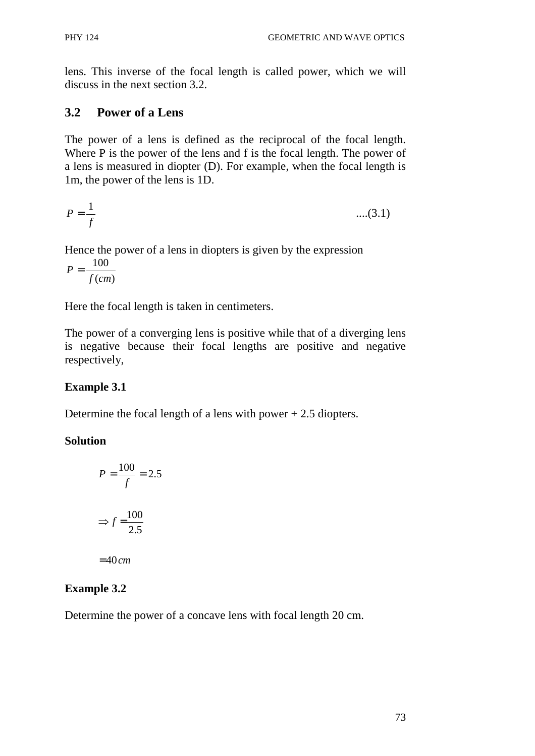lens. This inverse of the focal length is called power, which we will discuss in the next section 3.2.

# **3.2 Power of a Lens**

The power of a lens is defined as the reciprocal of the focal length. Where P is the power of the lens and f is the focal length. The power of a lens is measured in diopter (D). For example, when the focal length is 1m, the power of the lens is 1D.

$$
P = \frac{1}{f} \tag{3.1}
$$

Hence the power of a lens in diopters is given by the expression

$$
P = \frac{100}{f(cm)}
$$

Here the focal length is taken in centimeters.

The power of a converging lens is positive while that of a diverging lens is negative because their focal lengths are positive and negative respectively,

# **Example 3.1**

Determine the focal length of a lens with power  $+ 2.5$  diopters.

# **Solution**

$$
P = \frac{100}{f} = 2.5
$$

$$
\Rightarrow f = \frac{100}{2.5}
$$

 $=40$  cm

# **Example 3.2**

Determine the power of a concave lens with focal length 20 cm.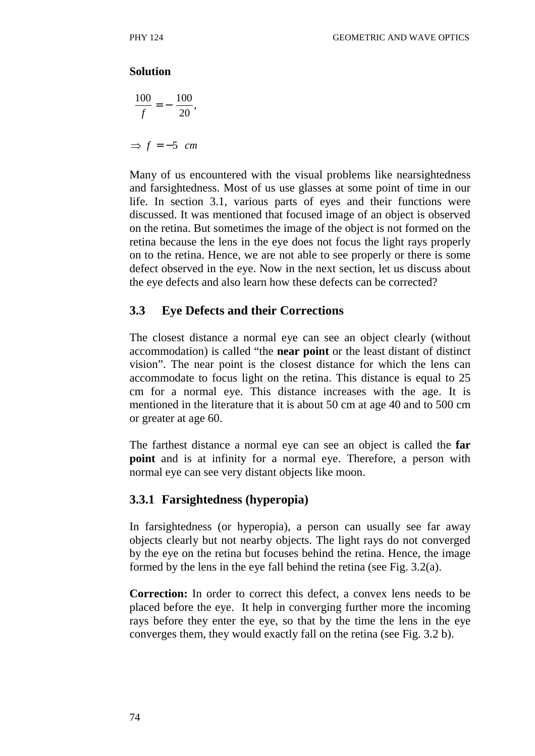#### **Solution**

$$
\frac{100}{f} = -\frac{100}{20},
$$
  

$$
\Rightarrow f = -5 \text{ cm}
$$

Many of us encountered with the visual problems like nearsightedness and farsightedness. Most of us use glasses at some point of time in our life. In section 3.1, various parts of eyes and their functions were discussed. It was mentioned that focused image of an object is observed on the retina. But sometimes the image of the object is not formed on the retina because the lens in the eye does not focus the light rays properly on to the retina. Hence, we are not able to see properly or there is some defect observed in the eye. Now in the next section, let us discuss about the eye defects and also learn how these defects can be corrected?

### **3.3 Eye Defects and their Corrections**

The closest distance a normal eye can see an object clearly (without accommodation) is called "the **near point** or the least distant of distinct vision". The near point is the closest distance for which the lens can accommodate to focus light on the retina. This distance is equal to 25 cm for a normal eye. This distance increases with the age. It is mentioned in the literature that it is about 50 cm at age 40 and to 500 cm or greater at age 60.

The farthest distance a normal eye can see an object is called the **far point** and is at infinity for a normal eye. Therefore, a person with normal eye can see very distant objects like moon.

# **3.3.1 Farsightedness (hyperopia)**

In farsightedness (or hyperopia), a person can usually see far away objects clearly but not nearby objects. The light rays do not converged by the eye on the retina but focuses behind the retina. Hence, the image formed by the lens in the eye fall behind the retina (see Fig. 3.2(a).

**Correction:** In order to correct this defect, a convex lens needs to be placed before the eye. It help in converging further more the incoming rays before they enter the eye, so that by the time the lens in the eye converges them, they would exactly fall on the retina (see Fig. 3.2 b).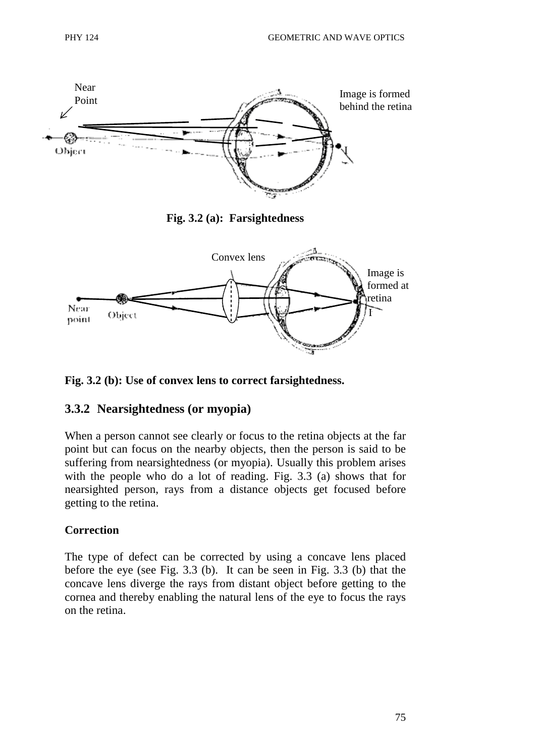

**Fig. 3.2 (a): Farsightedness** 



### **Fig. 3.2 (b): Use of convex lens to correct farsightedness.**

### **3.3.2 Nearsightedness (or myopia)**

When a person cannot see clearly or focus to the retina objects at the far point but can focus on the nearby objects, then the person is said to be suffering from nearsightedness (or myopia). Usually this problem arises with the people who do a lot of reading. Fig. 3.3 (a) shows that for nearsighted person, rays from a distance objects get focused before getting to the retina.

#### **Correction**

The type of defect can be corrected by using a concave lens placed before the eye (see Fig. 3.3 (b). It can be seen in Fig. 3.3 (b) that the concave lens diverge the rays from distant object before getting to the cornea and thereby enabling the natural lens of the eye to focus the rays on the retina.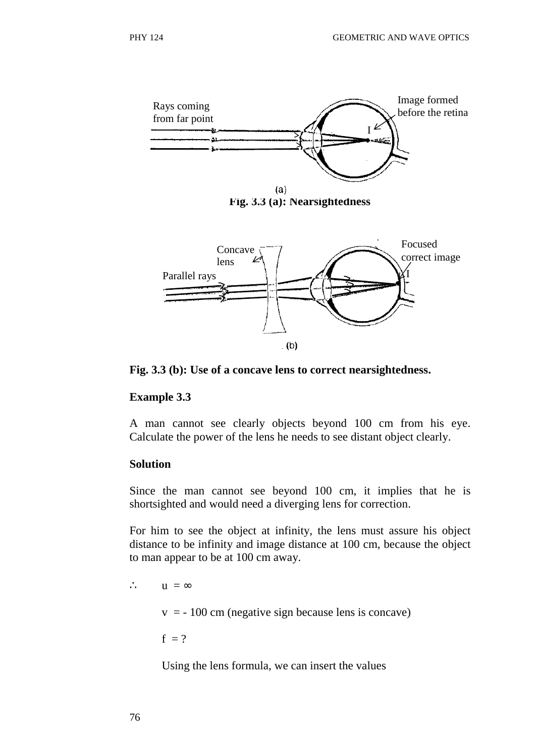

**Fig. 3.3 (a): Nearsightedness** 



**Fig. 3.3 (b): Use of a concave lens to correct nearsightedness.** 

#### **Example 3.3**

A man cannot see clearly objects beyond 100 cm from his eye. Calculate the power of the lens he needs to see distant object clearly.

#### **Solution**

Since the man cannot see beyond 100 cm, it implies that he is shortsighted and would need a diverging lens for correction.

For him to see the object at infinity, the lens must assure his object distance to be infinity and image distance at 100 cm, because the object to man appear to be at 100 cm away.

∴  $u = ∞$ 

 $v = -100$  cm (negative sign because lens is concave)

 $f = ?$ 

Using the lens formula, we can insert the values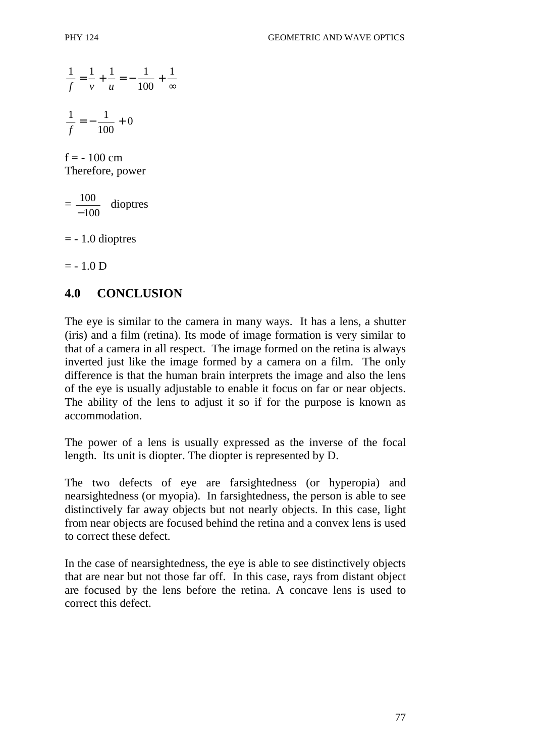$$
\frac{1}{f} = \frac{1}{v} + \frac{1}{u} = -\frac{1}{100} + \frac{1}{\infty}
$$

$$
\frac{1}{f} = -\frac{1}{100} + 0
$$

 $f = -100$  cm Therefore, power

$$
=\frac{100}{-100} \text{ dioptres}
$$

 $=$  - 1.0 dioptres

 $= -1.0 D$ 

# **4.0 CONCLUSION**

The eye is similar to the camera in many ways. It has a lens, a shutter (iris) and a film (retina). Its mode of image formation is very similar to that of a camera in all respect. The image formed on the retina is always inverted just like the image formed by a camera on a film. The only difference is that the human brain interprets the image and also the lens of the eye is usually adjustable to enable it focus on far or near objects. The ability of the lens to adjust it so if for the purpose is known as accommodation.

The power of a lens is usually expressed as the inverse of the focal length. Its unit is diopter. The diopter is represented by D.

The two defects of eye are farsightedness (or hyperopia) and nearsightedness (or myopia). In farsightedness, the person is able to see distinctively far away objects but not nearly objects. In this case, light from near objects are focused behind the retina and a convex lens is used to correct these defect.

In the case of nearsightedness, the eye is able to see distinctively objects that are near but not those far off. In this case, rays from distant object are focused by the lens before the retina. A concave lens is used to correct this defect.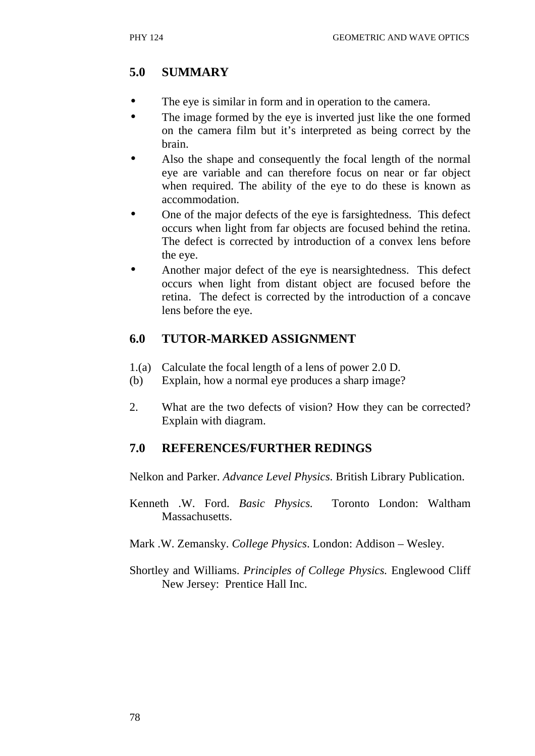# **5.0 SUMMARY**

- The eye is similar in form and in operation to the camera.
- The image formed by the eye is inverted just like the one formed on the camera film but it's interpreted as being correct by the brain.
- Also the shape and consequently the focal length of the normal eye are variable and can therefore focus on near or far object when required. The ability of the eye to do these is known as accommodation.
- One of the major defects of the eye is farsightedness. This defect occurs when light from far objects are focused behind the retina. The defect is corrected by introduction of a convex lens before the eye.
- Another major defect of the eye is nearsightedness. This defect occurs when light from distant object are focused before the retina. The defect is corrected by the introduction of a concave lens before the eye.

# **6.0 TUTOR-MARKED ASSIGNMENT**

- 1.(a) Calculate the focal length of a lens of power 2.0 D.
- (b) Explain, how a normal eye produces a sharp image?
- 2. What are the two defects of vision? How they can be corrected? Explain with diagram.

# **7.0 REFERENCES/FURTHER REDINGS**

Nelkon and Parker. *Advance Level Physics*. British Library Publication.

- Kenneth .W. Ford. *Basic Physics.* Toronto London: Waltham Massachusetts.
- Mark .W. Zemansky. *College Physics*. London: Addison Wesley.
- Shortley and Williams. *Principles of College Physics.* Englewood Cliff New Jersey: Prentice Hall Inc.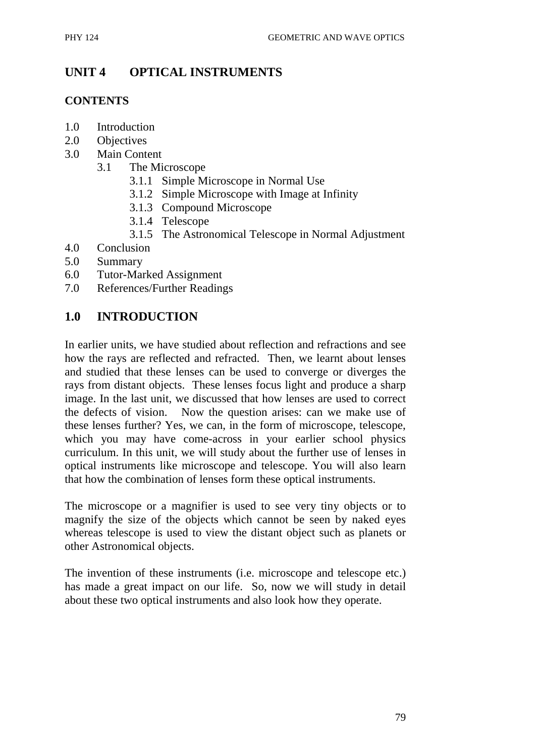# **UNIT 4 OPTICAL INSTRUMENTS**

#### **CONTENTS**

- 1.0 Introduction
- 2.0 Objectives
- 3.0 Main Content
	- 3.1 The Microscope
		- 3.1.1 Simple Microscope in Normal Use
		- 3.1.2 Simple Microscope with Image at Infinity
		- 3.1.3 Compound Microscope
		- 3.1.4 Telescope
		- 3.1.5 The Astronomical Telescope in Normal Adjustment
- 4.0 Conclusion
- 5.0 Summary
- 6.0 Tutor-Marked Assignment
- 7.0 References/Further Readings

### **1.0 INTRODUCTION**

In earlier units, we have studied about reflection and refractions and see how the rays are reflected and refracted. Then, we learnt about lenses and studied that these lenses can be used to converge or diverges the rays from distant objects. These lenses focus light and produce a sharp image. In the last unit, we discussed that how lenses are used to correct the defects of vision. Now the question arises: can we make use of these lenses further? Yes, we can, in the form of microscope, telescope, which you may have come-across in your earlier school physics curriculum. In this unit, we will study about the further use of lenses in optical instruments like microscope and telescope. You will also learn that how the combination of lenses form these optical instruments.

The microscope or a magnifier is used to see very tiny objects or to magnify the size of the objects which cannot be seen by naked eyes whereas telescope is used to view the distant object such as planets or other Astronomical objects.

The invention of these instruments (i.e. microscope and telescope etc.) has made a great impact on our life. So, now we will study in detail about these two optical instruments and also look how they operate.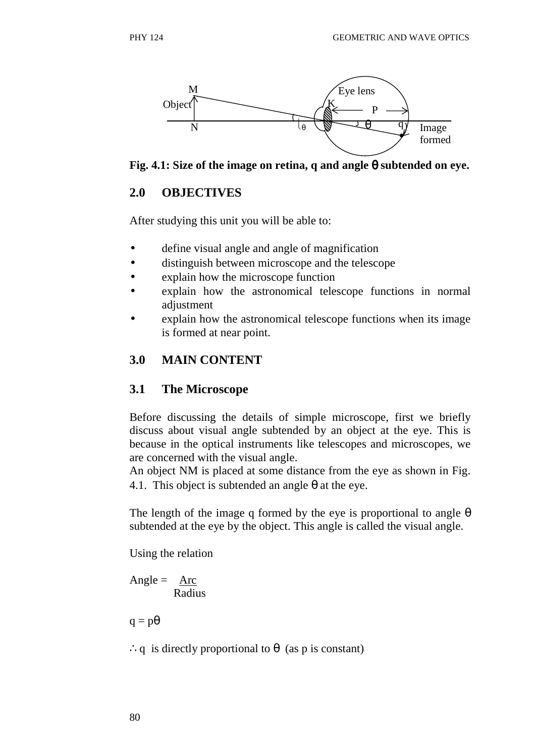

**Fig. 4.1: Size of the image on retina, q and angle** θ **subtended on eye.** 

# **2.0 OBJECTIVES**

After studying this unit you will be able to:

- define visual angle and angle of magnification
- distinguish between microscope and the telescope
- explain how the microscope function
- explain how the astronomical telescope functions in normal adjustment
- explain how the astronomical telescope functions when its image is formed at near point.

# **3.0 MAIN CONTENT**

# **3.1 The Microscope**

Before discussing the details of simple microscope, first we briefly discuss about visual angle subtended by an object at the eye. This is because in the optical instruments like telescopes and microscopes, we are concerned with the visual angle.

An object NM is placed at some distance from the eye as shown in Fig. 4.1. This object is subtended an angle  $\theta$  at the eye.

The length of the image q formed by the eye is proportional to angle  $\theta$ subtended at the eye by the object. This angle is called the visual angle.

Using the relation

$$
Angle = \frac{Arc}{Radius}
$$

 $q = p\theta$ 

∴q is directly proportional to  $\theta$  (as p is constant)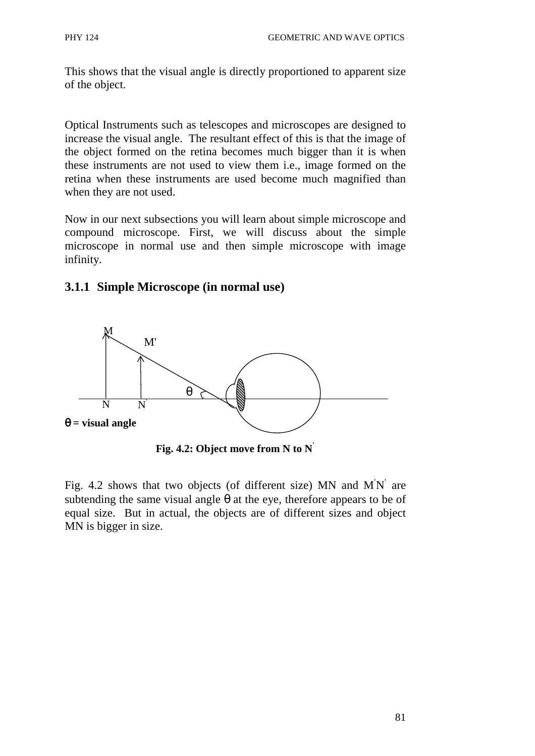This shows that the visual angle is directly proportioned to apparent size of the object.

Optical Instruments such as telescopes and microscopes are designed to increase the visual angle. The resultant effect of this is that the image of the object formed on the retina becomes much bigger than it is when these instruments are not used to view them i.e., image formed on the retina when these instruments are used become much magnified than when they are not used.

Now in our next subsections you will learn about simple microscope and compound microscope. First, we will discuss about the simple microscope in normal use and then simple microscope with image infinity.

### **3.1.1 Simple Microscope (in normal use)**



**Fig. 4.2: Object move from N to N'**

Fig. 4.2 shows that two objects (of different size) MN and M**'**N **'** are subtending the same visual angle  $\theta$  at the eye, therefore appears to be of equal size. But in actual, the objects are of different sizes and object MN is bigger in size.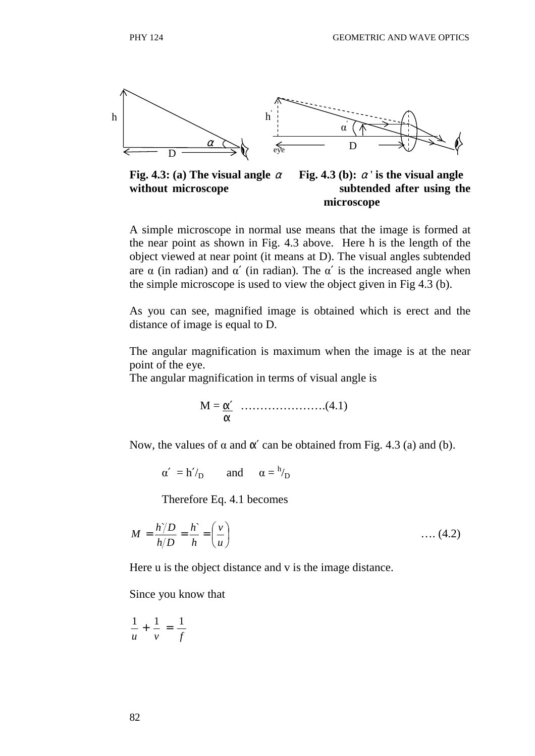

**Fig. 4.3:** (a) The visual angle  $\alpha$  **Fig. 4.3** (b):  $\alpha'$  is the visual angle without microscope subtended after using the **microscope** 

A simple microscope in normal use means that the image is formed at the near point as shown in Fig. 4.3 above. Here h is the length of the object viewed at near point (it means at D). The visual angles subtended are  $\alpha$  (in radian) and  $\alpha'$  (in radian). The  $\alpha'$  is the increased angle when the simple microscope is used to view the object given in Fig 4.3 (b).

As you can see, magnified image is obtained which is erect and the distance of image is equal to D.

The angular magnification is maximum when the image is at the near point of the eye.

The angular magnification in terms of visual angle is

$$
M = \frac{\alpha'}{\alpha} \quad \dots \dots \dots \dots \dots \dots \dots (4.1)
$$

Now, the values of  $\alpha$  and  $\alpha'$  can be obtained from Fig. 4.3 (a) and (b).

 $\alpha' = h'_{D}$  $h/$ <sub>D</sub>

Therefore Eq. 4.1 becomes

$$
M = \frac{h/D}{h/D} = \frac{h}{h} = \left(\frac{v}{u}\right) \tag{4.2}
$$

Here u is the object distance and v is the image distance.

Since you know that

$$
\frac{1}{u} + \frac{1}{v} = \frac{1}{f}
$$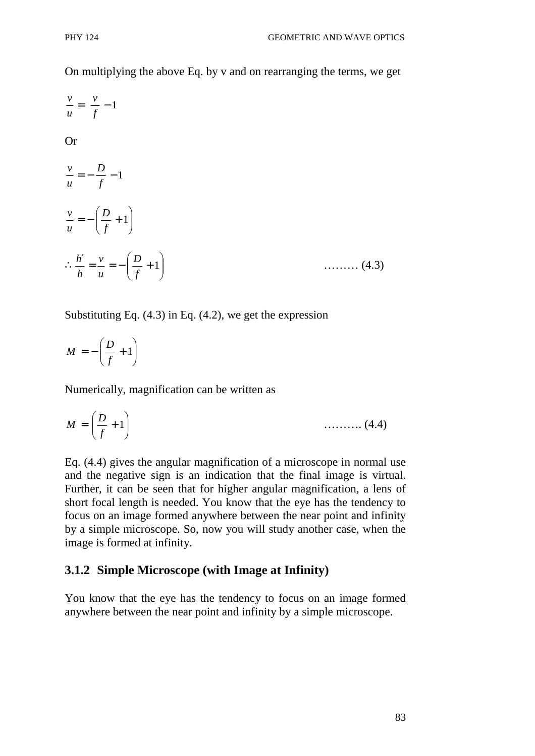*v*

*v*

On multiplying the above Eq. by v and on rearranging the terms, we get

$$
\frac{v}{u} = \frac{v}{f} - 1
$$
  
Or  

$$
\frac{v}{u} = -\frac{D}{f} - 1
$$
  

$$
\frac{v}{u} = -\left(\frac{D}{f} + 1\right)
$$
  
∴ 
$$
\frac{h'}{h} = \frac{v}{u} = -\left(\frac{D}{f} + 1\right)
$$
 (4.3)

Substituting Eq. (4.3) in Eq. (4.2), we get the expression

 $\overline{\phantom{a}}$ J  $\backslash$  $\overline{\phantom{a}}$ l ſ  $= -1\frac{12}{9} + 1$ *f*  $M = -\left(\frac{D}{a}\right)$ 

Numerically, magnification can be written as

$$
M = \left(\frac{D}{f} + 1\right) \tag{4.4}
$$

Eq. (4.4) gives the angular magnification of a microscope in normal use and the negative sign is an indication that the final image is virtual. Further, it can be seen that for higher angular magnification, a lens of short focal length is needed. You know that the eye has the tendency to focus on an image formed anywhere between the near point and infinity by a simple microscope. So, now you will study another case, when the image is formed at infinity.

### **3.1.2 Simple Microscope (with Image at Infinity)**

You know that the eye has the tendency to focus on an image formed anywhere between the near point and infinity by a simple microscope.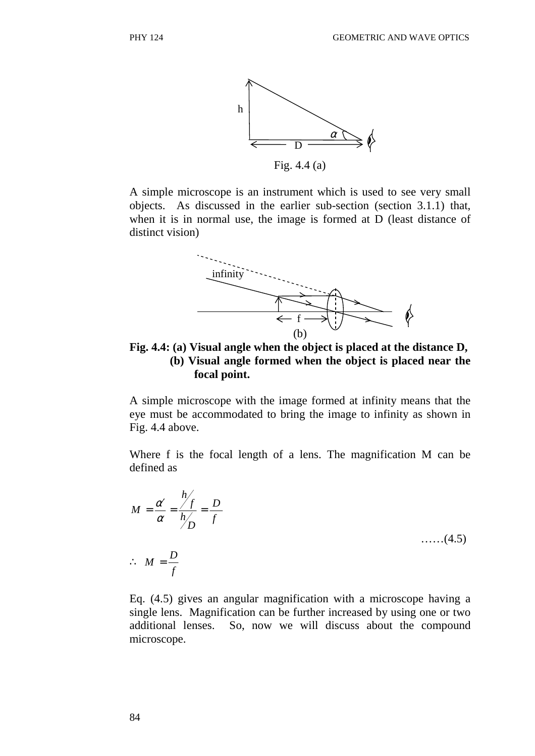

A simple microscope is an instrument which is used to see very small objects. As discussed in the earlier sub-section (section 3.1.1) that, when it is in normal use, the image is formed at D (least distance of distinct vision)



#### **Fig. 4.4: (a) Visual angle when the object is placed at the distance D, (b) Visual angle formed when the object is placed near the focal point.**

A simple microscope with the image formed at infinity means that the eye must be accommodated to bring the image to infinity as shown in Fig. 4.4 above.

Where f is the focal length of a lens. The magnification M can be defined as

$$
M = \frac{\alpha'}{\alpha} = \frac{\frac{h'}{f}}{\frac{h'}{D}} = \frac{D}{f}
$$
  
....(4.5)  

$$
\therefore M = \frac{D}{f}
$$

Eq. (4.5) gives an angular magnification with a microscope having a single lens. Magnification can be further increased by using one or two additional lenses. So, now we will discuss about the compound microscope.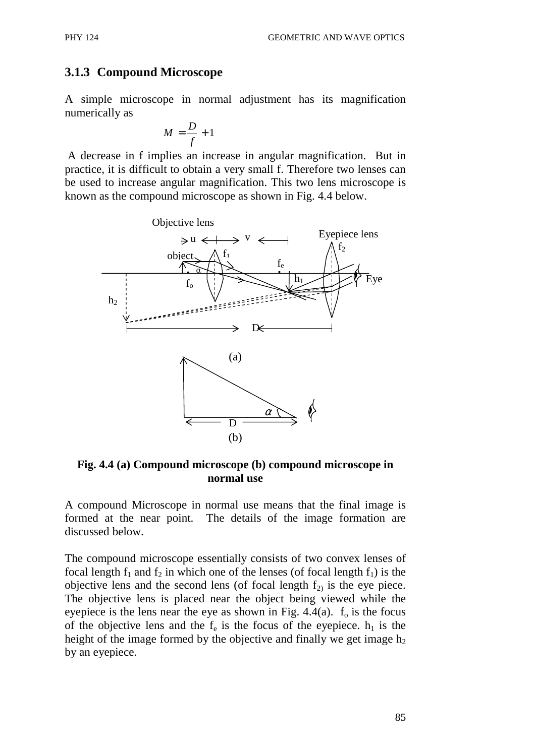# **3.1.3 Compound Microscope**

A simple microscope in normal adjustment has its magnification numerically as

$$
M = \frac{D}{f} + 1
$$

 A decrease in f implies an increase in angular magnification. But in practice, it is difficult to obtain a very small f. Therefore two lenses can be used to increase angular magnification. This two lens microscope is known as the compound microscope as shown in Fig. 4.4 below.



**Fig. 4.4 (a) Compound microscope (b) compound microscope in normal use** 

A compound Microscope in normal use means that the final image is formed at the near point. The details of the image formation are discussed below.

The compound microscope essentially consists of two convex lenses of focal length  $f_1$  and  $f_2$  in which one of the lenses (of focal length  $f_1$ ) is the objective lens and the second lens (of focal length  $f_2$ ) is the eye piece. The objective lens is placed near the object being viewed while the eyepiece is the lens near the eye as shown in Fig. 4.4(a).  $f_0$  is the focus of the objective lens and the  $f_e$  is the focus of the eyepiece.  $h_1$  is the height of the image formed by the objective and finally we get image  $h_2$ by an eyepiece.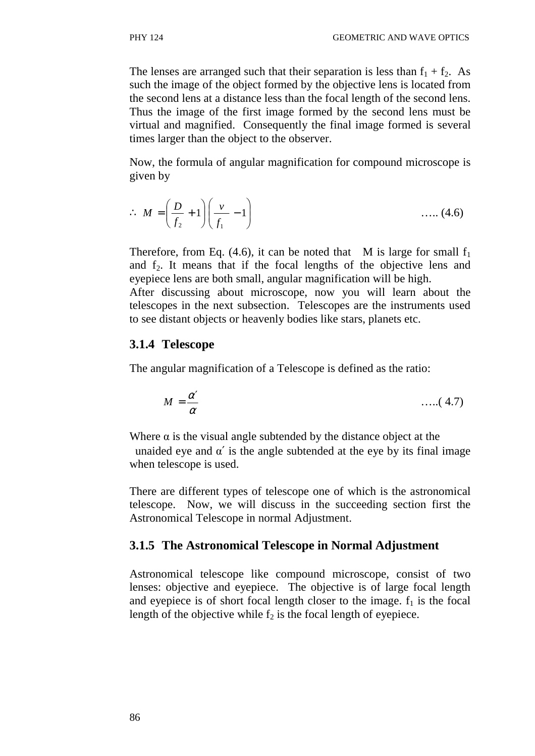The lenses are arranged such that their separation is less than  $f_1 + f_2$ . As such the image of the object formed by the objective lens is located from the second lens at a distance less than the focal length of the second lens. Thus the image of the first image formed by the second lens must be virtual and magnified. Consequently the final image formed is several times larger than the object to the observer.

Now, the formula of angular magnification for compound microscope is given by

$$
\therefore M = \left(\frac{D}{f_2} + 1\right) \left(\frac{v}{f_1} - 1\right) \tag{4.6}
$$

Therefore, from Eq. (4.6), it can be noted that M is large for small  $f_1$ and  $f_2$ . It means that if the focal lengths of the objective lens and eyepiece lens are both small, angular magnification will be high.

After discussing about microscope, now you will learn about the telescopes in the next subsection. Telescopes are the instruments used to see distant objects or heavenly bodies like stars, planets etc.

### **3.1.4 Telescope**

The angular magnification of a Telescope is defined as the ratio:

$$
M = \frac{\alpha'}{\alpha} \qquad \qquad \ldots (4.7)
$$

Where  $\alpha$  is the visual angle subtended by the distance object at the unaided eve and  $\alpha'$  is the angle subtended at the eve by its final image when telescope is used.

There are different types of telescope one of which is the astronomical telescope. Now, we will discuss in the succeeding section first the Astronomical Telescope in normal Adjustment.

#### **3.1.5 The Astronomical Telescope in Normal Adjustment**

Astronomical telescope like compound microscope, consist of two lenses: objective and eyepiece. The objective is of large focal length and eyepiece is of short focal length closer to the image.  $f_1$  is the focal length of the objective while  $f_2$  is the focal length of eyepiece.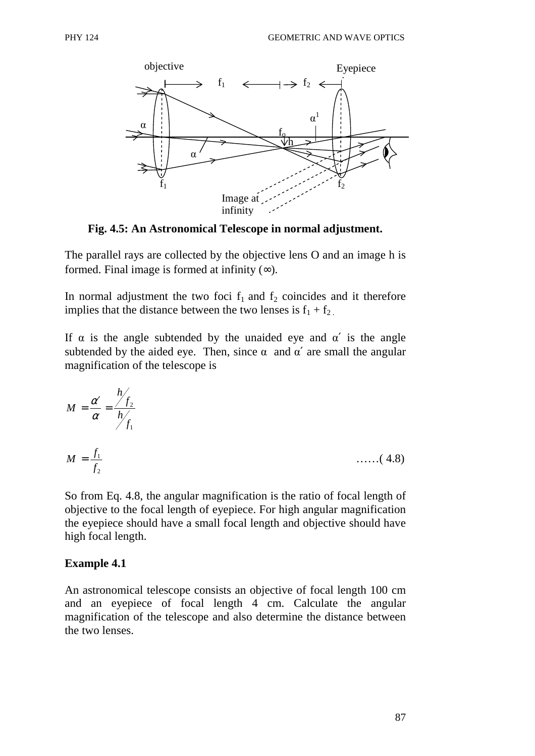

**Fig. 4.5: An Astronomical Telescope in normal adjustment.**

The parallel rays are collected by the objective lens O and an image h is formed. Final image is formed at infinity  $(\infty)$ .

In normal adjustment the two foci  $f_1$  and  $f_2$  coincides and it therefore implies that the distance between the two lenses is  $f_1 + f_2$ .

If  $\alpha$  is the angle subtended by the unaided eye and  $\alpha'$  is the angle subtended by the aided eye. Then, since  $\alpha$  and  $\alpha'$  are small the angular magnification of the telescope is

$$
M = \frac{\alpha'}{\alpha} = \frac{h'_2}{h'_2}
$$
  

$$
M = \frac{f_1}{f_2}
$$
 ......(4.8)

So from Eq. 4.8, the angular magnification is the ratio of focal length of objective to the focal length of eyepiece. For high angular magnification the eyepiece should have a small focal length and objective should have high focal length.

#### **Example 4.1**

An astronomical telescope consists an objective of focal length 100 cm and an eyepiece of focal length 4 cm. Calculate the angular magnification of the telescope and also determine the distance between the two lenses.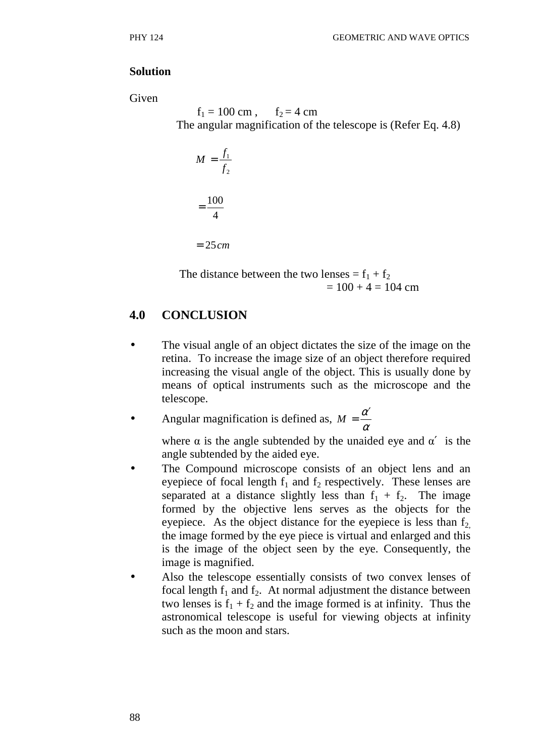#### **Solution**

Given

 $f_1 = 100$  cm,  $f_2 = 4$  cm The angular magnification of the telescope is (Refer Eq. 4.8)

$$
M = \frac{f_1}{f_2}
$$

$$
= \frac{100}{4}
$$

$$
= 25 \, \text{cm}
$$

The distance between the two lenses =  $f_1 + f_2$  $= 100 + 4 = 104$  cm

# **4.0 CONCLUSION**

- The visual angle of an object dictates the size of the image on the retina. To increase the image size of an object therefore required increasing the visual angle of the object. This is usually done by means of optical instruments such as the microscope and the telescope.
- Angular magnification is defined as,  $M = \frac{\alpha}{\alpha}$  $M = \frac{\alpha'}{a}$

where  $\alpha$  is the angle subtended by the unaided eye and  $\alpha'$  is the angle subtended by the aided eye.

- The Compound microscope consists of an object lens and an eyepiece of focal length  $f_1$  and  $f_2$  respectively. These lenses are separated at a distance slightly less than  $f_1 + f_2$ . The image formed by the objective lens serves as the objects for the eyepiece. As the object distance for the eyepiece is less than  $f_2$ , the image formed by the eye piece is virtual and enlarged and this is the image of the object seen by the eye. Consequently, the image is magnified.
- Also the telescope essentially consists of two convex lenses of focal length  $f_1$  and  $f_2$ . At normal adjustment the distance between two lenses is  $f_1 + f_2$  and the image formed is at infinity. Thus the astronomical telescope is useful for viewing objects at infinity such as the moon and stars.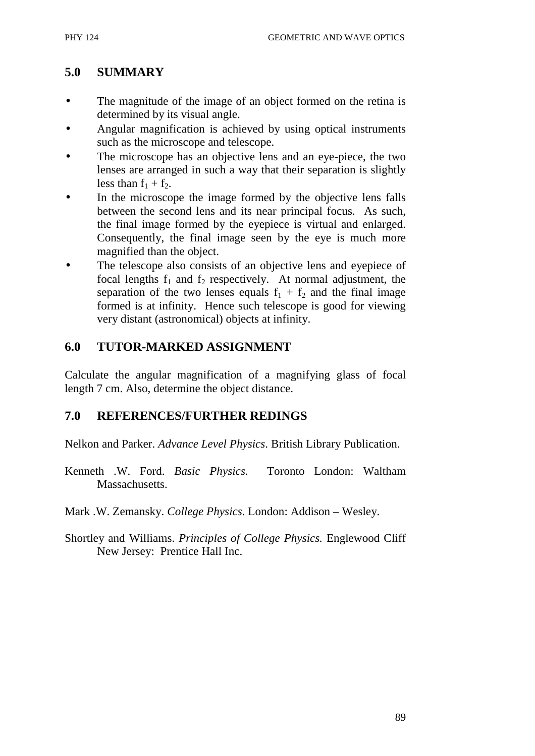# **5.0 SUMMARY**

- The magnitude of the image of an object formed on the retina is determined by its visual angle.
- Angular magnification is achieved by using optical instruments such as the microscope and telescope.
- The microscope has an objective lens and an eye-piece, the two lenses are arranged in such a way that their separation is slightly less than  $f_1 + f_2$ .
- In the microscope the image formed by the objective lens falls between the second lens and its near principal focus. As such, the final image formed by the eyepiece is virtual and enlarged. Consequently, the final image seen by the eye is much more magnified than the object.
- The telescope also consists of an objective lens and eyepiece of focal lengths  $f_1$  and  $f_2$  respectively. At normal adjustment, the separation of the two lenses equals  $f_1 + f_2$  and the final image formed is at infinity. Hence such telescope is good for viewing very distant (astronomical) objects at infinity.

# **6.0 TUTOR-MARKED ASSIGNMENT**

Calculate the angular magnification of a magnifying glass of focal length 7 cm. Also, determine the object distance.

### **7.0 REFERENCES/FURTHER REDINGS**

Nelkon and Parker. *Advance Level Physics*. British Library Publication.

- Kenneth .W. Ford. *Basic Physics.* Toronto London: Waltham Massachusetts.
- Mark .W. Zemansky. *College Physics*. London: Addison Wesley.
- Shortley and Williams. *Principles of College Physics.* Englewood Cliff New Jersey: Prentice Hall Inc.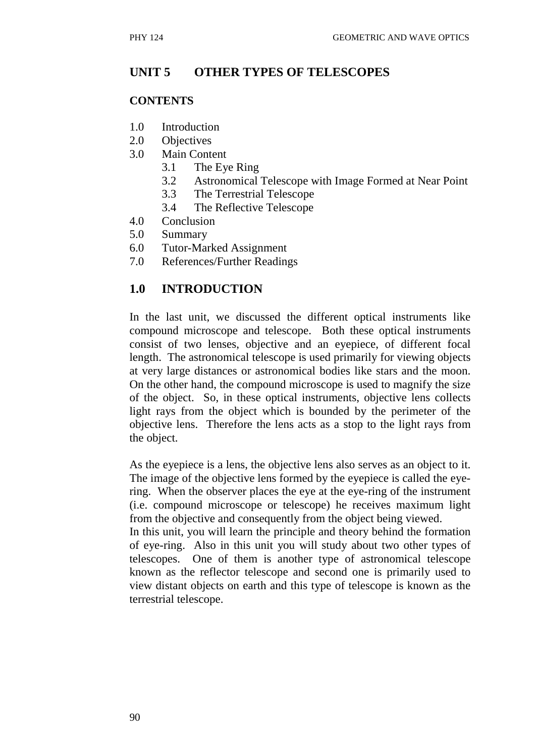### **UNIT 5 OTHER TYPES OF TELESCOPES**

### **CONTENTS**

- 1.0 Introduction
- 2.0 Objectives
- 3.0 Main Content
	- 3.1 The Eye Ring
	- 3.2 Astronomical Telescope with Image Formed at Near Point
	- 3.3 The Terrestrial Telescope
	- 3.4 The Reflective Telescope
- 4.0 Conclusion
- 5.0 Summary
- 6.0 Tutor-Marked Assignment
- 7.0 References/Further Readings

### **1.0 INTRODUCTION**

In the last unit, we discussed the different optical instruments like compound microscope and telescope. Both these optical instruments consist of two lenses, objective and an eyepiece, of different focal length. The astronomical telescope is used primarily for viewing objects at very large distances or astronomical bodies like stars and the moon. On the other hand, the compound microscope is used to magnify the size of the object. So, in these optical instruments, objective lens collects light rays from the object which is bounded by the perimeter of the objective lens. Therefore the lens acts as a stop to the light rays from the object.

As the eyepiece is a lens, the objective lens also serves as an object to it. The image of the objective lens formed by the eyepiece is called the eyering. When the observer places the eye at the eye-ring of the instrument (i.e. compound microscope or telescope) he receives maximum light from the objective and consequently from the object being viewed.

In this unit, you will learn the principle and theory behind the formation of eye-ring. Also in this unit you will study about two other types of telescopes. One of them is another type of astronomical telescope known as the reflector telescope and second one is primarily used to view distant objects on earth and this type of telescope is known as the terrestrial telescope.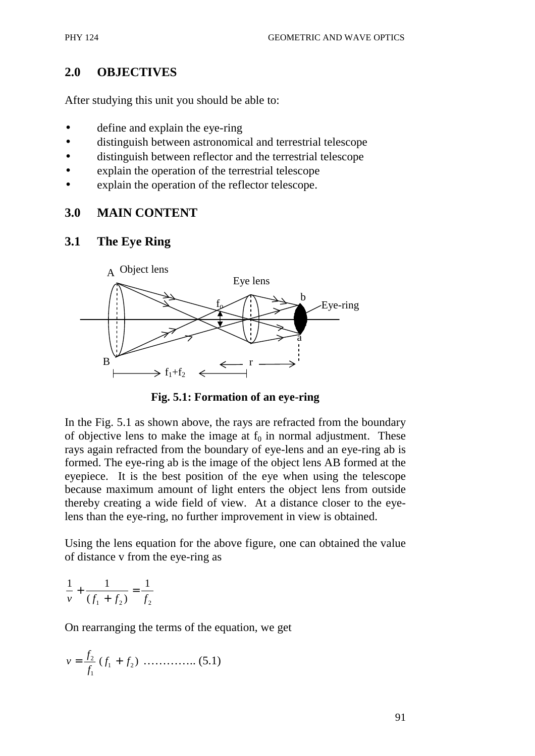## **2.0 OBJECTIVES**

After studying this unit you should be able to:

- define and explain the eye-ring
- distinguish between astronomical and terrestrial telescope
- distinguish between reflector and the terrestrial telescope
- explain the operation of the terrestrial telescope
- explain the operation of the reflector telescope.

## **3.0 MAIN CONTENT**

## **3.1 The Eye Ring**



**Fig. 5.1: Formation of an eye-ring** 

In the Fig. 5.1 as shown above, the rays are refracted from the boundary of objective lens to make the image at  $f_0$  in normal adjustment. These rays again refracted from the boundary of eye-lens and an eye-ring ab is formed. The eye-ring ab is the image of the object lens AB formed at the eyepiece. It is the best position of the eye when using the telescope because maximum amount of light enters the object lens from outside thereby creating a wide field of view. At a distance closer to the eyelens than the eye-ring, no further improvement in view is obtained.

Using the lens equation for the above figure, one can obtained the value of distance v from the eye-ring as

 $1$   $J_2$   $J_2$ 1  $(f_1 + f_2)$  $1 \quad 1$ *v*  $(f_1 + f_2)$  *f* = +  $+\frac{1}{\sqrt{2}} = \frac{1}{2}$ 

On rearranging the terms of the equation, we get

$$
v = \frac{f_2}{f_1} (f_1 + f_2) \dots (5.1)
$$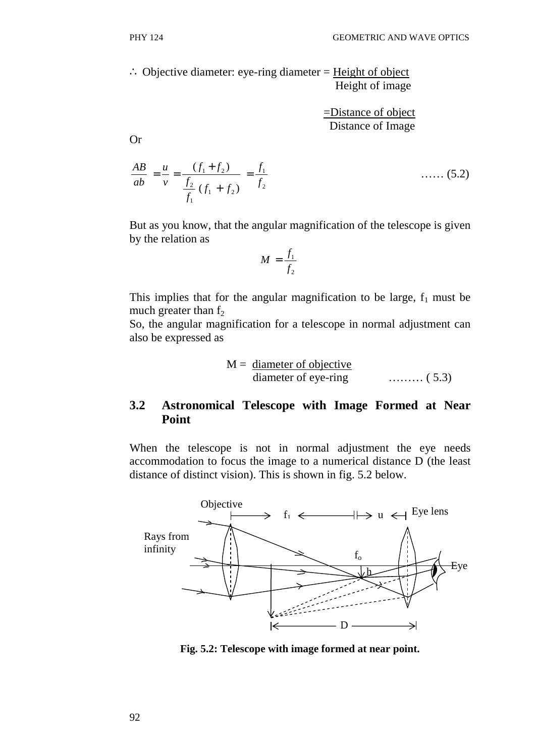∴ Objective diameter: eye-ring diameter  $=$  Height of object Height of image

=Distance of object Distance of Image

Or

$$
\frac{AB}{ab} = \frac{u}{v} = \frac{(f_1 + f_2)}{\frac{f_2}{f_1}(f_1 + f_2)} = \frac{f_1}{f_2}
$$
 ...... (5.2)

But as you know, that the angular magnification of the telescope is given by the relation as

$$
M=\frac{f_1}{f_2}
$$

This implies that for the angular magnification to be large,  $f_1$  must be much greater than  $f_2$ 

So, the angular magnification for a telescope in normal adjustment can also be expressed as

$$
M = \frac{\text{diameter of objective}}{\text{diameter of eye-ring}} \qquad \qquad \dots \dots \dots \quad (5.3)
$$

## **3.2 Astronomical Telescope with Image Formed at Near Point**

When the telescope is not in normal adjustment the eye needs accommodation to focus the image to a numerical distance D (the least distance of distinct vision). This is shown in fig. 5.2 below.



**Fig. 5.2: Telescope with image formed at near point.**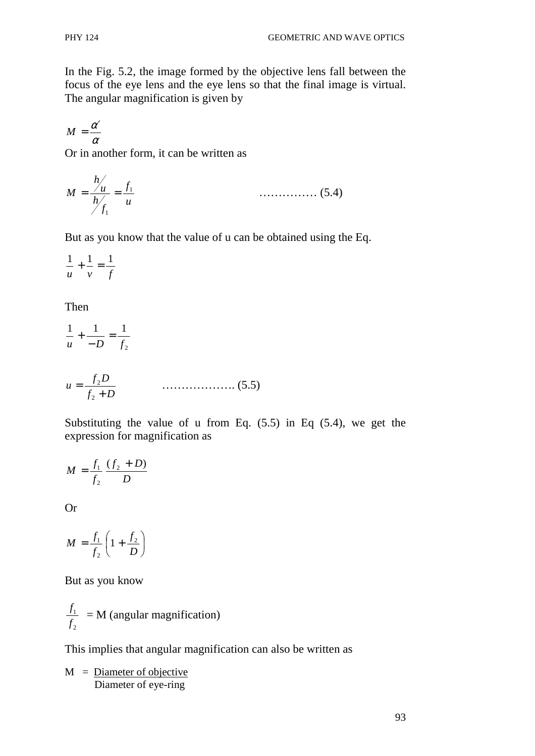In the Fig. 5.2, the image formed by the objective lens fall between the focus of the eye lens and the eye lens so that the final image is virtual. The angular magnification is given by

$$
M=\frac{\alpha'}{\alpha}
$$

Or in another form, it can be written as

$$
M = \frac{h'_{\mu}}{h'_{f_1}} = \frac{f_1}{u}
$$
 (5.4)

But as you know that the value of u can be obtained using the Eq.

$$
\frac{1}{u} + \frac{1}{v} = \frac{1}{f}
$$

Then

$$
\frac{1}{u} + \frac{1}{-D} = \frac{1}{f_2}
$$
  

$$
u = \frac{f_2 D}{f_2 + D} \qquad \qquad (5.5)
$$

Substituting the value of u from Eq. (5.5) in Eq (5.4), we get the expression for magnification as

$$
M = \frac{f_1}{f_2} \frac{(f_2 + D)}{D}
$$

Or

$$
M = \frac{f_1}{f_2} \left( 1 + \frac{f_2}{D} \right)
$$

But as you know

2 1 *f*  $\frac{f_1}{f_2}$  = M (angular magnification)

This implies that angular magnification can also be written as

M = Diameter of objective Diameter of eye-ring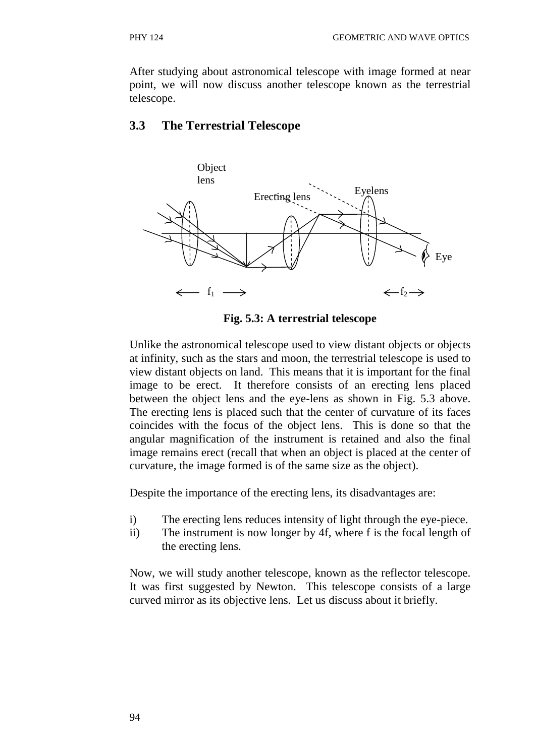After studying about astronomical telescope with image formed at near point, we will now discuss another telescope known as the terrestrial telescope.

## **3.3 The Terrestrial Telescope**



**Fig. 5.3: A terrestrial telescope** 

Unlike the astronomical telescope used to view distant objects or objects at infinity, such as the stars and moon, the terrestrial telescope is used to view distant objects on land. This means that it is important for the final image to be erect. It therefore consists of an erecting lens placed between the object lens and the eye-lens as shown in Fig. 5.3 above. The erecting lens is placed such that the center of curvature of its faces coincides with the focus of the object lens. This is done so that the angular magnification of the instrument is retained and also the final image remains erect (recall that when an object is placed at the center of curvature, the image formed is of the same size as the object).

Despite the importance of the erecting lens, its disadvantages are:

- i) The erecting lens reduces intensity of light through the eye-piece.
- ii) The instrument is now longer by 4f, where f is the focal length of the erecting lens.

Now, we will study another telescope, known as the reflector telescope. It was first suggested by Newton. This telescope consists of a large curved mirror as its objective lens. Let us discuss about it briefly.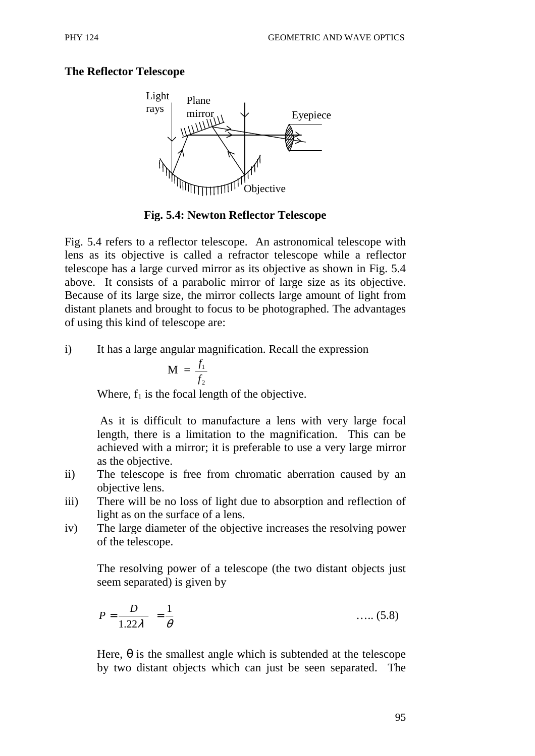#### **The Reflector Telescope**



**Fig. 5.4: Newton Reflector Telescope** 

Fig. 5.4 refers to a reflector telescope. An astronomical telescope with lens as its objective is called a refractor telescope while a reflector telescope has a large curved mirror as its objective as shown in Fig. 5.4 above. It consists of a parabolic mirror of large size as its objective. Because of its large size, the mirror collects large amount of light from distant planets and brought to focus to be photographed. The advantages of using this kind of telescope are:

i) It has a large angular magnification. Recall the expression

$$
\mathbf{M} = \frac{f_1}{f_2}
$$

Where,  $f_1$  is the focal length of the objective.

 As it is difficult to manufacture a lens with very large focal length, there is a limitation to the magnification. This can be achieved with a mirror; it is preferable to use a very large mirror as the objective.

- ii) The telescope is free from chromatic aberration caused by an objective lens.
- iii) There will be no loss of light due to absorption and reflection of light as on the surface of a lens.
- iv) The large diameter of the objective increases the resolving power of the telescope.

The resolving power of a telescope (the two distant objects just seem separated) is given by

$$
P = \frac{D}{1.22\lambda} = \frac{1}{\theta} \tag{5.8}
$$

Here,  $\theta$  is the smallest angle which is subtended at the telescope by two distant objects which can just be seen separated. The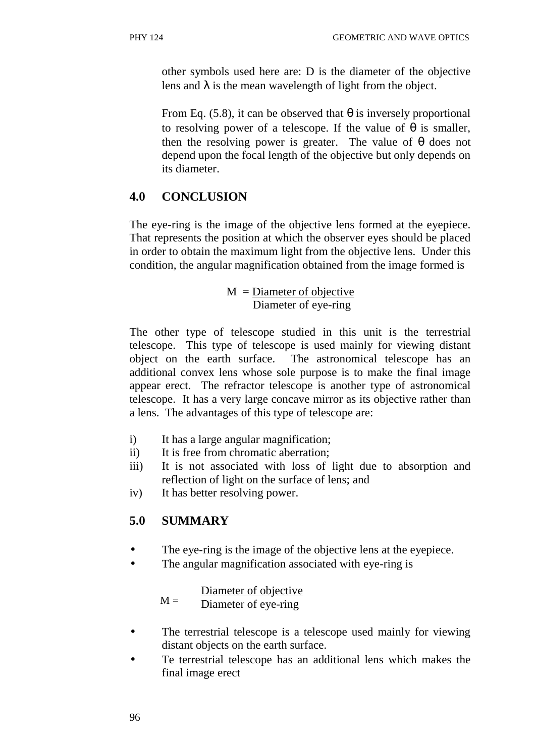other symbols used here are: D is the diameter of the objective lens and  $\lambda$  is the mean wavelength of light from the object.

From Eq. (5.8), it can be observed that  $\theta$  is inversely proportional to resolving power of a telescope. If the value of  $\theta$  is smaller, then the resolving power is greater. The value of  $\theta$  does not depend upon the focal length of the objective but only depends on its diameter.

# **4.0 CONCLUSION**

The eye-ring is the image of the objective lens formed at the eyepiece. That represents the position at which the observer eyes should be placed in order to obtain the maximum light from the objective lens. Under this condition, the angular magnification obtained from the image formed is

## $M =$ Diameter of objective Diameter of eye-ring

The other type of telescope studied in this unit is the terrestrial telescope. This type of telescope is used mainly for viewing distant object on the earth surface. The astronomical telescope has an additional convex lens whose sole purpose is to make the final image appear erect. The refractor telescope is another type of astronomical telescope. It has a very large concave mirror as its objective rather than a lens. The advantages of this type of telescope are:

- i) It has a large angular magnification;
- ii) It is free from chromatic aberration;
- iii) It is not associated with loss of light due to absorption and reflection of light on the surface of lens; and
- iv) It has better resolving power.

# **5.0 SUMMARY**

- The eye-ring is the image of the objective lens at the eyepiece.
- The angular magnification associated with eye-ring is

Diameter of objective Diameter of eye-ring  $M =$ 

- The terrestrial telescope is a telescope used mainly for viewing distant objects on the earth surface.
- Te terrestrial telescope has an additional lens which makes the final image erect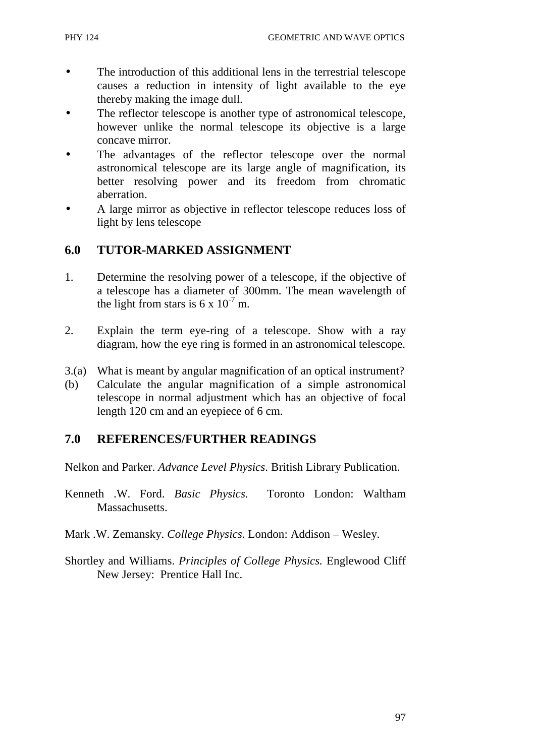- The introduction of this additional lens in the terrestrial telescope causes a reduction in intensity of light available to the eye thereby making the image dull.
- The reflector telescope is another type of astronomical telescope, however unlike the normal telescope its objective is a large concave mirror.
- The advantages of the reflector telescope over the normal astronomical telescope are its large angle of magnification, its better resolving power and its freedom from chromatic aberration.
- A large mirror as objective in reflector telescope reduces loss of light by lens telescope

# **6.0 TUTOR-MARKED ASSIGNMENT**

- 1. Determine the resolving power of a telescope, if the objective of a telescope has a diameter of 300mm. The mean wavelength of the light from stars is  $6 \times 10^{-7}$  m.
- 2. Explain the term eye-ring of a telescope. Show with a ray diagram, how the eye ring is formed in an astronomical telescope.
- 3.(a) What is meant by angular magnification of an optical instrument?
- (b) Calculate the angular magnification of a simple astronomical telescope in normal adjustment which has an objective of focal length 120 cm and an eyepiece of 6 cm.

# **7.0 REFERENCES/FURTHER READINGS**

Nelkon and Parker. *Advance Level Physics*. British Library Publication.

- Kenneth .W. Ford. *Basic Physics.* Toronto London: Waltham **Massachusetts**
- Mark .W. Zemansky. *College Physics*. London: Addison Wesley.
- Shortley and Williams. *Principles of College Physics.* Englewood Cliff New Jersey: Prentice Hall Inc.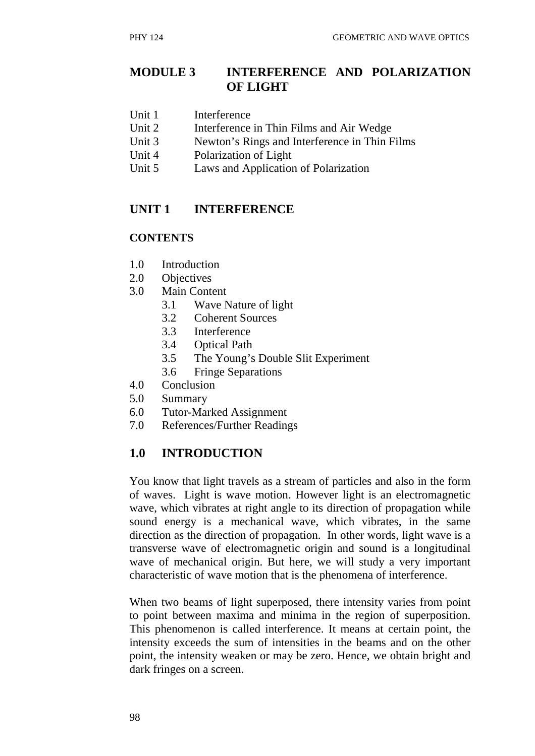# **MODULE 3 INTERFERENCE AND POLARIZATION OF LIGHT**

- Unit 1 Interference
- Unit 2 Interference in Thin Films and Air Wedge
- Unit 3 Newton's Rings and Interference in Thin Films
- Unit 4 Polarization of Light
- Unit 5 Laws and Application of Polarization

## **UNIT 1 INTERFERENCE**

### **CONTENTS**

- 1.0 Introduction
- 2.0 Objectives
- 3.0 Main Content
	- 3.1 Wave Nature of light
	- 3.2 Coherent Sources
	- 3.3 Interference
	- 3.4 Optical Path
	- 3.5 The Young's Double Slit Experiment
	- 3.6 Fringe Separations
- 4.0 Conclusion
- 5.0 Summary
- 6.0 Tutor-Marked Assignment
- 7.0 References/Further Readings

# **1.0 INTRODUCTION**

You know that light travels as a stream of particles and also in the form of waves. Light is wave motion. However light is an electromagnetic wave, which vibrates at right angle to its direction of propagation while sound energy is a mechanical wave, which vibrates, in the same direction as the direction of propagation. In other words, light wave is a transverse wave of electromagnetic origin and sound is a longitudinal wave of mechanical origin. But here, we will study a very important characteristic of wave motion that is the phenomena of interference.

When two beams of light superposed, there intensity varies from point to point between maxima and minima in the region of superposition. This phenomenon is called interference. It means at certain point, the intensity exceeds the sum of intensities in the beams and on the other point, the intensity weaken or may be zero. Hence, we obtain bright and dark fringes on a screen.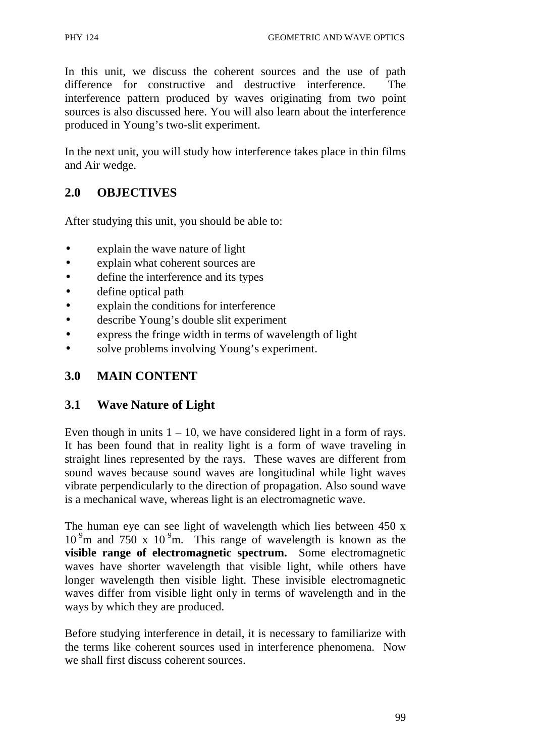In this unit, we discuss the coherent sources and the use of path difference for constructive and destructive interference. The interference pattern produced by waves originating from two point sources is also discussed here. You will also learn about the interference produced in Young's two-slit experiment.

In the next unit, you will study how interference takes place in thin films and Air wedge.

# **2.0 OBJECTIVES**

After studying this unit, you should be able to:

- explain the wave nature of light
- explain what coherent sources are
- define the interference and its types
- define optical path
- explain the conditions for interference
- describe Young's double slit experiment
- express the fringe width in terms of wavelength of light
- solve problems involving Young's experiment.

# **3.0 MAIN CONTENT**

# **3.1 Wave Nature of Light**

Even though in units  $1 - 10$ , we have considered light in a form of rays. It has been found that in reality light is a form of wave traveling in straight lines represented by the rays. These waves are different from sound waves because sound waves are longitudinal while light waves vibrate perpendicularly to the direction of propagation. Also sound wave is a mechanical wave, whereas light is an electromagnetic wave.

The human eye can see light of wavelength which lies between 450 x  $10^{9}$ m and  $750 \times 10^{9}$ m. This range of wavelength is known as the **visible range of electromagnetic spectrum.** Some electromagnetic waves have shorter wavelength that visible light, while others have longer wavelength then visible light. These invisible electromagnetic waves differ from visible light only in terms of wavelength and in the ways by which they are produced.

Before studying interference in detail, it is necessary to familiarize with the terms like coherent sources used in interference phenomena. Now we shall first discuss coherent sources.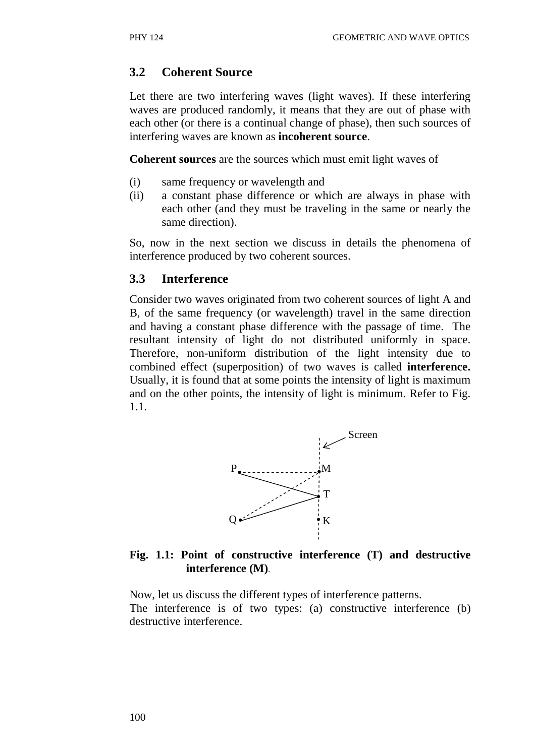## **3.2 Coherent Source**

Let there are two interfering waves (light waves). If these interfering waves are produced randomly, it means that they are out of phase with each other (or there is a continual change of phase), then such sources of interfering waves are known as **incoherent source**.

**Coherent sources** are the sources which must emit light waves of

- (i) same frequency or wavelength and
- (ii) a constant phase difference or which are always in phase with each other (and they must be traveling in the same or nearly the same direction).

So, now in the next section we discuss in details the phenomena of interference produced by two coherent sources.

### **3.3 Interference**

Consider two waves originated from two coherent sources of light A and B, of the same frequency (or wavelength) travel in the same direction and having a constant phase difference with the passage of time. The resultant intensity of light do not distributed uniformly in space. Therefore, non-uniform distribution of the light intensity due to combined effect (superposition) of two waves is called **interference.** Usually, it is found that at some points the intensity of light is maximum and on the other points, the intensity of light is minimum. Refer to Fig. 1.1.



### **Fig. 1.1: Point of constructive interference (T) and destructive interference (M)**.

Now, let us discuss the different types of interference patterns.

The interference is of two types: (a) constructive interference (b) destructive interference.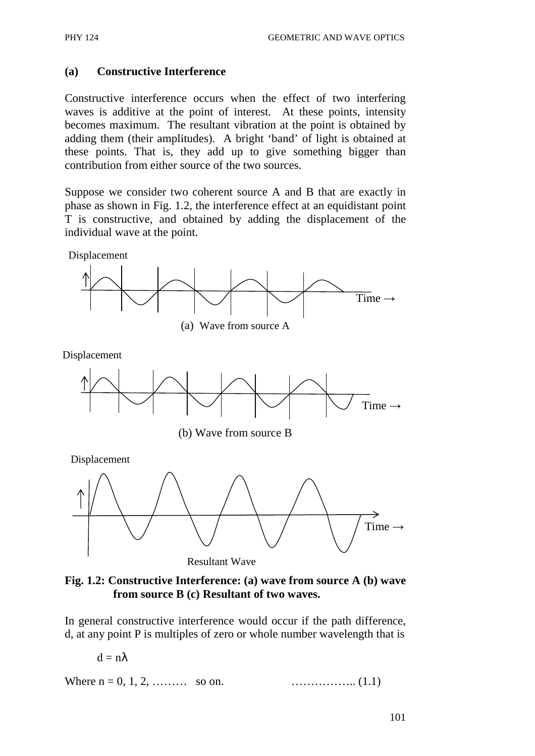### **(a) Constructive Interference**

Constructive interference occurs when the effect of two interfering waves is additive at the point of interest. At these points, intensity becomes maximum. The resultant vibration at the point is obtained by adding them (their amplitudes). A bright 'band' of light is obtained at these points. That is, they add up to give something bigger than contribution from either source of the two sources.

Suppose we consider two coherent source A and B that are exactly in phase as shown in Fig. 1.2, the interference effect at an equidistant point T is constructive, and obtained by adding the displacement of the individual wave at the point.

Displacement



Displacement



Displacement



**Fig. 1.2: Constructive Interference: (a) wave from source A (b) wave from source B (c) Resultant of two waves.** 

In general constructive interference would occur if the path difference, d, at any point P is multiples of zero or whole number wavelength that is

$$
d=n\lambda
$$

Where  $n = 0, 1, 2, \dots$  so on.  $\dots$  .  $(1.1)$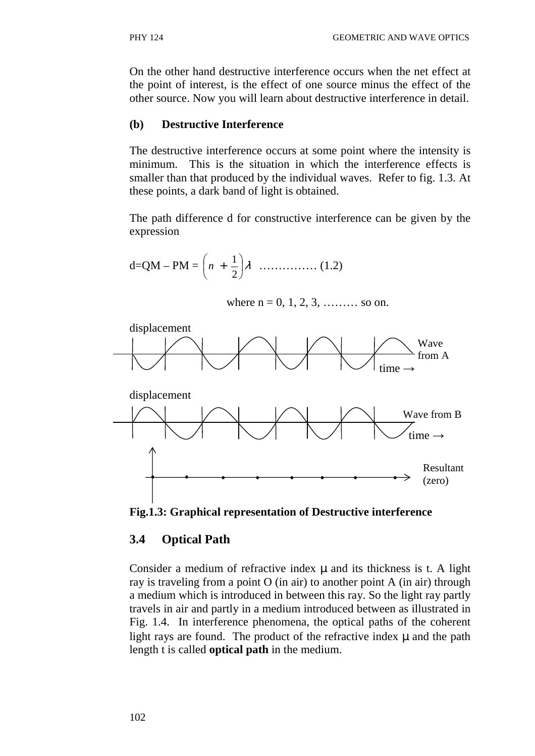On the other hand destructive interference occurs when the net effect at the point of interest, is the effect of one source minus the effect of the other source. Now you will learn about destructive interference in detail.

## **(b) Destructive Interference**

The destructive interference occurs at some point where the intensity is minimum. This is the situation in which the interference effects is smaller than that produced by the individual waves. Refer to fig. 1.3. At these points, a dark band of light is obtained.

The path difference d for constructive interference can be given by the expression

$$
d=QM-PM = \left(n + \frac{1}{2}\right)\lambda
$$
 ....... (1.2)

where  $n = 0, 1, 2, 3, \ldots$  so on.



**Fig.1.3: Graphical representation of Destructive interference** 

# **3.4 Optical Path**

Consider a medium of refractive index  $\mu$  and its thickness is t. A light ray is traveling from a point O (in air) to another point A (in air) through a medium which is introduced in between this ray. So the light ray partly travels in air and partly in a medium introduced between as illustrated in Fig. 1.4. In interference phenomena, the optical paths of the coherent light rays are found. The product of the refractive index  $\mu$  and the path length t is called **optical path** in the medium.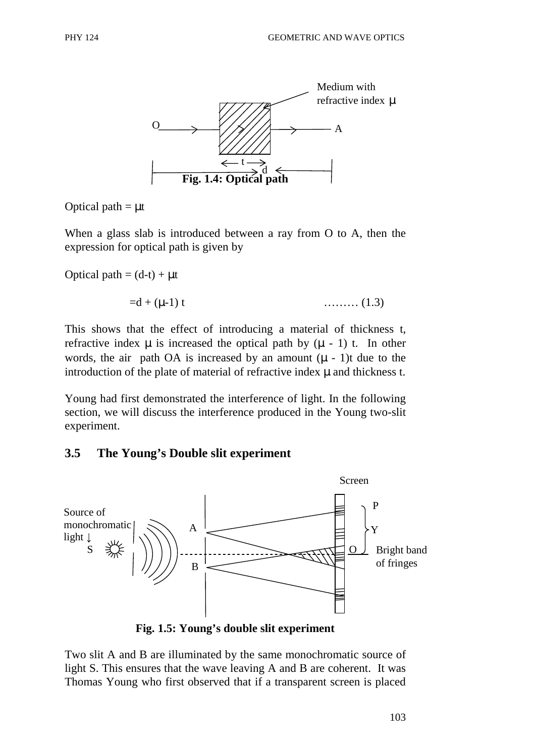

Optical path  $= \mu t$ 

When a glass slab is introduced between a ray from O to A, then the expression for optical path is given by

Optical path  $=$  (d-t) +  $\mu$ t

$$
=d + (\mu - 1) t
$$
 (1.3)

This shows that the effect of introducing a material of thickness t, refractive index  $\mu$  is increased the optical path by  $(\mu - 1)$  t. In other words, the air path OA is increased by an amount  $(\mu - 1)t$  due to the introduction of the plate of material of refractive index µ and thickness t.

Young had first demonstrated the interference of light. In the following section, we will discuss the interference produced in the Young two-slit experiment.

### **3.5 The Young's Double slit experiment**



**Fig. 1.5: Young's double slit experiment** 

Two slit A and B are illuminated by the same monochromatic source of light S. This ensures that the wave leaving A and B are coherent. It was Thomas Young who first observed that if a transparent screen is placed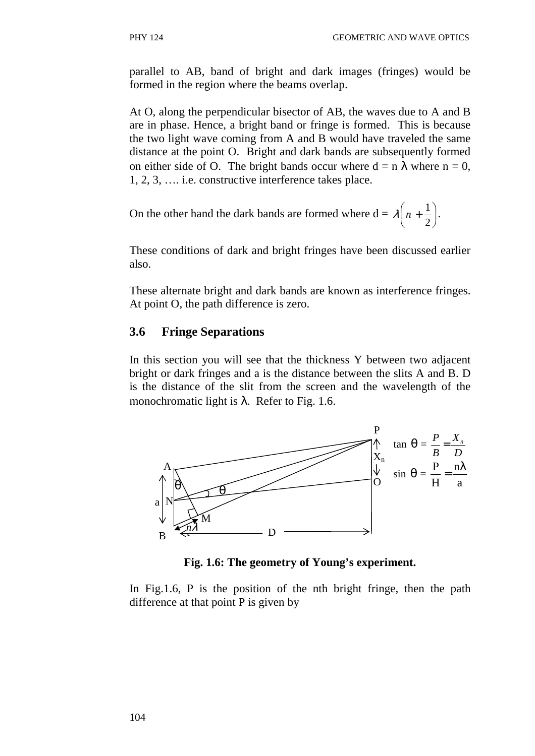parallel to AB, band of bright and dark images (fringes) would be formed in the region where the beams overlap.

At O, along the perpendicular bisector of AB, the waves due to A and B are in phase. Hence, a bright band or fringe is formed. This is because the two light wave coming from A and B would have traveled the same distance at the point O. Bright and dark bands are subsequently formed on either side of O. The bright bands occur where  $d = n \lambda$  where  $n = 0$ , 1, 2, 3, …. i.e. constructive interference takes place.

On the other hand the dark bands are formed where  $d = \lambda | n + \frac{1}{n}$ J  $\left(n+\frac{1}{2}\right)$ l ſ + 2  $\lambda \left( n + \frac{1}{2} \right)$ .

These conditions of dark and bright fringes have been discussed earlier also.

These alternate bright and dark bands are known as interference fringes. At point O, the path difference is zero.

## **3.6 Fringe Separations**

In this section you will see that the thickness Y between two adjacent bright or dark fringes and a is the distance between the slits A and B. D is the distance of the slit from the screen and the wavelength of the monochromatic light is  $\lambda$ . Refer to Fig. 1.6.



**Fig. 1.6: The geometry of Young's experiment.** 

In Fig.1.6, P is the position of the nth bright fringe, then the path difference at that point P is given by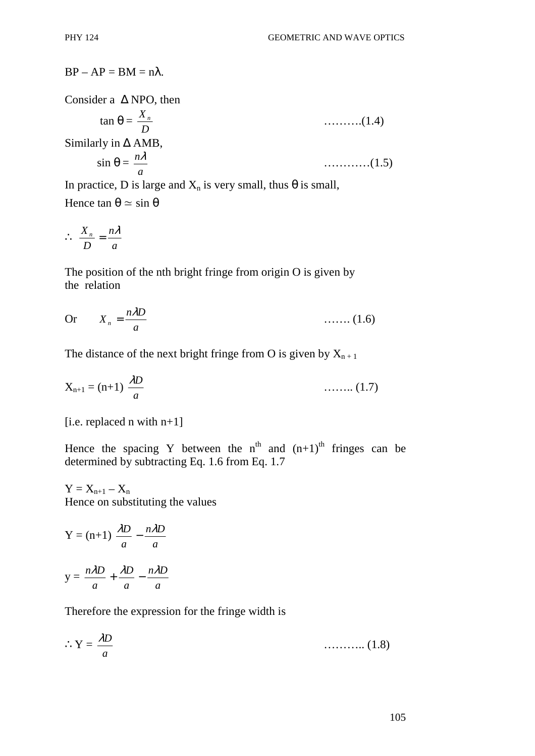$BP - AP = BM = n\lambda$ .

Consider a ∆ NPO, then

$$
\tan \theta = \frac{X_n}{D}
$$
........(1.4)  
Similarly in  $\triangle$  AMB,  

$$
\sin \theta = \frac{n\lambda}{a}
$$
........(1.5)

In practice, D is large and  $X_n$  is very small, thus  $\theta$  is small, Hence tan  $\theta \simeq \sin \theta$ 

$$
\therefore \ \frac{X_n}{D} = \frac{n\lambda}{a}
$$

The position of the nth bright fringe from origin O is given by the relation

Or 
$$
X_n = \frac{n\lambda D}{a}
$$
 ...... (1.6)

The distance of the next bright fringe from O is given by  $X_{n+1}$ 

$$
X_{n+1} = (n+1) \frac{\lambda D}{a} \qquad \qquad \dots \dots \dots (1.7)
$$

[i.e. replaced n with n+1]

Hence the spacing Y between the  $n^{th}$  and  $(n+1)^{th}$  fringes can be determined by subtracting Eq. 1.6 from Eq. 1.7

 $Y = X_{n+1} - X_n$ Hence on substituting the values

$$
Y = (n+1)\frac{\lambda D}{a} - \frac{n\lambda D}{a}
$$

$$
y = \frac{n\lambda D}{a} + \frac{\lambda D}{a} - \frac{n\lambda D}{a}
$$

Therefore the expression for the fringe width is

$$
\therefore Y = \frac{\lambda D}{a} \tag{1.8}
$$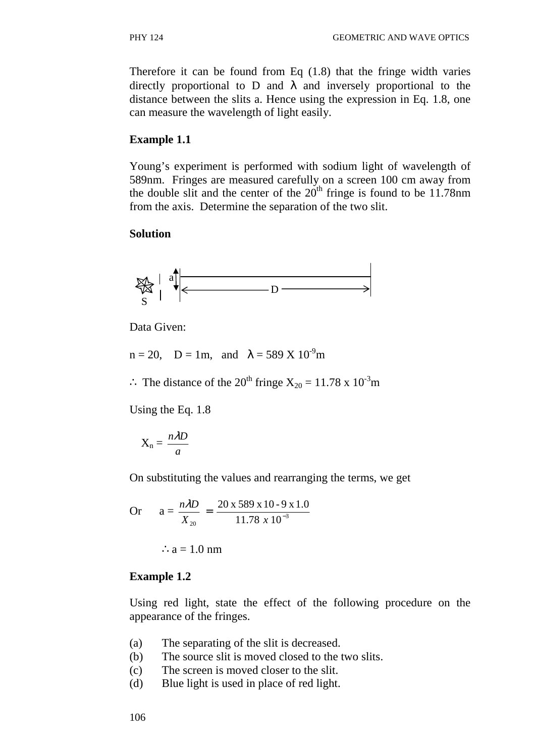Therefore it can be found from Eq (1.8) that the fringe width varies directly proportional to D and  $\lambda$  and inversely proportional to the distance between the slits a. Hence using the expression in Eq. 1.8, one can measure the wavelength of light easily.

### **Example 1.1**

Young's experiment is performed with sodium light of wavelength of 589nm. Fringes are measured carefully on a screen 100 cm away from the double slit and the center of the  $20^{th}$  fringe is found to be 11.78nm from the axis. Determine the separation of the two slit.

### **Solution**



Data Given:

 $n = 20$ ,  $D = 1m$ , and  $\lambda = 589 \text{ X } 10^{-9} \text{m}$ 

∴ The distance of the 20<sup>th</sup> fringe  $X_{20} = 11.78 \times 10^{-3}$ m

Using the Eq. 1.8

$$
X_n = \frac{n\lambda D}{a}
$$

On substituting the values and rearranging the terms, we get

Or 
$$
a = {n\lambda D \over X_{20}} = {20 \times 589 \times 10 - 9 \times 1.0 \over 11.78 \times 10^{-3}}
$$

∴a = 1.0 nm

### **Example 1.2**

Using red light, state the effect of the following procedure on the appearance of the fringes.

- (a) The separating of the slit is decreased.
- (b) The source slit is moved closed to the two slits.
- (c) The screen is moved closer to the slit.
- (d) Blue light is used in place of red light.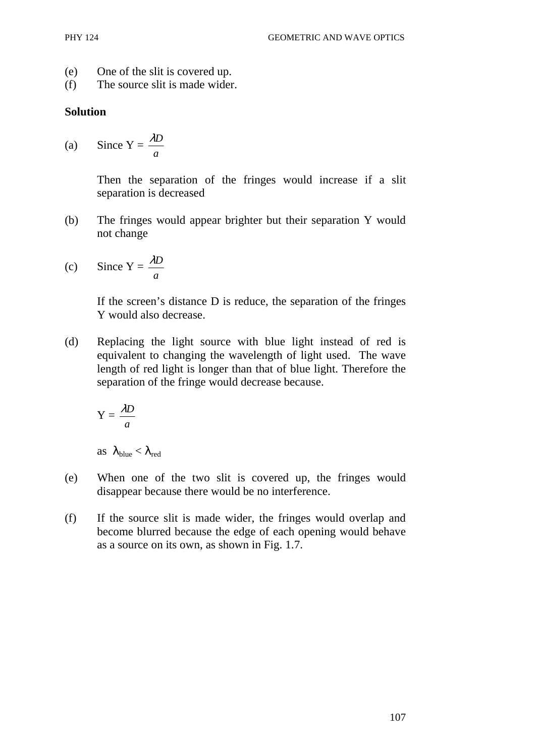- (e) One of the slit is covered up.
- (f) The source slit is made wider.

#### **Solution**

(a) Since 
$$
Y = \frac{\lambda D}{a}
$$

Then the separation of the fringes would increase if a slit separation is decreased

- (b) The fringes would appear brighter but their separation Y would not change
- (c) Since  $Y =$ *a* λ*D*

If the screen's distance D is reduce, the separation of the fringes Y would also decrease.

(d) Replacing the light source with blue light instead of red is equivalent to changing the wavelength of light used. The wave length of red light is longer than that of blue light. Therefore the separation of the fringe would decrease because.

$$
Y = \frac{\lambda D}{a}
$$

as  $\lambda_{\text{blue}} < \lambda_{\text{red}}$ 

- (e) When one of the two slit is covered up, the fringes would disappear because there would be no interference.
- (f) If the source slit is made wider, the fringes would overlap and become blurred because the edge of each opening would behave as a source on its own, as shown in Fig. 1.7.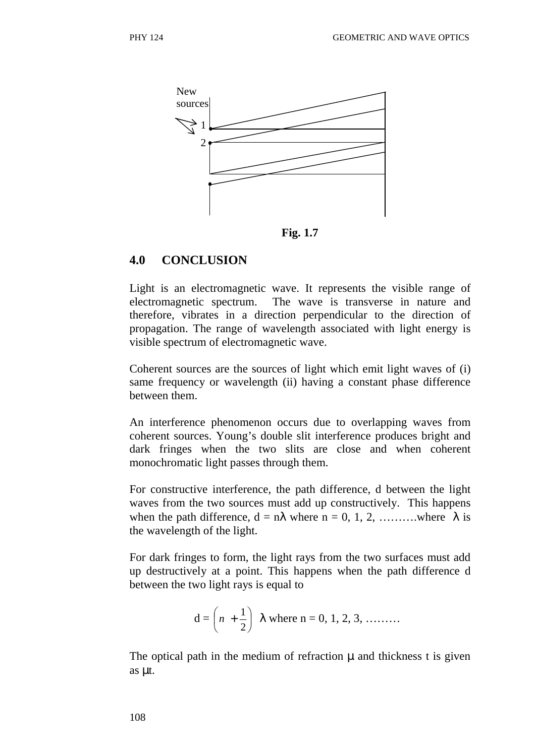

**Fig. 1.7** 

### **4.0 CONCLUSION**

Light is an electromagnetic wave. It represents the visible range of electromagnetic spectrum. The wave is transverse in nature and therefore, vibrates in a direction perpendicular to the direction of propagation. The range of wavelength associated with light energy is visible spectrum of electromagnetic wave.

Coherent sources are the sources of light which emit light waves of (i) same frequency or wavelength (ii) having a constant phase difference between them.

An interference phenomenon occurs due to overlapping waves from coherent sources. Young's double slit interference produces bright and dark fringes when the two slits are close and when coherent monochromatic light passes through them.

For constructive interference, the path difference, d between the light waves from the two sources must add up constructively. This happens when the path difference,  $d = n\lambda$  where  $n = 0, 1, 2, \dots$  where  $\lambda$  is the wavelength of the light.

For dark fringes to form, the light rays from the two surfaces must add up destructively at a point. This happens when the path difference d between the two light rays is equal to

$$
d = \left(n + \frac{1}{2}\right) \lambda
$$
 where n = 0, 1, 2, 3, .........

The optical path in the medium of refraction  $\mu$  and thickness t is given as µt.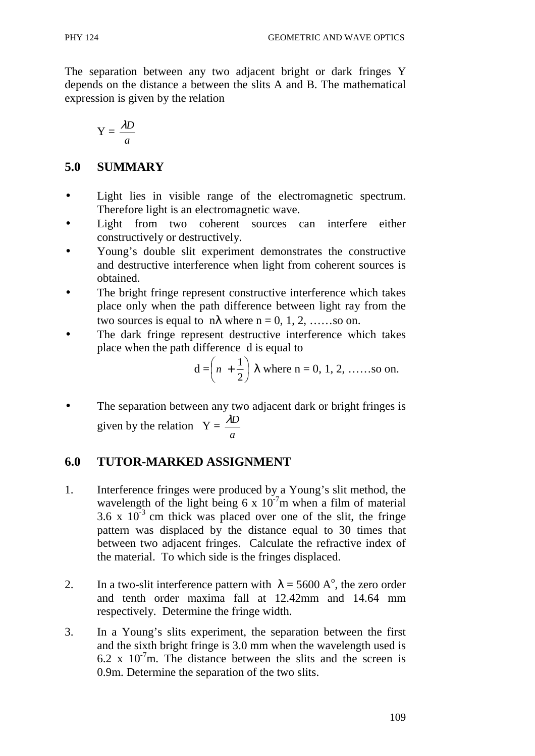The separation between any two adjacent bright or dark fringes Y depends on the distance a between the slits A and B. The mathematical expression is given by the relation

$$
Y = \frac{\lambda D}{a}
$$

## **5.0 SUMMARY**

- Light lies in visible range of the electromagnetic spectrum. Therefore light is an electromagnetic wave.
- Light from two coherent sources can interfere either constructively or destructively.
- Young's double slit experiment demonstrates the constructive and destructive interference when light from coherent sources is obtained.
- The bright fringe represent constructive interference which takes place only when the path difference between light ray from the two sources is equal to  $n\lambda$  where  $n = 0, 1, 2, \ldots$  so on.
- The dark fringe represent destructive interference which takes place when the path difference d is equal to

$$
d = \left(n + \frac{1}{2}\right) \lambda
$$
 where  $n = 0, 1, 2, \ldots$  so on.

The separation between any two adjacent dark or bright fringes is given by the relation  $Y =$ *a* λ*D*

# **6.0 TUTOR-MARKED ASSIGNMENT**

- 1. Interference fringes were produced by a Young's slit method, the wavelength of the light being 6 x  $10^{-7}$ m when a film of material  $3.6 \times 10^{-3}$  cm thick was placed over one of the slit, the fringe pattern was displaced by the distance equal to 30 times that between two adjacent fringes. Calculate the refractive index of the material. To which side is the fringes displaced.
- 2. In a two-slit interference pattern with  $\lambda = 5600 \text{ A}^{\circ}$ , the zero order and tenth order maxima fall at 12.42mm and 14.64 mm respectively. Determine the fringe width.
- 3. In a Young's slits experiment, the separation between the first and the sixth bright fringe is 3.0 mm when the wavelength used is 6.2 x  $10^{-7}$ m. The distance between the slits and the screen is 0.9m. Determine the separation of the two slits.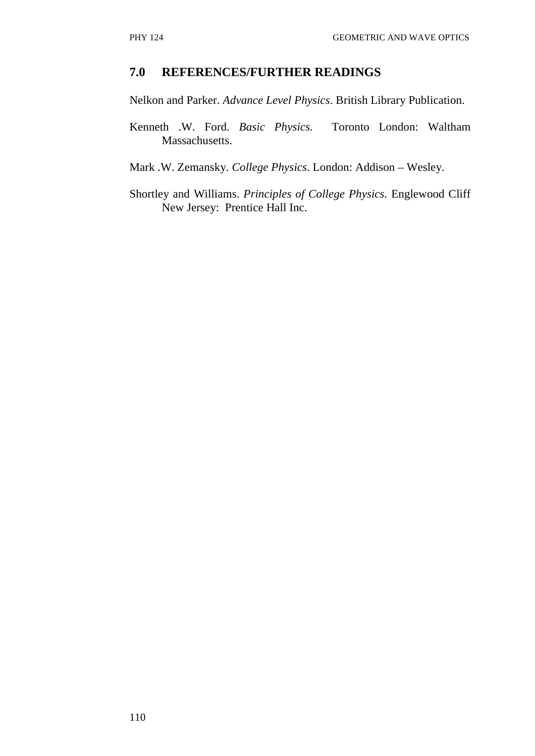### **7.0 REFERENCES/FURTHER READINGS**

Nelkon and Parker. *Advance Level Physics*. British Library Publication.

Kenneth .W. Ford. *Basic Physics.* Toronto London: Waltham Massachusetts.

Mark .W. Zemansky. *College Physics*. London: Addison – Wesley.

Shortley and Williams. *Principles of College Physics.* Englewood Cliff New Jersey: Prentice Hall Inc.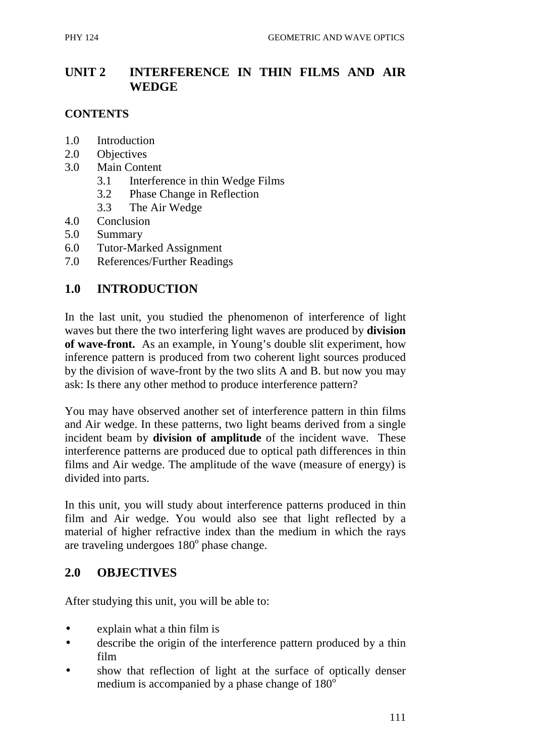# **UNIT 2 INTERFERENCE IN THIN FILMS AND AIR WEDGE**

## **CONTENTS**

- 1.0 Introduction
- 2.0 Objectives
- 3.0 Main Content
	- 3.1 Interference in thin Wedge Films
	- 3.2 Phase Change in Reflection
	- 3.3 The Air Wedge
- 4.0 Conclusion
- 5.0 Summary
- 6.0 Tutor-Marked Assignment
- 7.0 References/Further Readings

# **1.0 INTRODUCTION**

In the last unit, you studied the phenomenon of interference of light waves but there the two interfering light waves are produced by **division of wave-front.** As an example, in Young's double slit experiment, how inference pattern is produced from two coherent light sources produced by the division of wave-front by the two slits A and B. but now you may ask: Is there any other method to produce interference pattern?

You may have observed another set of interference pattern in thin films and Air wedge. In these patterns, two light beams derived from a single incident beam by **division of amplitude** of the incident wave. These interference patterns are produced due to optical path differences in thin films and Air wedge. The amplitude of the wave (measure of energy) is divided into parts.

In this unit, you will study about interference patterns produced in thin film and Air wedge. You would also see that light reflected by a material of higher refractive index than the medium in which the rays are traveling undergoes 180° phase change.

# **2.0 OBJECTIVES**

After studying this unit, you will be able to:

- explain what a thin film is
- describe the origin of the interference pattern produced by a thin film
- show that reflection of light at the surface of optically denser medium is accompanied by a phase change of  $180^\circ$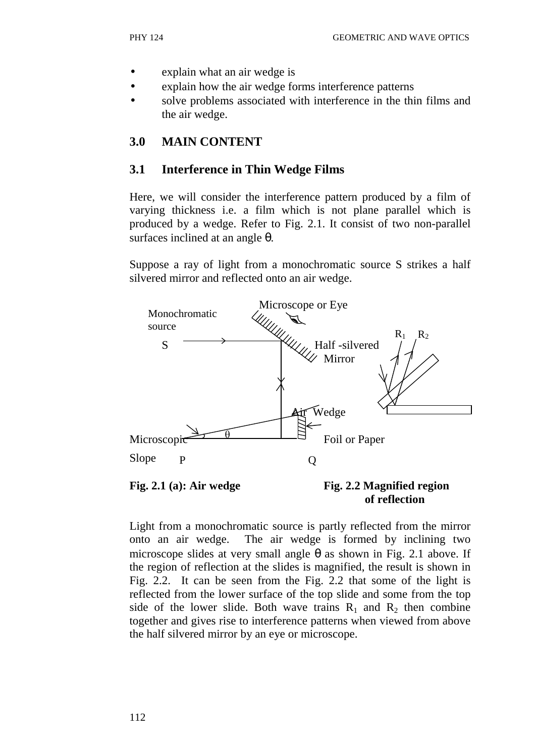- explain what an air wedge is
- explain how the air wedge forms interference patterns
- solve problems associated with interference in the thin films and the air wedge.

## **3.0 MAIN CONTENT**

### **3.1 Interference in Thin Wedge Films**

Here, we will consider the interference pattern produced by a film of varying thickness i.e. a film which is not plane parallel which is produced by a wedge. Refer to Fig. 2.1. It consist of two non-parallel surfaces inclined at an angle  $\theta$ .

Suppose a ray of light from a monochromatic source S strikes a half silvered mirror and reflected onto an air wedge.



Light from a monochromatic source is partly reflected from the mirror onto an air wedge. The air wedge is formed by inclining two microscope slides at very small angle  $\theta$  as shown in Fig. 2.1 above. If the region of reflection at the slides is magnified, the result is shown in Fig. 2.2. It can be seen from the Fig. 2.2 that some of the light is reflected from the lower surface of the top slide and some from the top side of the lower slide. Both wave trains  $R_1$  and  $R_2$  then combine together and gives rise to interference patterns when viewed from above the half silvered mirror by an eye or microscope.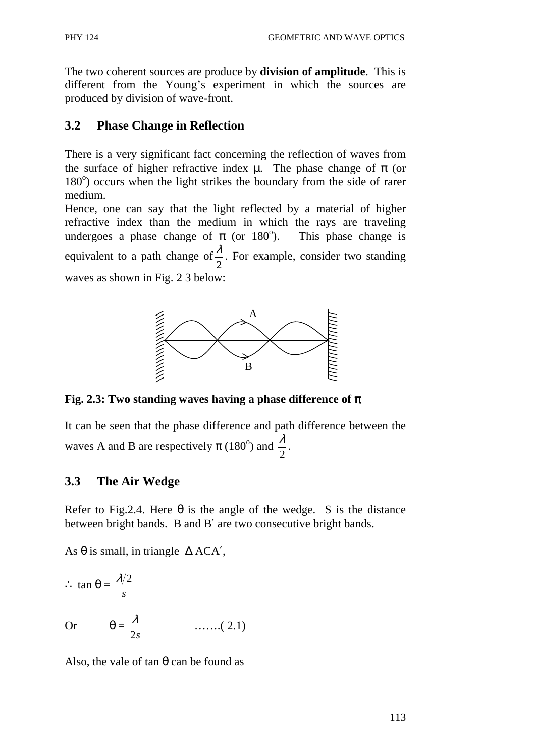The two coherent sources are produce by **division of amplitude**. This is different from the Young's experiment in which the sources are produced by division of wave-front.

## **3.2 Phase Change in Reflection**

There is a very significant fact concerning the reflection of waves from the surface of higher refractive index  $\mu$ . The phase change of  $\pi$  (or 180°) occurs when the light strikes the boundary from the side of rarer medium.

Hence, one can say that the light reflected by a material of higher refractive index than the medium in which the rays are traveling undergoes a phase change of  $\pi$  (or 180<sup>o</sup>). This phase change is equivalent to a path change of 2  $\frac{\lambda}{\lambda}$ . For example, consider two standing waves as shown in Fig. 2 3 below:



**Fig. 2.3: Two standing waves having a phase difference of** π

It can be seen that the phase difference and path difference between the waves A and B are respectively  $\pi$  (180<sup>o</sup>) and 2  $\frac{\lambda}{2}$ .

## **3.3 The Air Wedge**

Refer to Fig. 2.4. Here  $\theta$  is the angle of the wedge. S is the distance between bright bands. B and B′ are two consecutive bright bands.

As  $\theta$  is small, in triangle  $\Delta$  ACA',

$$
\therefore \tan \theta = \frac{\lambda/2}{s}
$$
  
Or  $\qquad \theta = \frac{\lambda}{2s}$  ......(2.1)

Also, the vale of tan  $\theta$  can be found as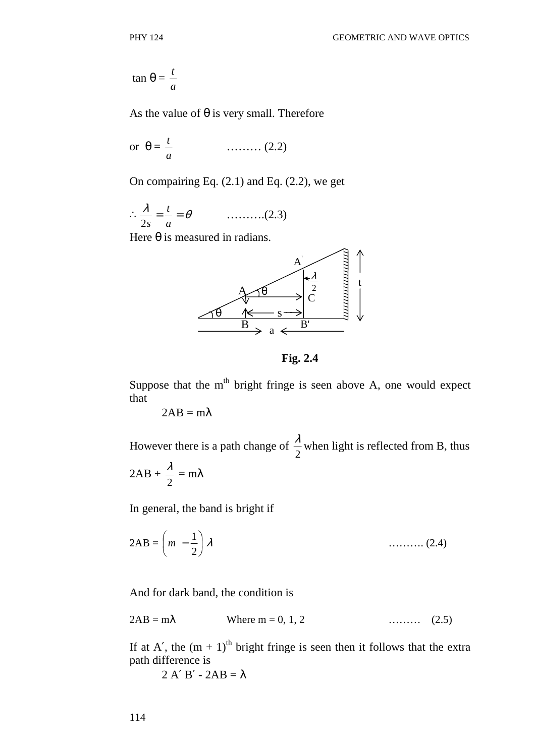$$
\tan \theta = \frac{t}{a}
$$

As the value of  $\theta$  is very small. Therefore

$$
\text{or }\theta = \frac{t}{a} \qquad \qquad \ldots \ldots \ldots \quad (2.2)
$$

On compairing Eq.  $(2.1)$  and Eq.  $(2.2)$ , we get

$$
\therefore \frac{\lambda}{2s} = \frac{t}{a} = \theta \qquad \qquad \dots \dots \dots \dots (2.3)
$$

Here  $\theta$  is measured in radians.



**Fig. 2.4** 

Suppose that the  $m<sup>th</sup>$  bright fringe is seen above A, one would expect that

 $2AB = m\lambda$ 

However there is a path change of 2  $\frac{\lambda}{\lambda}$  when light is reflected from B, thus  $2AB +$ 2  $\frac{\lambda}{2} = m\lambda$ 

In general, the band is bright if

$$
2AB = \left(m - \frac{1}{2}\right)\lambda \tag{2.4}
$$

And for dark band, the condition is

 $2AB = m\lambda$  Where m = 0, 1, 2 ……… (2.5)

If at A', the  $(m + 1)$ <sup>th</sup> bright fringe is seen then it follows that the extra path difference is

$$
2 A' B' - 2AB = \lambda
$$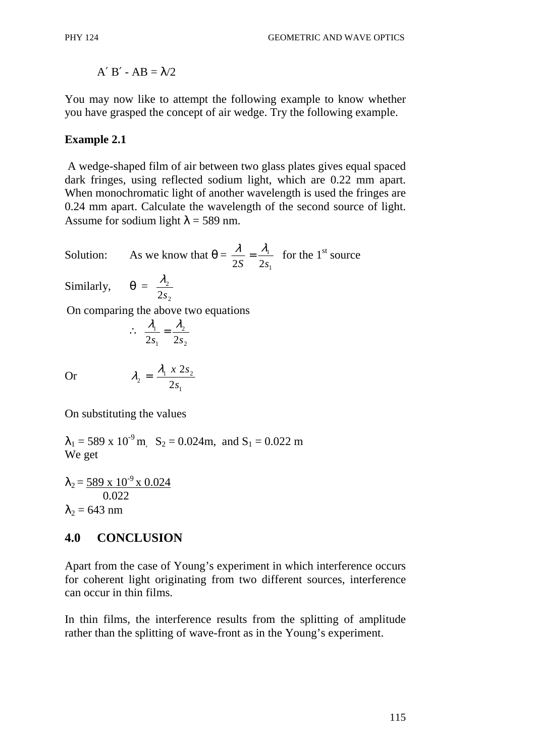$A' B' - AB = \lambda/2$ 

You may now like to attempt the following example to know whether you have grasped the concept of air wedge. Try the following example.

## **Example 2.1**

 A wedge-shaped film of air between two glass plates gives equal spaced dark fringes, using reflected sodium light, which are 0.22 mm apart. When monochromatic light of another wavelength is used the fringes are 0.24 mm apart. Calculate the wavelength of the second source of light. Assume for sodium light  $\lambda = 589$  nm.

Solution: As we know that  $\theta =$ 1 1 2*S* 2*s*  $\frac{\lambda}{\lambda s} = \frac{\lambda_1}{2}$  for the 1<sup>st</sup> source

Similarly, 2 2 2*s* λ

On comparing the above two equations

$$
\therefore \frac{\lambda_1}{2s_1} = \frac{\lambda_2}{2s_2}
$$

Or

 $v_2 = \frac{\lambda_1 \times 2s_2}{2s_1}$ *s*  $\lambda_2 = \frac{\lambda_1 x 2s}{2}$ 

On substituting the values

 $\lambda_1 = 589 \text{ x } 10^{-9} \text{ m}$ ,  $S_2 = 0.024 \text{ m}$ , and  $S_1 = 0.022 \text{ m}$ We get

1

2

$$
\lambda_2 = \frac{589 \times 10^{-9} \times 0.024}{0.022}
$$
  

$$
\lambda_2 = 643 \text{ nm}
$$

# **4.0 CONCLUSION**

Apart from the case of Young's experiment in which interference occurs for coherent light originating from two different sources, interference can occur in thin films.

In thin films, the interference results from the splitting of amplitude rather than the splitting of wave-front as in the Young's experiment.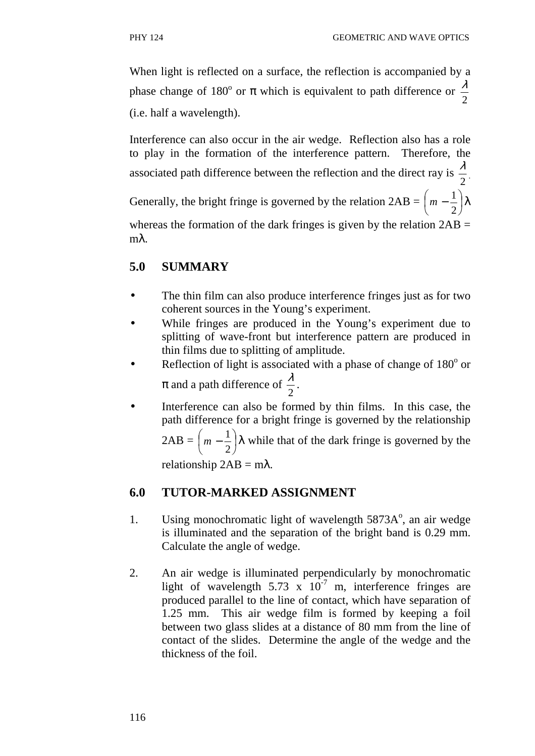2

.

When light is reflected on a surface, the reflection is accompanied by a phase change of 180 $^{\circ}$  or  $\pi$  which is equivalent to path difference or 2 λ (i.e. half a wavelength).

Interference can also occur in the air wedge. Reflection also has a role to play in the formation of the interference pattern. Therefore, the associated path difference between the reflection and the direct ray is λ

Generally, the bright fringe is governed by the relation  $2AB = |m - \frac{1}{2}|$ J  $\left(m-\frac{1}{2}\right)$ l ſ − 2  $m - \frac{1}{2} \lambda$ 

whereas the formation of the dark fringes is given by the relation  $2AB =$ mλ.

# **5.0 SUMMARY**

- The thin film can also produce interference fringes just as for two coherent sources in the Young's experiment.
- While fringes are produced in the Young's experiment due to splitting of wave-front but interference pattern are produced in thin films due to splitting of amplitude.
- Reflection of light is associated with a phase of change of  $180^\circ$  or  $\pi$  and a path difference of 2  $\frac{\lambda}{2}$ .
- Interference can also be formed by thin films. In this case, the path difference for a bright fringe is governed by the relationship  $2AB = |m - \frac{1}{2}|$ J  $\left(m-\frac{1}{2}\right)$ l ſ − 2  $(m - \frac{1}{2})\lambda$  while that of the dark fringe is governed by the

relationship  $2AB = m\lambda$ .

# **6.0 TUTOR-MARKED ASSIGNMENT**

- 1. Using monochromatic light of wavelength 5873A°, an air wedge is illuminated and the separation of the bright band is 0.29 mm. Calculate the angle of wedge.
- 2. An air wedge is illuminated perpendicularly by monochromatic light of wavelength  $5.73 \times 10^{-7}$  m, interference fringes are produced parallel to the line of contact, which have separation of 1.25 mm. This air wedge film is formed by keeping a foil between two glass slides at a distance of 80 mm from the line of contact of the slides. Determine the angle of the wedge and the thickness of the foil.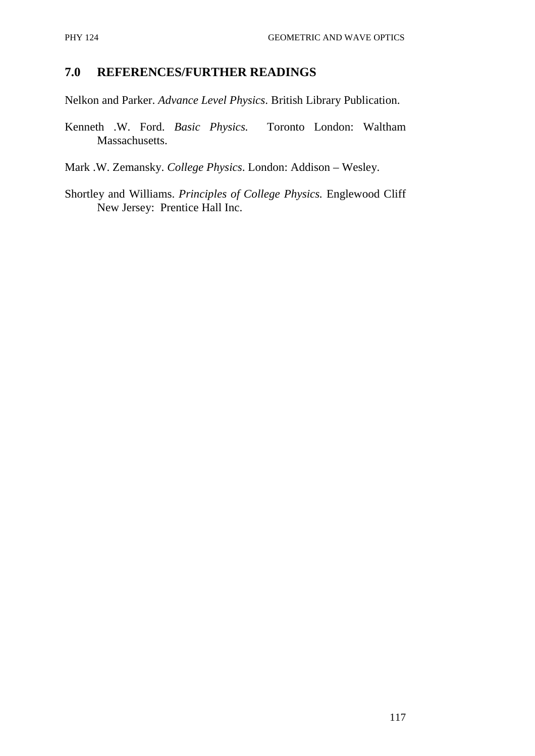## **7.0 REFERENCES/FURTHER READINGS**

Nelkon and Parker. *Advance Level Physics*. British Library Publication.

Kenneth .W. Ford. *Basic Physics.* Toronto London: Waltham Massachusetts.

Mark .W. Zemansky. *College Physics*. London: Addison – Wesley.

Shortley and Williams. *Principles of College Physics.* Englewood Cliff New Jersey: Prentice Hall Inc.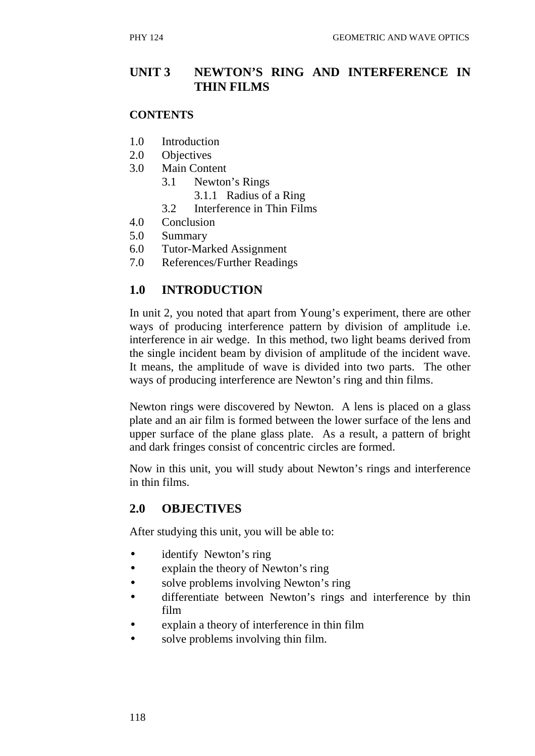## **UNIT 3 NEWTON'S RING AND INTERFERENCE IN THIN FILMS**

### **CONTENTS**

- 1.0 Introduction
- 2.0 Objectives
- 3.0 Main Content
	- 3.1 Newton's Rings
		- 3.1.1 Radius of a Ring
	- 3.2 Interference in Thin Films
- 4.0 Conclusion
- 5.0 Summary
- 6.0 Tutor-Marked Assignment
- 7.0 References/Further Readings

## **1.0 INTRODUCTION**

In unit 2, you noted that apart from Young's experiment, there are other ways of producing interference pattern by division of amplitude i.e. interference in air wedge. In this method, two light beams derived from the single incident beam by division of amplitude of the incident wave. It means, the amplitude of wave is divided into two parts. The other ways of producing interference are Newton's ring and thin films.

Newton rings were discovered by Newton. A lens is placed on a glass plate and an air film is formed between the lower surface of the lens and upper surface of the plane glass plate. As a result, a pattern of bright and dark fringes consist of concentric circles are formed.

Now in this unit, you will study about Newton's rings and interference in thin films.

## **2.0 OBJECTIVES**

After studying this unit, you will be able to:

- identify Newton's ring
- explain the theory of Newton's ring
- solve problems involving Newton's ring
- differentiate between Newton's rings and interference by thin film
- explain a theory of interference in thin film
- solve problems involving thin film.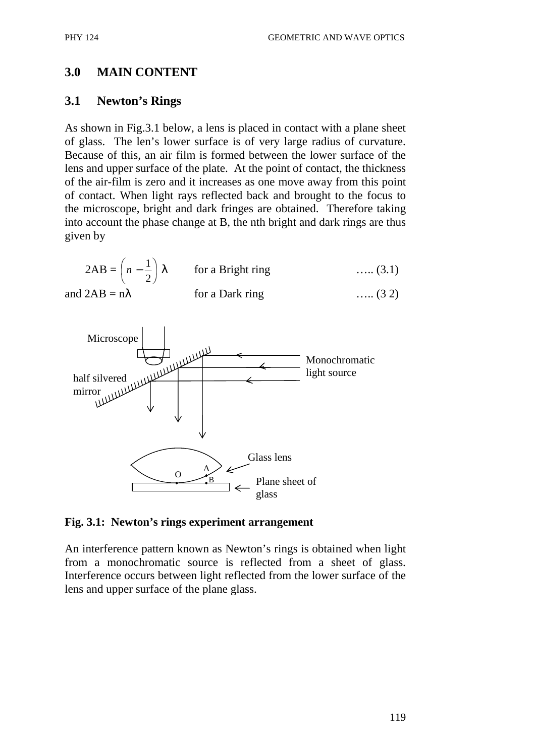#### **3.0 MAIN CONTENT**

#### **3.1 Newton's Rings**

As shown in Fig.3.1 below, a lens is placed in contact with a plane sheet of glass. The len's lower surface is of very large radius of curvature. Because of this, an air film is formed between the lower surface of the lens and upper surface of the plate. At the point of contact, the thickness of the air-film is zero and it increases as one move away from this point of contact. When light rays reflected back and brought to the focus to the microscope, bright and dark fringes are obtained. Therefore taking into account the phase change at B, the nth bright and dark rings are thus given by



**Fig. 3.1: Newton's rings experiment arrangement** 

An interference pattern known as Newton's rings is obtained when light from a monochromatic source is reflected from a sheet of glass. Interference occurs between light reflected from the lower surface of the lens and upper surface of the plane glass.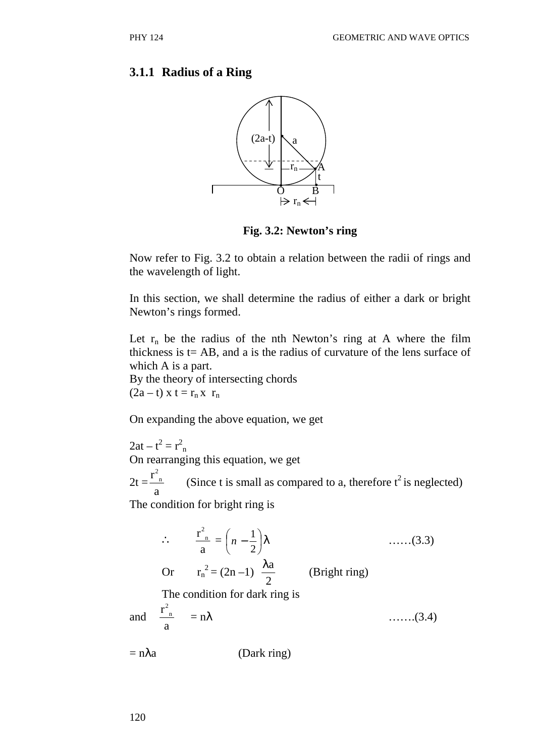#### **3.1.1 Radius of a Ring**



**Fig. 3.2: Newton's ring** 

Now refer to Fig. 3.2 to obtain a relation between the radii of rings and the wavelength of light.

In this section, we shall determine the radius of either a dark or bright Newton's rings formed.

Let  $r_n$  be the radius of the nth Newton's ring at A where the film thickness is  $t = AB$ , and a is the radius of curvature of the lens surface of which A is a part.

By the theory of intersecting chords  $(2a - t)$  x  $t = r_n x$   $r_n$ 

On expanding the above equation, we get

 $2at - t^2 = r^2$ n On rearranging this equation, we get  $2t =$ 2  $r_{\vert_n}^2$ a (Since t is small as compared to a, therefore  $t^2$  is neglected) The condition for bright ring is

∴ 2  $r_{\vert_n}^2$ a  $= |n - \frac{1}{2}|$ J  $\left(n-\frac{1}{2}\right)$ l ſ − 2 1  $\dots$  (3.3) Or  $r_n^2 = (2n-1) \frac{\lambda a}{2}$ 2 λ (Bright ring) The condition for dark ring is and 2  $r_{\vert_n}^2$ a  $\ldots$  .......(3.4)

 $=$  n $\lambda$ a (Dark ring)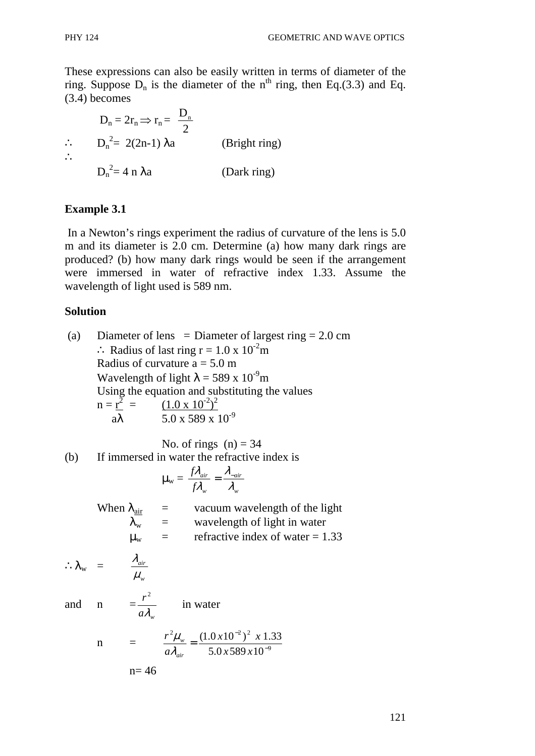These expressions can also be easily written in terms of diameter of the ring. Suppose  $D_n$  is the diameter of the n<sup>th</sup> ring, then Eq.(3.3) and Eq. (3.4) becomes

$$
D_n = 2r_n \Rightarrow r_n = \frac{D_n}{2}
$$
  
\n
$$
\therefore \qquad D_n^2 = 2(2n-1) \lambda a \qquad \text{(Bright ring)}
$$
  
\n
$$
\therefore \qquad D_n^2 = 4 \text{ n } \lambda a \qquad \text{(Dark ring)}
$$

#### **Example 3.1**

 In a Newton's rings experiment the radius of curvature of the lens is 5.0 m and its diameter is 2.0 cm. Determine (a) how many dark rings are produced? (b) how many dark rings would be seen if the arrangement were immersed in water of refractive index 1.33. Assume the wavelength of light used is 589 nm.

### **Solution**

(a) Diameter of lens = Diameter of largest ring =  $2.0 \text{ cm}$ ∴ Radius of last ring  $r = 1.0 \times 10^{-2}$ m Radius of curvature  $a = 5.0$  m Wavelength of light  $\lambda = 589 \times 10^{-9}$ m Using the equation and substituting the values  $n = r^2 = (1.0 \times 10^{-2})^2$ a $\lambda$  5.0 x 589 x 10<sup>-9</sup>

No. of rings  $(n) = 34$ 

(b) If immersed in water the refractive index is

$$
\mu_{\rm w}=\frac{f\lambda_{\rm air}}{f\lambda_{\rm w}}=\frac{\lambda_{\rm-air}}{\lambda_{\rm w}}
$$

| When $\lambda_{\text{air}}$ | $=$ | vacuum wavelength of the light     |
|-----------------------------|-----|------------------------------------|
| $\mathcal{N}_{\mathrm{W}}$  | $=$ | wavelength of light in water       |
| $\mu_{w}$                   | $=$ | refractive index of water $= 1.33$ |

$$
\therefore \lambda_w \ \ = \ \,
$$

and  $n =$ 

in water

n = 
$$
\frac{r^2 \mu_w}{a \lambda_{air}} = \frac{(1.0 \times 10^{-2})^2 \times 1.33}{5.0 \times 589 \times 10^{-9}}
$$

$$
n=46
$$

*w air*  $\mu_{\scriptscriptstyle \rm I}$ 

> $a\lambda_{\scriptscriptstyle{w}}$ *r* λ 2

λ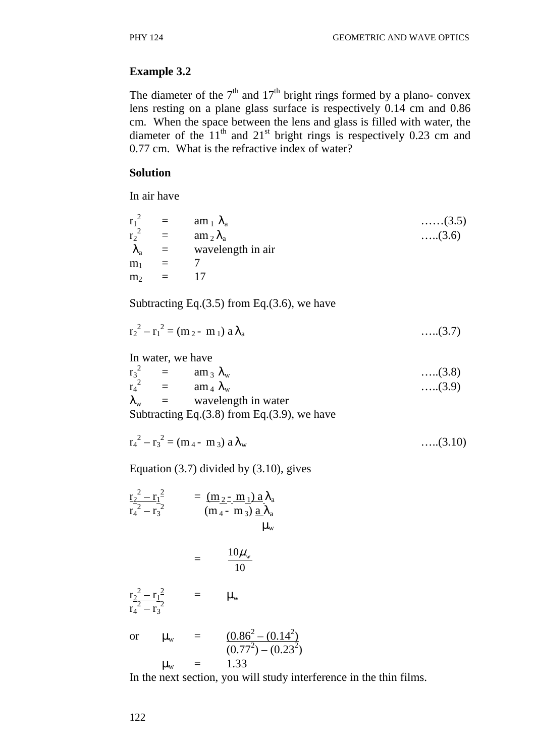#### **Example 3.2**

The diameter of the  $7<sup>th</sup>$  and  $17<sup>th</sup>$  bright rings formed by a plano- convex lens resting on a plane glass surface is respectively 0.14 cm and 0.86 cm. When the space between the lens and glass is filled with water, the diameter of the  $11<sup>th</sup>$  and  $21<sup>st</sup>$  bright rings is respectively 0.23 cm and 0.77 cm. What is the refractive index of water?

### **Solution**

In air have

| $r_1^2$                     | $\equiv$     | am $_1$ $\lambda_a$       | $\ldots \ldots (3.5)$ |
|-----------------------------|--------------|---------------------------|-----------------------|
| r <sub>2</sub> <sup>2</sup> | $=$          | am $\lambda$ <sub>a</sub> | (3.6)                 |
| $\lambda_{\rm a}$           | $\alpha = 1$ | wavelength in air         |                       |
| m <sub>1</sub>              |              |                           |                       |
| m <sub>2</sub>              | $=$          |                           |                       |

Subtracting Eq. $(3.5)$  from Eq. $(3.6)$ , we have

$$
r_2^2 - r_1^2 = (m_2 - m_1) a \lambda_a
$$
...(3.7)

In water, we have

$$
r_3^2 = am_3 \lambda_w
$$
 ....(3.8)  
\n
$$
r_4^2 = am_4 \lambda_w
$$
 ....(3.9)  
\n
$$
\lambda_w =
$$
 wavelength in water  
\nSubtracting Eq. (2.8) from Eq. (2.0) two heavy

Subtracting Eq.(3.8) from Eq.(3.9), we have

$$
r_4^2 - r_3^2 = (m_4 - m_3) a \lambda_w
$$
...(3.10)

Equation  $(3.7)$  divided by  $(3.10)$ , gives

$$
\frac{{r_2}^2 - {r_1}^2}{r_4^2 - r_3^2} = \frac{(m_2 - m_1) a \lambda_a}{(m_4 - m_3) a \lambda_a}
$$
  
\n
$$
\mu_w
$$

$$
= \frac{10\mu_w}{10}
$$

$$
\frac{{r_2}^2-{r_1}^2}{r_4^{\;2}-{r_3}^2} \qquad = \qquad \mu_w
$$

or 
$$
\mu_w
$$
 =  $\frac{(0.86^2 - (0.14^2)}{(0.77^2) - (0.23^2)}$   
 $\mu_w$  = 1.33

In the next section, you will study interference in the thin films.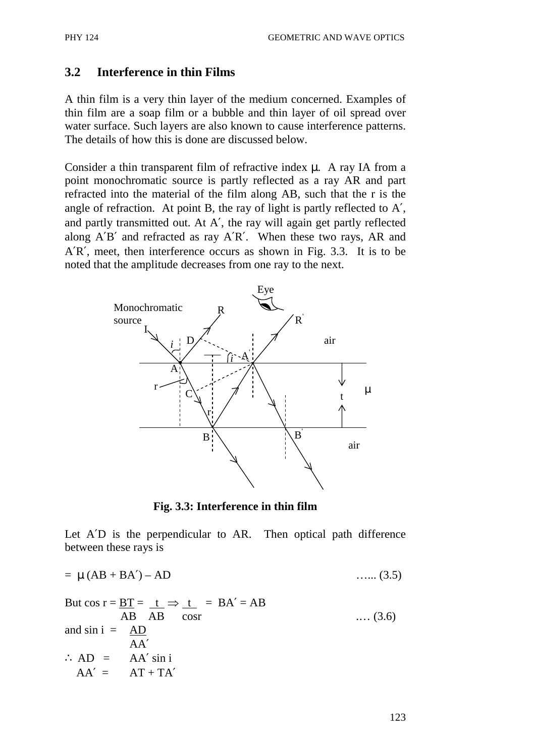## **3.2 Interference in thin Films**

A thin film is a very thin layer of the medium concerned. Examples of thin film are a soap film or a bubble and thin layer of oil spread over water surface. Such layers are also known to cause interference patterns. The details of how this is done are discussed below.

Consider a thin transparent film of refractive index µ. A ray IA from a point monochromatic source is partly reflected as a ray AR and part refracted into the material of the film along AB, such that the r is the angle of refraction. At point B, the ray of light is partly reflected to A′, and partly transmitted out. At A′, the ray will again get partly reflected along A′B′ and refracted as ray A′R′. When these two rays, AR and A′R′, meet, then interference occurs as shown in Fig. 3.3. It is to be noted that the amplitude decreases from one ray to the next.



**Fig. 3.3: Interference in thin film** 

Let A<sup>'D</sup> is the perpendicular to AR. Then optical path difference between these rays is

$$
= \mu (AB + BA') - AD
$$
 ...... (3.5)  
But  $\cos r = \frac{BT}{AB} = \frac{t}{AB} \Rightarrow \frac{t}{cos r} = BA' = AB$  ...... (3.6)  
and  $\sin i = \frac{AD}{AA'}$   
:.AD = AA' sin i  
AA' = AT + TA'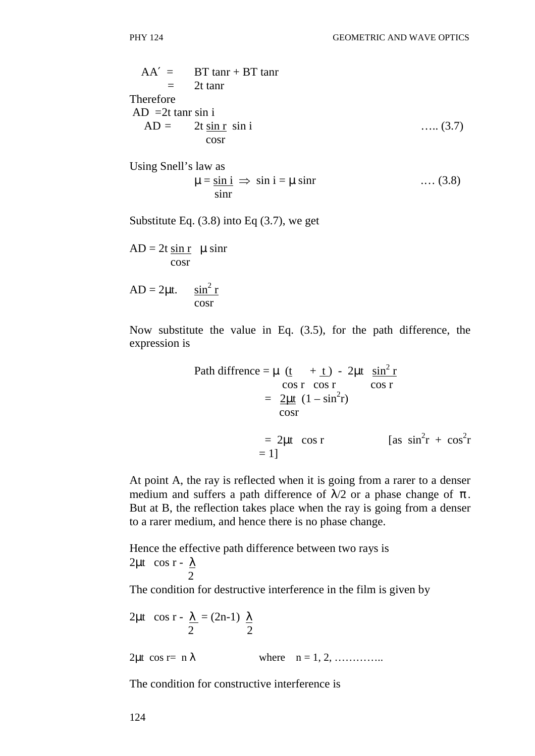$$
AA' = BT \tan r + BT \tan r
$$
  
= 2t \tan r  
Therefore  

$$
AD = 2t \tan r \sin i
$$
  

$$
AD = 2t \sin r \sin i
$$
 ..... (3.7)

Using Snell's law as

$$
\mu = \frac{\sin i}{\sin r} \implies \sin i = \mu \sin r \qquad \qquad \dots (3.8)
$$

Substitute Eq. (3.8) into Eq (3.7), we get

 $AD = 2t \sin r$   $\mu \sin r$ cosr

$$
AD = 2\mu t. \qquad \frac{\sin^2 r}{\cos r}
$$

Now substitute the value in Eq. (3.5), for the path difference, the expression is

Path difference = 
$$
\mu
$$
 (t + t) - 2 $\mu$ t  $\frac{\sin^2 r}{\cos r}$   
\n=  $\frac{2\mu t}{\cos r}$  (1 - sin<sup>2</sup>r)  
\ncosr  
\n= 2 $\mu$ t cos r [as sin<sup>2</sup>r + cos<sup>2</sup>r  
\n= 1]

At point A, the ray is reflected when it is going from a rarer to a denser medium and suffers a path difference of  $\lambda/2$  or a phase change of  $\pi$ . But at B, the reflection takes place when the ray is going from a denser to a rarer medium, and hence there is no phase change.

Hence the effective path difference between two rays is  $2\mu t$  cos r -  $\lambda$ 2

The condition for destructive interference in the film is given by

2
$$
\mu t
$$
 cos r -  $\frac{\lambda}{2}$  = (2n-1)  $\frac{\lambda}{2}$   
2 $\mu t$  cos r = n  $\lambda$  where n = 1, 2, .........

The condition for constructive interference is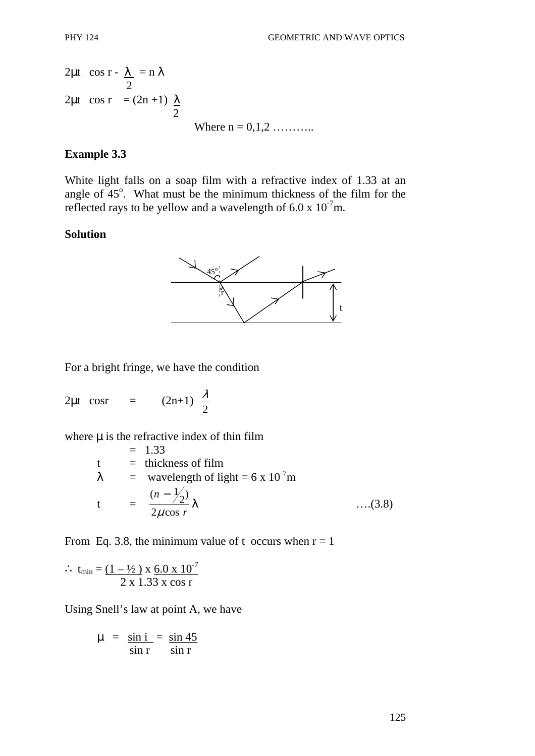2
$$
\mu t
$$
 cos r -  $\frac{\lambda}{2} = n \lambda$   
2 $\mu t$  cos r = (2n +1)  $\frac{\lambda}{2}$   
Where n = 0,1,2 .........

### **Example 3.3**

White light falls on a soap film with a refractive index of 1.33 at an angle of  $45^\circ$ . What must be the minimum thickness of the film for the reflected rays to be yellow and a wavelength of  $6.0 \times 10^{-7}$ m.

#### **Solution**



For a bright fringe, we have the condition

$$
2\mu t \cos r = (2n+1) \frac{\lambda}{2}
$$

where  $\mu$  is the refractive index of thin film

 $= 1.33$ t = thickness of film<br> $\lambda$  = wavelength of list = wavelength of light =  $6 \times 10^{-7}$ m  $t =$ *r n*  $2\mu$  cos  $(n - \frac{1}{2})$  $\mu$ −  $\dots(3.8)$ 

From Eq. 3.8, the minimum value of t occurs when  $r = 1$ 

$$
\therefore t_{\min} = \frac{(1 - \frac{1}{2}) \times 6.0 \times 10^{-7}}{2 \times 1.33 \times \cos r}
$$

Using Snell's law at point A, we have

$$
\mu = \frac{\sin i}{\sin r} = \frac{\sin 45}{\sin r}
$$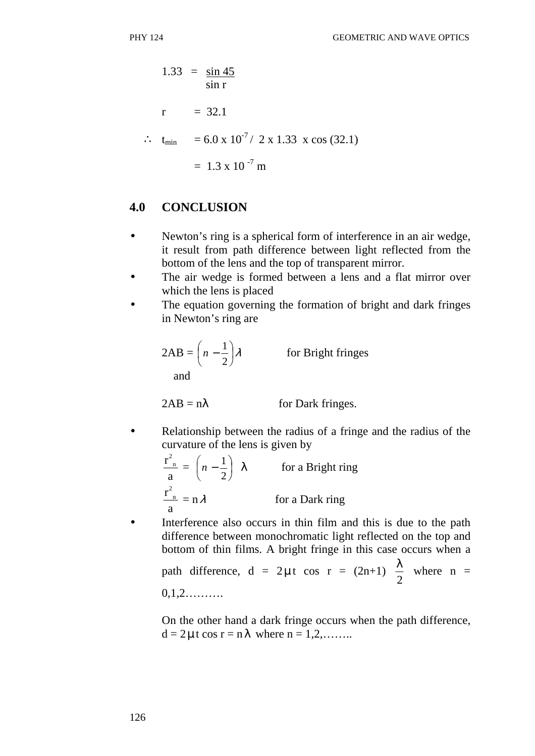1.33 = 
$$
\frac{\sin 45}{\sin r}
$$
  
\nr = 32.1  
\n∴ t<sub>min</sub> = 6.0 x 10<sup>7</sup> / 2 x 1.33 x cos (32.1)  
\n= 1.3 x 10<sup>-7</sup> m

## **4.0 CONCLUSION**

- Newton's ring is a spherical form of interference in an air wedge, it result from path difference between light reflected from the bottom of the lens and the top of transparent mirror.
- The air wedge is formed between a lens and a flat mirror over which the lens is placed
- The equation governing the formation of bright and dark fringes in Newton's ring are

$$
2AB = \left(n - \frac{1}{2}\right)\lambda
$$
 for Bright fringes  
and

$$
2AB = n\lambda
$$
 for Dark fringes.

• Relationship between the radius of a fringe and the radius of the curvature of the lens is given by

$$
\frac{r_{n}^{2}}{a} = \left(n - \frac{1}{2}\right) \lambda \qquad \text{for a Bright ring}
$$
  

$$
\frac{r_{n}^{2}}{a} = n\lambda \qquad \text{for a Dark ring}
$$

• Interference also occurs in thin film and this is due to the path difference between monochromatic light reflected on the top and bottom of thin films. A bright fringe in this case occurs when a

path difference,  $d = 2\mu t \cos r = (2n+1)$ 2 λ where  $n =$ 0,1,2……….

On the other hand a dark fringe occurs when the path difference,  $d = 2\mu t \cos r = n\lambda$  where  $n = 1, 2, \dots$ ...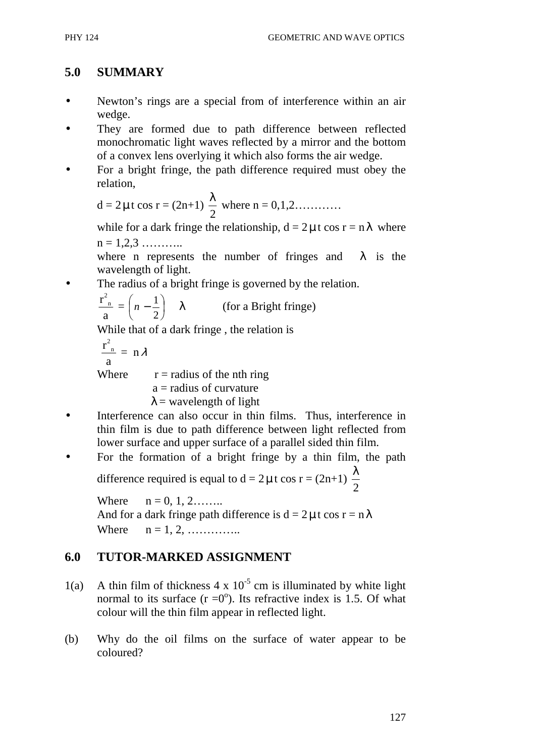# **5.0 SUMMARY**

- Newton's rings are a special from of interference within an air wedge.
- They are formed due to path difference between reflected monochromatic light waves reflected by a mirror and the bottom of a convex lens overlying it which also forms the air wedge.
- For a bright fringe, the path difference required must obey the relation,

$$
d = 2\mu t \cos r = (2n+1) \frac{\lambda}{2}
$$
 where  $n = 0, 1, 2, \dots$ 

while for a dark fringe the relationship,  $d = 2\mu t \cos r = n\lambda$  where  $n = 1.2.3$  ..........

where n represents the number of fringes and  $\lambda$  is the wavelength of light.

The radius of a bright fringe is governed by the relation.

$$
\frac{r^{2}_{n}}{a} = \left(n - \frac{1}{2}\right) \quad \lambda \qquad \text{(for a Bright fringe)}
$$

While that of a dark fringe , the relation is

$$
\frac{r_{n}^{2}}{a} = n \lambda
$$

Where  $r =$  radius of the nth ring  $a =$  radius of curvature  $\lambda$  = wavelength of light

- Interference can also occur in thin films. Thus, interference in thin film is due to path difference between light reflected from lower surface and upper surface of a parallel sided thin film.
- For the formation of a bright fringe by a thin film, the path difference required is equal to  $d = 2\mu t \cos r = (2n+1)$ 2 λ

Where  $n = 0, 1, 2, \ldots$ And for a dark fringe path difference is  $d = 2\mu t \cos r = n\lambda$ Where  $n = 1, 2, \dots, \dots$ 

# **6.0 TUTOR-MARKED ASSIGNMENT**

- 1(a) A thin film of thickness  $4 \times 10^{-5}$  cm is illuminated by white light normal to its surface  $(r = 0^{\circ})$ . Its refractive index is 1.5. Of what colour will the thin film appear in reflected light.
- (b) Why do the oil films on the surface of water appear to be coloured?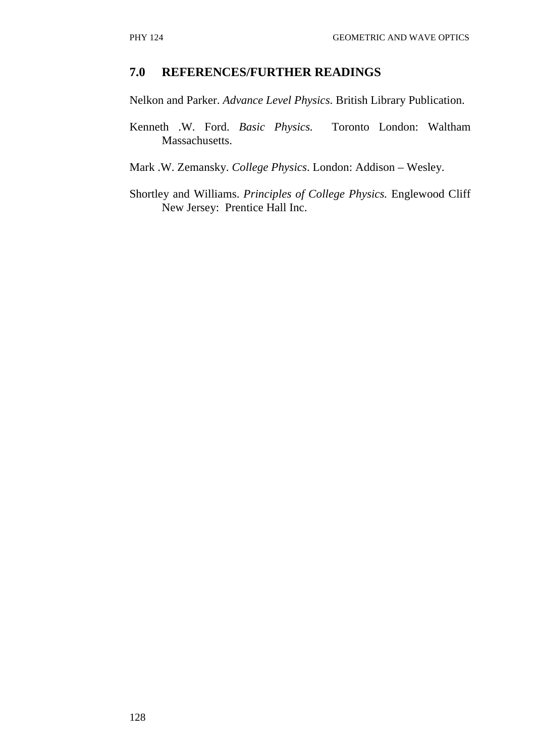### **7.0 REFERENCES/FURTHER READINGS**

Nelkon and Parker. *Advance Level Physics*. British Library Publication.

Kenneth .W. Ford. *Basic Physics.* Toronto London: Waltham Massachusetts.

Mark .W. Zemansky. *College Physics*. London: Addison – Wesley.

Shortley and Williams. *Principles of College Physics.* Englewood Cliff New Jersey: Prentice Hall Inc.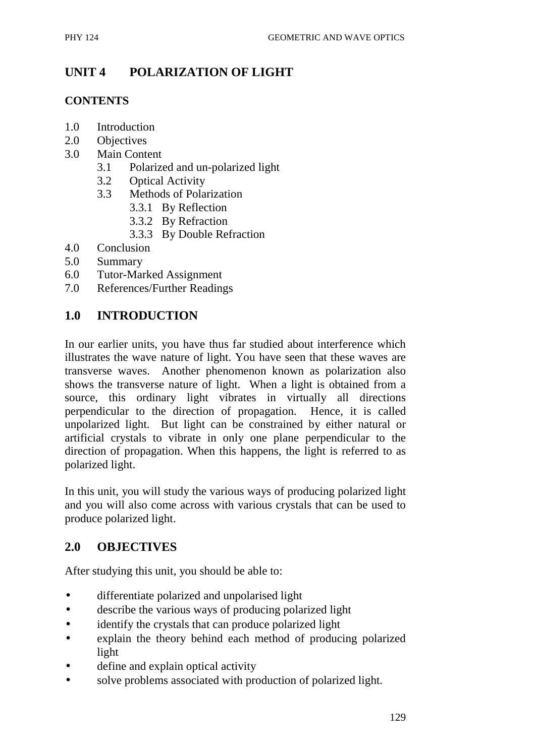# **UNIT 4 POLARIZATION OF LIGHT**

## **CONTENTS**

- 1.0 Introduction
- 2.0 Objectives
- 3.0 Main Content
	- 3.1 Polarized and un-polarized light
	- 3.2 Optical Activity
	- 3.3 Methods of Polarization
		- 3.3.1 By Reflection
		- 3.3.2 By Refraction
		- 3.3.3 By Double Refraction
- 4.0 Conclusion
- 5.0 Summary
- 6.0 Tutor-Marked Assignment
- 7.0 References/Further Readings

# **1.0 INTRODUCTION**

In our earlier units, you have thus far studied about interference which illustrates the wave nature of light. You have seen that these waves are transverse waves. Another phenomenon known as polarization also shows the transverse nature of light. When a light is obtained from a source, this ordinary light vibrates in virtually all directions perpendicular to the direction of propagation. Hence, it is called unpolarized light. But light can be constrained by either natural or artificial crystals to vibrate in only one plane perpendicular to the direction of propagation. When this happens, the light is referred to as polarized light.

In this unit, you will study the various ways of producing polarized light and you will also come across with various crystals that can be used to produce polarized light.

# **2.0 OBJECTIVES**

After studying this unit, you should be able to:

- differentiate polarized and unpolarised light
- describe the various ways of producing polarized light
- identify the crystals that can produce polarized light
- explain the theory behind each method of producing polarized light
- define and explain optical activity
- solve problems associated with production of polarized light.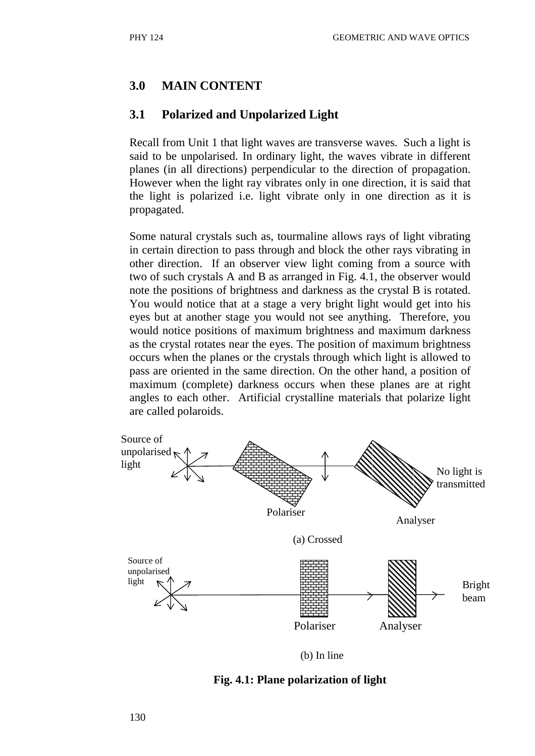## **3.0 MAIN CONTENT**

### **3.1 Polarized and Unpolarized Light**

Recall from Unit 1 that light waves are transverse waves. Such a light is said to be unpolarised. In ordinary light, the waves vibrate in different planes (in all directions) perpendicular to the direction of propagation. However when the light ray vibrates only in one direction, it is said that the light is polarized i.e. light vibrate only in one direction as it is propagated.

Some natural crystals such as, tourmaline allows rays of light vibrating in certain direction to pass through and block the other rays vibrating in other direction. If an observer view light coming from a source with two of such crystals A and B as arranged in Fig. 4.1, the observer would note the positions of brightness and darkness as the crystal B is rotated. You would notice that at a stage a very bright light would get into his eyes but at another stage you would not see anything. Therefore, you would notice positions of maximum brightness and maximum darkness as the crystal rotates near the eyes. The position of maximum brightness occurs when the planes or the crystals through which light is allowed to pass are oriented in the same direction. On the other hand, a position of maximum (complete) darkness occurs when these planes are at right angles to each other. Artificial crystalline materials that polarize light are called polaroids.



(b) In line

**Fig. 4.1: Plane polarization of light**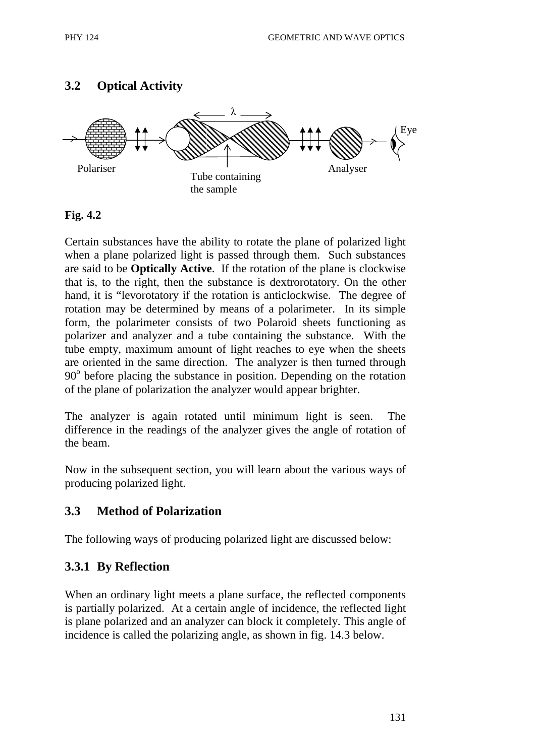Eye



the sample

Tube containing

### **3.2 Optical Activity**



Certain substances have the ability to rotate the plane of polarized light when a plane polarized light is passed through them. Such substances are said to be **Optically Active**. If the rotation of the plane is clockwise that is, to the right, then the substance is dextrorotatory. On the other hand, it is "levorotatory if the rotation is anticlockwise. The degree of rotation may be determined by means of a polarimeter. In its simple form, the polarimeter consists of two Polaroid sheets functioning as polarizer and analyzer and a tube containing the substance. With the tube empty, maximum amount of light reaches to eye when the sheets are oriented in the same direction. The analyzer is then turned through 90° before placing the substance in position. Depending on the rotation of the plane of polarization the analyzer would appear brighter.

The analyzer is again rotated until minimum light is seen. The difference in the readings of the analyzer gives the angle of rotation of the beam.

Now in the subsequent section, you will learn about the various ways of producing polarized light.

#### **3.3 Method of Polarization**

The following ways of producing polarized light are discussed below:

#### **3.3.1 By Reflection**

When an ordinary light meets a plane surface, the reflected components is partially polarized. At a certain angle of incidence, the reflected light is plane polarized and an analyzer can block it completely. This angle of incidence is called the polarizing angle, as shown in fig. 14.3 below.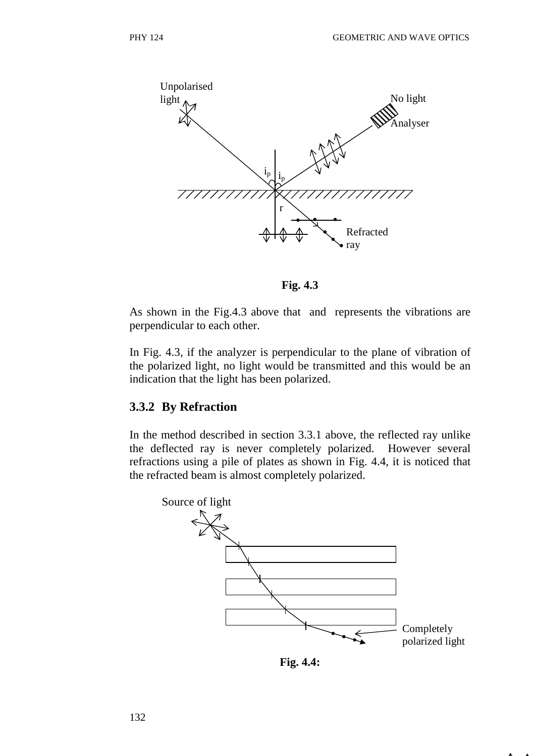

**Fig. 4.3** 

As shown in the Fig.4.3 above that and represents the vibrations are perpendicular to each other.

In Fig. 4.3, if the analyzer is perpendicular to the plane of vibration of the polarized light, no light would be transmitted and this would be an indication that the light has been polarized.

#### **3.3.2 By Refraction**

In the method described in section 3.3.1 above, the reflected ray unlike the deflected ray is never completely polarized. However several refractions using a pile of plates as shown in Fig. 4.4, it is noticed that the refracted beam is almost completely polarized.



**Fig. 4.4:**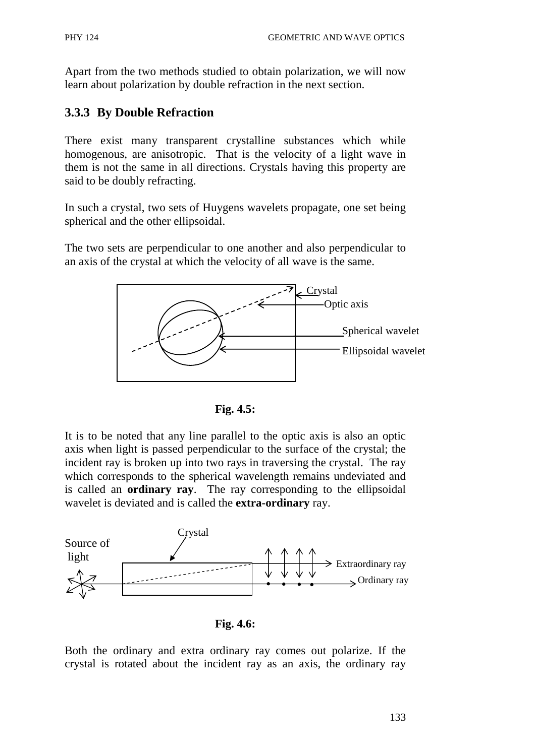Apart from the two methods studied to obtain polarization, we will now learn about polarization by double refraction in the next section.

# **3.3.3 By Double Refraction**

There exist many transparent crystalline substances which while homogenous, are anisotropic. That is the velocity of a light wave in them is not the same in all directions. Crystals having this property are said to be doubly refracting.

In such a crystal, two sets of Huygens wavelets propagate, one set being spherical and the other ellipsoidal.

The two sets are perpendicular to one another and also perpendicular to an axis of the crystal at which the velocity of all wave is the same.



**Fig. 4.5:** 

It is to be noted that any line parallel to the optic axis is also an optic axis when light is passed perpendicular to the surface of the crystal; the incident ray is broken up into two rays in traversing the crystal. The ray which corresponds to the spherical wavelength remains undeviated and is called an **ordinary ray**. The ray corresponding to the ellipsoidal wavelet is deviated and is called the **extra-ordinary** ray.



**Fig. 4.6:** 

Both the ordinary and extra ordinary ray comes out polarize. If the crystal is rotated about the incident ray as an axis, the ordinary ray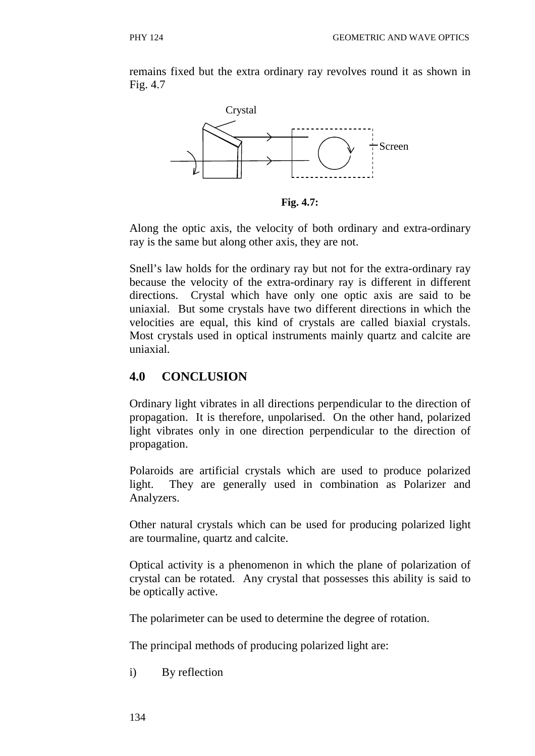remains fixed but the extra ordinary ray revolves round it as shown in Fig. 4.7



**Fig. 4.7:** 

Along the optic axis, the velocity of both ordinary and extra-ordinary ray is the same but along other axis, they are not.

Snell's law holds for the ordinary ray but not for the extra-ordinary ray because the velocity of the extra-ordinary ray is different in different directions. Crystal which have only one optic axis are said to be uniaxial. But some crystals have two different directions in which the velocities are equal, this kind of crystals are called biaxial crystals. Most crystals used in optical instruments mainly quartz and calcite are uniaxial.

# **4.0 CONCLUSION**

Ordinary light vibrates in all directions perpendicular to the direction of propagation. It is therefore, unpolarised. On the other hand, polarized light vibrates only in one direction perpendicular to the direction of propagation.

Polaroids are artificial crystals which are used to produce polarized light. They are generally used in combination as Polarizer and Analyzers.

Other natural crystals which can be used for producing polarized light are tourmaline, quartz and calcite.

Optical activity is a phenomenon in which the plane of polarization of crystal can be rotated. Any crystal that possesses this ability is said to be optically active.

The polarimeter can be used to determine the degree of rotation.

The principal methods of producing polarized light are:

i) By reflection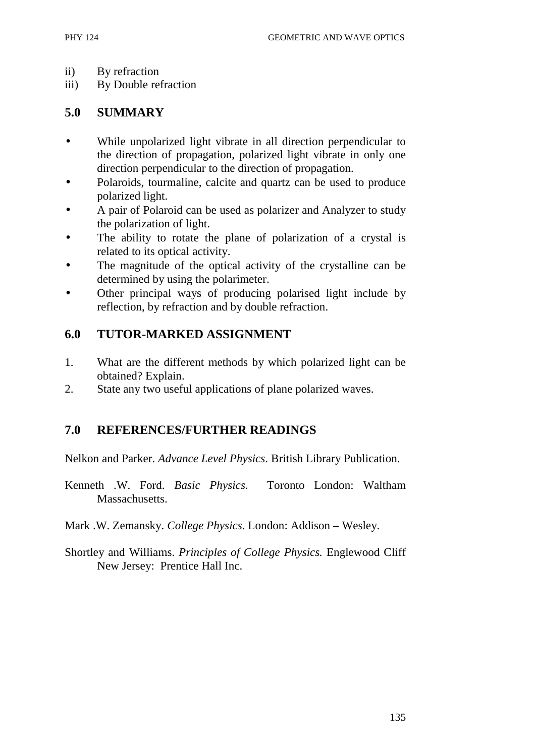- ii) By refraction
- iii) By Double refraction

## **5.0 SUMMARY**

- While unpolarized light vibrate in all direction perpendicular to the direction of propagation, polarized light vibrate in only one direction perpendicular to the direction of propagation.
- Polaroids, tourmaline, calcite and quartz can be used to produce polarized light.
- A pair of Polaroid can be used as polarizer and Analyzer to study the polarization of light.
- The ability to rotate the plane of polarization of a crystal is related to its optical activity.
- The magnitude of the optical activity of the crystalline can be determined by using the polarimeter.
- Other principal ways of producing polarised light include by reflection, by refraction and by double refraction.

## **6.0 TUTOR-MARKED ASSIGNMENT**

- 1. What are the different methods by which polarized light can be obtained? Explain.
- 2. State any two useful applications of plane polarized waves.

# **7.0 REFERENCES/FURTHER READINGS**

Nelkon and Parker. *Advance Level Physics*. British Library Publication.

- Kenneth .W. Ford. *Basic Physics.* Toronto London: Waltham Massachusetts.
- Mark .W. Zemansky. *College Physics*. London: Addison Wesley.
- Shortley and Williams. *Principles of College Physics.* Englewood Cliff New Jersey: Prentice Hall Inc.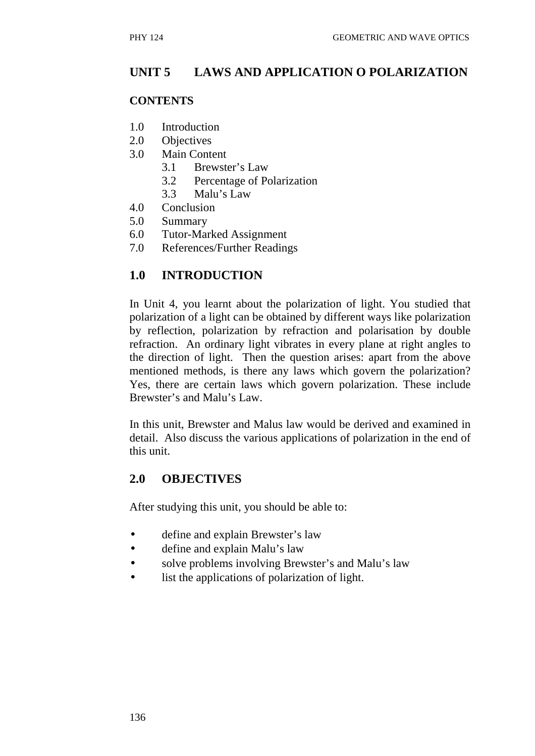# **UNIT 5 LAWS AND APPLICATION O POLARIZATION**

#### **CONTENTS**

- 1.0 Introduction
- 2.0 Objectives
- 3.0 Main Content
	- 3.1 Brewster's Law
	- 3.2 Percentage of Polarization
	- 3.3 Malu's Law
- 4.0 Conclusion
- 5.0 Summary
- 6.0 Tutor-Marked Assignment
- 7.0 References/Further Readings

### **1.0 INTRODUCTION**

In Unit 4, you learnt about the polarization of light. You studied that polarization of a light can be obtained by different ways like polarization by reflection, polarization by refraction and polarisation by double refraction. An ordinary light vibrates in every plane at right angles to the direction of light. Then the question arises: apart from the above mentioned methods, is there any laws which govern the polarization? Yes, there are certain laws which govern polarization. These include Brewster's and Malu's Law.

In this unit, Brewster and Malus law would be derived and examined in detail. Also discuss the various applications of polarization in the end of this unit.

## **2.0 OBJECTIVES**

After studying this unit, you should be able to:

- define and explain Brewster's law
- define and explain Malu's law
- solve problems involving Brewster's and Malu's law
- list the applications of polarization of light.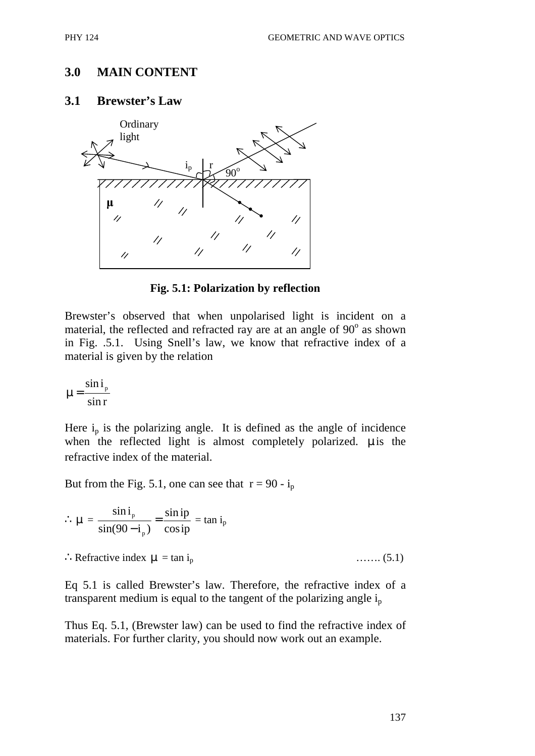#### **3.0 MAIN CONTENT**

### **3.1 Brewster's Law**



**Fig. 5.1: Polarization by reflection** 

Brewster's observed that when unpolarised light is incident on a material, the reflected and refracted ray are at an angle of  $90^\circ$  as shown in Fig. .5.1. Using Snell's law, we know that refractive index of a material is given by the relation

$$
\mu=\frac{\sin i_{\scriptscriptstyle p}}{\sin r}
$$

Here  $i_p$  is the polarizing angle. It is defined as the angle of incidence when the reflected light is almost completely polarized.  $\mu$  is the refractive index of the material.

But from the Fig. 5.1, one can see that  $r = 90 - i_p$ 

$$
\therefore \mu = \frac{\sin i_{p}}{\sin(90 - i_{p})} = \frac{\sin ip}{\cos ip} = \tan i_{p}
$$

$$
\therefore \text{Refractive index } \mu = \tan i_p \tag{5.1}
$$

Eq 5.1 is called Brewster's law. Therefore, the refractive index of a transparent medium is equal to the tangent of the polarizing angle  $i<sub>p</sub>$ 

Thus Eq. 5.1, (Brewster law) can be used to find the refractive index of materials. For further clarity, you should now work out an example.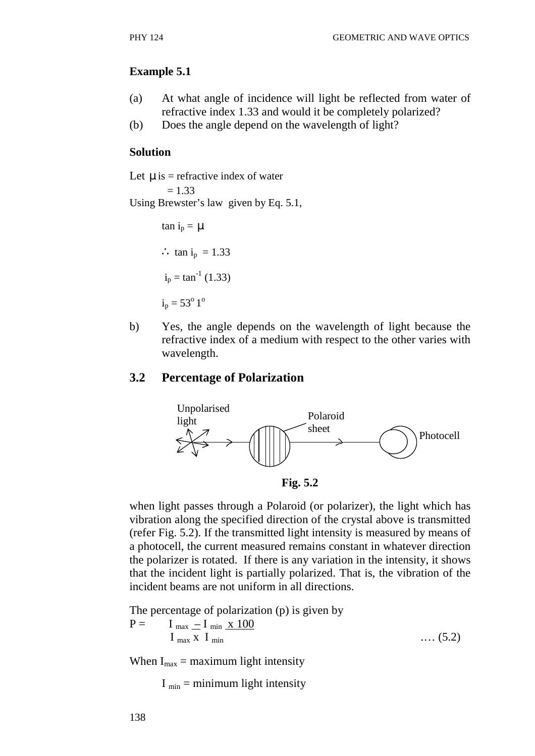#### **Example 5.1**

- (a) At what angle of incidence will light be reflected from water of refractive index 1.33 and would it be completely polarized?
- (b) Does the angle depend on the wavelength of light?

#### **Solution**

Let  $\mu$  is = refractive index of water  $= 1.33$ Using Brewster's law given by Eq. 5.1,

```
\tan i_p = \mu∴ tan i<sub>n</sub> = 1.33
i_p = \tan^{-1}(1.33)i_p = 53^\circ 1^\circ
```
b) Yes, the angle depends on the wavelength of light because the refractive index of a medium with respect to the other varies with wavelength.

#### **3.2 Percentage of Polarization**



when light passes through a Polaroid (or polarizer), the light which has vibration along the specified direction of the crystal above is transmitted (refer Fig. 5.2). If the transmitted light intensity is measured by means of a photocell, the current measured remains constant in whatever direction the polarizer is rotated. If there is any variation in the intensity, it shows that the incident light is partially polarized. That is, the vibration of the incident beams are not uniform in all directions.

The percentage of polarization (p) is given by

$$
P = \tI_{max} - I_{min} \t{100}{1 \t{max X} \t{1 min}} \t{5.2}
$$
 ... (5.2)

When  $I_{max}$  = maximum light intensity

 $I_{\min}$  = minimum light intensity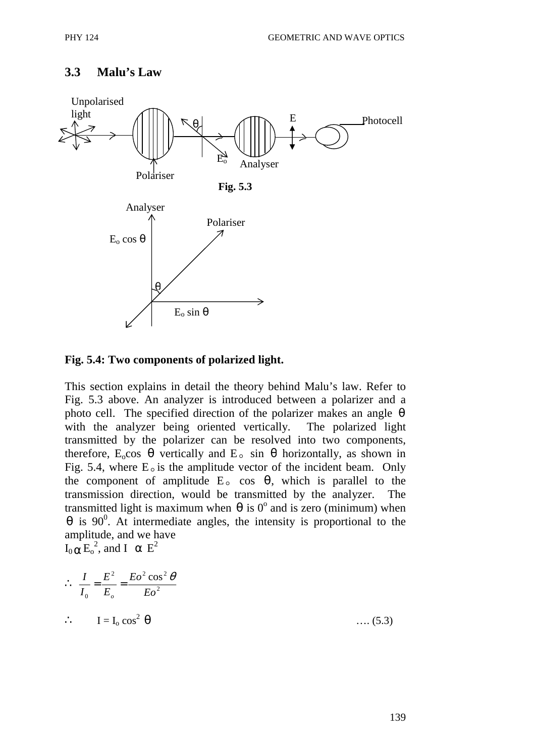# **3.3 Malu's Law**



#### **Fig. 5.4: Two components of polarized light.**

This section explains in detail the theory behind Malu's law. Refer to Fig. 5.3 above. An analyzer is introduced between a polarizer and a photo cell. The specified direction of the polarizer makes an angle  $\theta$ with the analyzer being oriented vertically. The polarized light transmitted by the polarizer can be resolved into two components, therefore,  $E_0 \cos \theta$  vertically and  $E_0 \sin \theta$  horizontally, as shown in Fig. 5.4, where  $E_{\circ}$  is the amplitude vector of the incident beam. Only the component of amplitude  $E_0$  cos  $\theta$ , which is parallel to the transmission direction, would be transmitted by the analyzer. The transmitted light is maximum when  $\theta$  is 0° and is zero (minimum) when  $\theta$  is 90<sup>0</sup>. At intermediate angles, the intensity is proportional to the amplitude, and we have  $I_0 \alpha E_0^2$ , and I  $\alpha E^2$ 

$$
\therefore \frac{I}{I_0} = \frac{E^2}{E_o} = \frac{Eo^2 \cos^2 \theta}{Eo^2}
$$
  
\n
$$
\therefore \qquad I = I_0 \cos^2 \theta \qquad \qquad \dots (5.3)
$$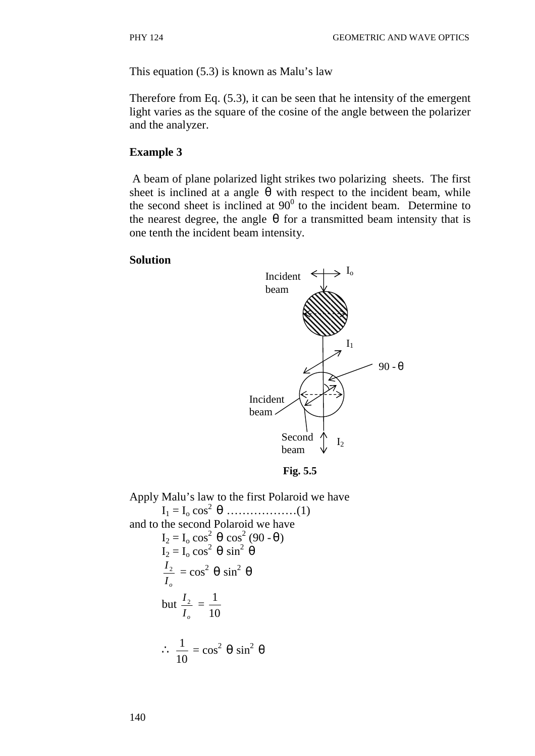This equation (5.3) is known as Malu's law

Therefore from Eq. (5.3), it can be seen that he intensity of the emergent light varies as the square of the cosine of the angle between the polarizer and the analyzer.

#### **Example 3**

 A beam of plane polarized light strikes two polarizing sheets. The first sheet is inclined at a angle  $\theta$  with respect to the incident beam, while the second sheet is inclined at  $90^{\circ}$  to the incident beam. Determine to the nearest degree, the angle  $\theta$  for a transmitted beam intensity that is one tenth the incident beam intensity.

#### **Solution**



**Fig. 5.5** 

Apply Malu's law to the first Polaroid we have I1 = Io cos 2 θ ………………(1) and to the second Polaroid we have  $I_2 = I_0 \cos^2 \theta \cos^2 (90 - \theta)$  $I_2 = I_0 \cos^2 \theta \sin^2 \theta$ *o I*  $\frac{I_2}{I_1}$  = cos<sup>2</sup> θ sin<sup>2</sup> θ but *o I*  $\frac{I_2}{I}$  = 10 1 ∴ 10 1  $= cos<sup>2</sup> θ sin<sup>2</sup> θ$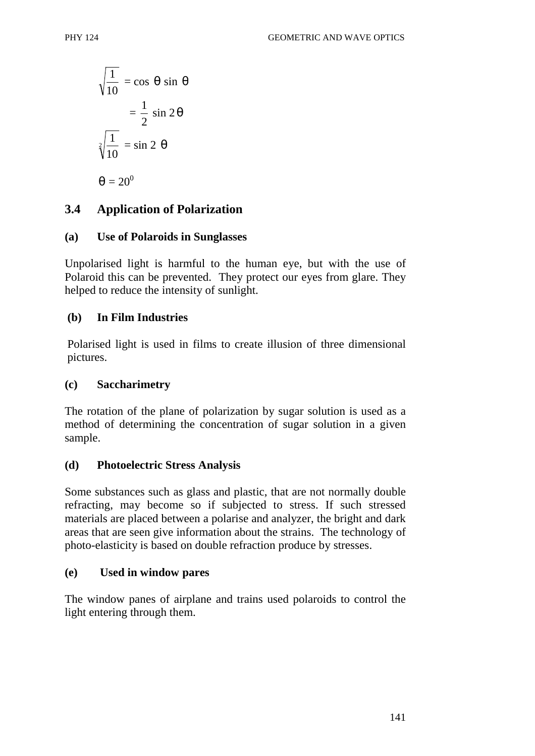$$
\sqrt{\frac{1}{10}} = \cos \theta \sin \theta
$$

$$
= \frac{1}{2} \sin 2\theta
$$

$$
\sqrt[3]{\frac{1}{10}} = \sin 2\theta
$$

$$
\theta = 20^{\circ}
$$

# **3.4 Application of Polarization**

### **(a) Use of Polaroids in Sunglasses**

Unpolarised light is harmful to the human eye, but with the use of Polaroid this can be prevented. They protect our eyes from glare. They helped to reduce the intensity of sunlight.

#### **(b) In Film Industries**

Polarised light is used in films to create illusion of three dimensional pictures.

#### **(c) Saccharimetry**

The rotation of the plane of polarization by sugar solution is used as a method of determining the concentration of sugar solution in a given sample.

### **(d) Photoelectric Stress Analysis**

Some substances such as glass and plastic, that are not normally double refracting, may become so if subjected to stress. If such stressed materials are placed between a polarise and analyzer, the bright and dark areas that are seen give information about the strains. The technology of photo-elasticity is based on double refraction produce by stresses.

#### **(e) Used in window pares**

The window panes of airplane and trains used polaroids to control the light entering through them.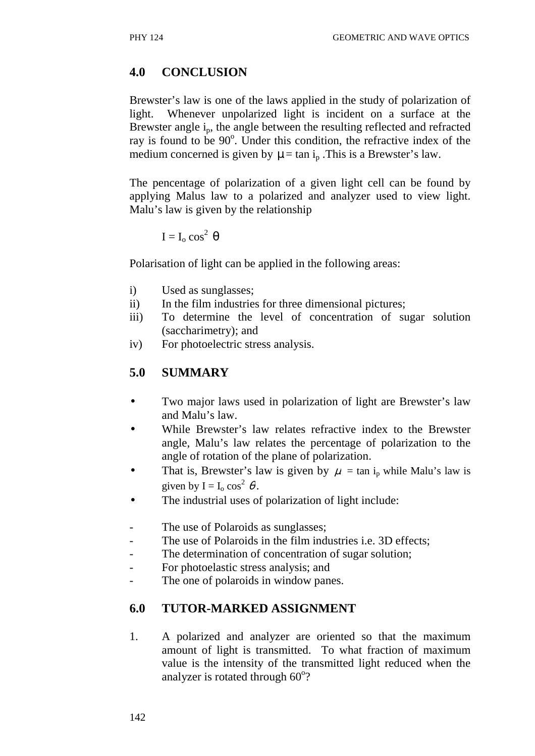### **4.0 CONCLUSION**

Brewster's law is one of the laws applied in the study of polarization of light. Whenever unpolarized light is incident on a surface at the Brewster angle i<sub>p</sub>, the angle between the resulting reflected and refracted ray is found to be 90°. Under this condition, the refractive index of the medium concerned is given by  $\mu = \tan i_p$ . This is a Brewster's law.

The pencentage of polarization of a given light cell can be found by applying Malus law to a polarized and analyzer used to view light. Malu's law is given by the relationship

$$
I = I_0 \cos^2 \theta
$$

Polarisation of light can be applied in the following areas:

- i) Used as sunglasses;
- ii) In the film industries for three dimensional pictures;
- iii) To determine the level of concentration of sugar solution (saccharimetry); and
- iv) For photoelectric stress analysis.

### **5.0 SUMMARY**

- Two major laws used in polarization of light are Brewster's law and Malu's law.
- While Brewster's law relates refractive index to the Brewster angle, Malu's law relates the percentage of polarization to the angle of rotation of the plane of polarization.
- That is, Brewster's law is given by  $\mu = \tan i_n$  while Malu's law is given by  $I = I_0 \cos^2 \theta$ .
- The industrial uses of polarization of light include:
- The use of Polaroids as sunglasses;
- The use of Polaroids in the film industries i.e. 3D effects;
- The determination of concentration of sugar solution;
- For photoelastic stress analysis; and
- The one of polaroids in window panes.

### **6.0 TUTOR-MARKED ASSIGNMENT**

1. A polarized and analyzer are oriented so that the maximum amount of light is transmitted. To what fraction of maximum value is the intensity of the transmitted light reduced when the analyzer is rotated through  $60^{\circ}$ ?